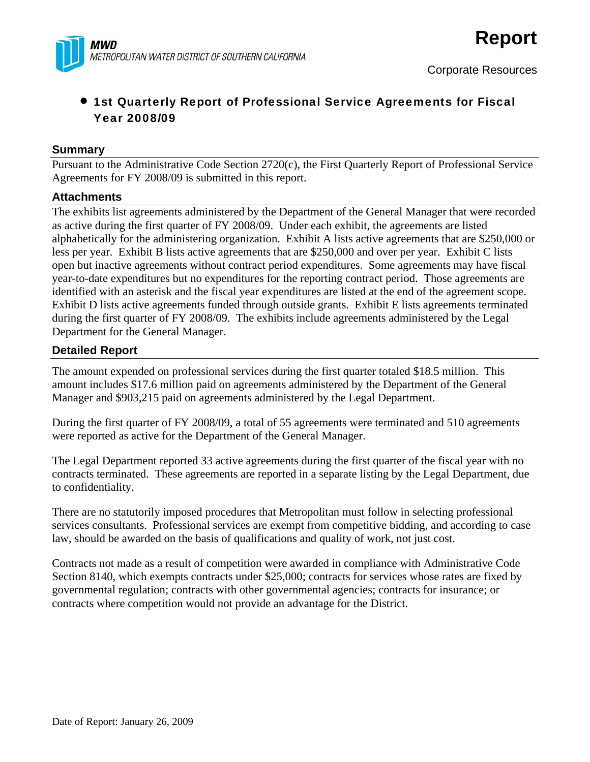

# • 1st Quarterly Report of Professional Service Agreements for Fiscal Year 2008/09

### **Summary**

Pursuant to the Administrative Code Section 2720(c), the First Quarterly Report of Professional Service Agreements for FY 2008/09 is submitted in this report.

### **Attachments**

The exhibits list agreements administered by the Department of the General Manager that were recorded as active during the first quarter of FY 2008/09. Under each exhibit, the agreements are listed alphabetically for the administering organization. Exhibit A lists active agreements that are \$250,000 or less per year. Exhibit B lists active agreements that are \$250,000 and over per year. Exhibit C lists open but inactive agreements without contract period expenditures. Some agreements may have fiscal year-to-date expenditures but no expenditures for the reporting contract period. Those agreements are identified with an asterisk and the fiscal year expenditures are listed at the end of the agreement scope. Exhibit D lists active agreements funded through outside grants. Exhibit E lists agreements terminated during the first quarter of FY 2008/09. The exhibits include agreements administered by the Legal Department for the General Manager.

### **Detailed Report**

The amount expended on professional services during the first quarter totaled \$18.5 million. This amount includes \$17.6 million paid on agreements administered by the Department of the General Manager and \$903,215 paid on agreements administered by the Legal Department.

During the first quarter of FY 2008/09, a total of 55 agreements were terminated and 510 agreements were reported as active for the Department of the General Manager.

The Legal Department reported 33 active agreements during the first quarter of the fiscal year with no contracts terminated. These agreements are reported in a separate listing by the Legal Department, due to confidentiality.

There are no statutorily imposed procedures that Metropolitan must follow in selecting professional services consultants. Professional services are exempt from competitive bidding, and according to case law, should be awarded on the basis of qualifications and quality of work, not just cost.

Contracts not made as a result of competition were awarded in compliance with Administrative Code Section 8140, which exempts contracts under \$25,000; contracts for services whose rates are fixed by governmental regulation; contracts with other governmental agencies; contracts for insurance; or contracts where competition would not provide an advantage for the District.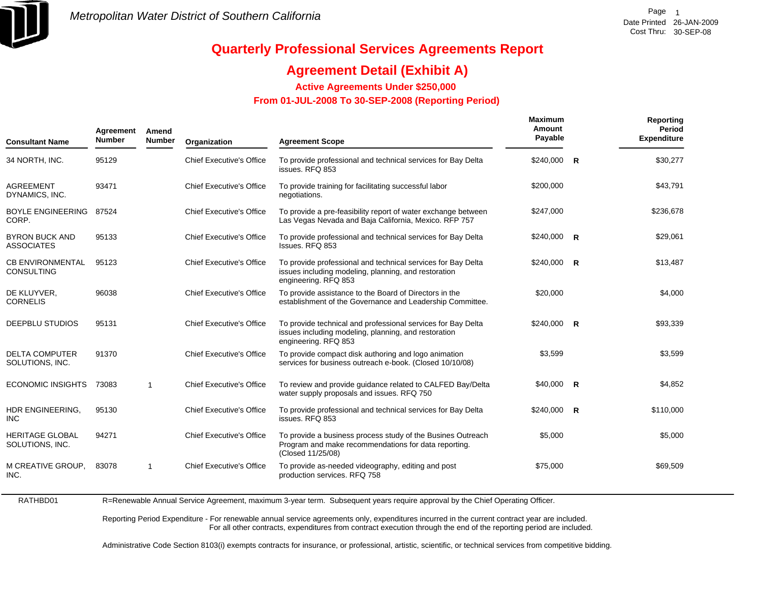

RATHBD01

# **Quarterly Professional Services Agreements Report**

## **Agreement Detail (Exhibit A)**

**Active Agreements Under \$250,000** 

 **From 01-JUL-2008 To 30-SEP-2008 (Reporting Period)** 

| <b>Consultant Name</b>                       | Agreement<br><b>Number</b> | Amend<br><b>Number</b> | Organization                    | <b>Agreement Scope</b>                                                                                                                       | <b>Maximum</b><br>Amount<br>Payable | Reporting<br>Period<br><b>Expenditure</b> |
|----------------------------------------------|----------------------------|------------------------|---------------------------------|----------------------------------------------------------------------------------------------------------------------------------------------|-------------------------------------|-------------------------------------------|
| 34 NORTH, INC.                               | 95129                      |                        | <b>Chief Executive's Office</b> | To provide professional and technical services for Bay Delta<br>issues, RFQ 853                                                              | $$240,000$ R                        | \$30,277                                  |
| <b>AGREEMENT</b><br>DYNAMICS, INC.           | 93471                      |                        | <b>Chief Executive's Office</b> | To provide training for facilitating successful labor<br>negotiations.                                                                       | \$200,000                           | \$43,791                                  |
| <b>BOYLE ENGINEERING</b><br>CORP.            | 87524                      |                        | <b>Chief Executive's Office</b> | To provide a pre-feasibility report of water exchange between<br>Las Vegas Nevada and Baja California, Mexico. RFP 757                       | \$247,000                           | \$236,678                                 |
| <b>BYRON BUCK AND</b><br><b>ASSOCIATES</b>   | 95133                      |                        | <b>Chief Executive's Office</b> | To provide professional and technical services for Bay Delta<br>Issues, RFQ 853                                                              | $$240,000$ R                        | \$29,061                                  |
| <b>CB ENVIRONMENTAL</b><br><b>CONSULTING</b> | 95123                      |                        | <b>Chief Executive's Office</b> | To provide professional and technical services for Bay Delta<br>issues including modeling, planning, and restoration<br>engineering. RFQ 853 | $$240,000$ R                        | \$13,487                                  |
| DE KLUYVER,<br><b>CORNELIS</b>               | 96038                      |                        | <b>Chief Executive's Office</b> | To provide assistance to the Board of Directors in the<br>establishment of the Governance and Leadership Committee.                          | \$20,000                            | \$4,000                                   |
| <b>DEEPBLU STUDIOS</b>                       | 95131                      |                        | <b>Chief Executive's Office</b> | To provide technical and professional services for Bay Delta<br>issues including modeling, planning, and restoration<br>engineering. RFQ 853 | $$240,000$ R                        | \$93,339                                  |
| <b>DELTA COMPUTER</b><br>SOLUTIONS, INC.     | 91370                      |                        | <b>Chief Executive's Office</b> | To provide compact disk authoring and logo animation<br>services for business outreach e-book. (Closed 10/10/08)                             | \$3,599                             | \$3,599                                   |
| <b>ECONOMIC INSIGHTS</b>                     | 73083                      | $\mathbf{1}$           | <b>Chief Executive's Office</b> | To review and provide guidance related to CALFED Bay/Delta<br>water supply proposals and issues. RFQ 750                                     | $$40,000$ R                         | \$4,852                                   |
| HDR ENGINEERING,<br><b>INC</b>               | 95130                      |                        | <b>Chief Executive's Office</b> | To provide professional and technical services for Bay Delta<br>issues. RFQ 853                                                              | $$240,000$ R                        | \$110,000                                 |
| <b>HERITAGE GLOBAL</b><br>SOLUTIONS, INC.    | 94271                      |                        | <b>Chief Executive's Office</b> | To provide a business process study of the Busines Outreach<br>Program and make recommendations for data reporting.<br>(Closed 11/25/08)     | \$5,000                             | \$5,000                                   |
| M CREATIVE GROUP,<br>INC.                    | 83078                      | $\mathbf{1}$           | <b>Chief Executive's Office</b> | To provide as-needed videography, editing and post<br>production services. RFQ 758                                                           | \$75,000                            | \$69,509                                  |

R=Renewable Annual Service Agreement, maximum 3-year term. Subsequent years require approval by the Chief Operating Officer.

Reporting Period Expenditure - For renewable annual service agreements only, expenditures incurred in the current contract year are included. For all other contracts, expenditures from contract execution through the end of the reporting period are included.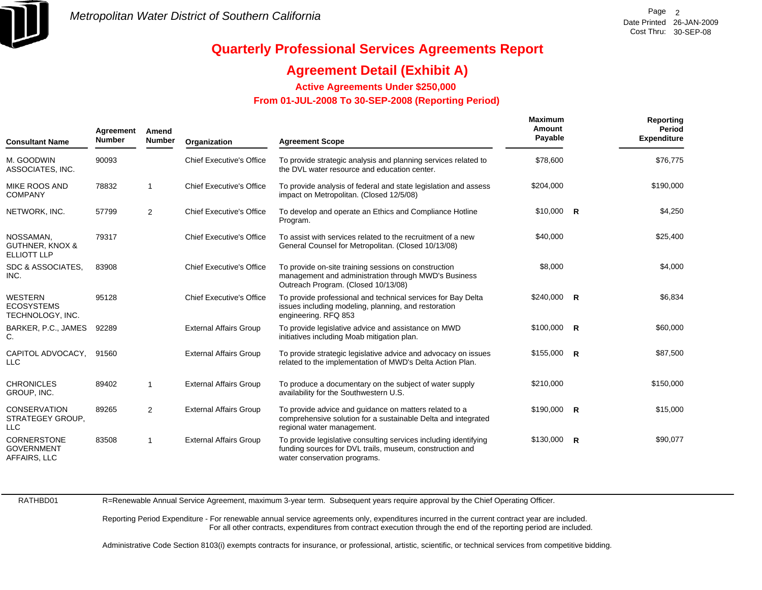

## **Agreement Detail (Exhibit A)**

**Active Agreements Under \$250,000** 

 **From 01-JUL-2008 To 30-SEP-2008 (Reporting Period)** 

| <b>Consultant Name</b>                                        | Agreement<br><b>Number</b> | Amend<br><b>Number</b> | Organization                    | <b>Agreement Scope</b>                                                                                                                                       | <b>Maximum</b><br>Amount<br>Payable | <b>Reporting</b><br>Period<br><b>Expenditure</b> |
|---------------------------------------------------------------|----------------------------|------------------------|---------------------------------|--------------------------------------------------------------------------------------------------------------------------------------------------------------|-------------------------------------|--------------------------------------------------|
| M. GOODWIN<br>ASSOCIATES, INC.                                | 90093                      |                        | <b>Chief Executive's Office</b> | To provide strategic analysis and planning services related to<br>the DVL water resource and education center.                                               | \$78,600                            | \$76,775                                         |
| MIKE ROOS AND<br><b>COMPANY</b>                               | 78832                      | $\mathbf{1}$           | <b>Chief Executive's Office</b> | To provide analysis of federal and state legislation and assess<br>impact on Metropolitan. (Closed 12/5/08)                                                  | \$204,000                           | \$190,000                                        |
| NETWORK, INC.                                                 | 57799                      | 2                      | <b>Chief Executive's Office</b> | To develop and operate an Ethics and Compliance Hotline<br>Program.                                                                                          | $$10,000$ R                         | \$4,250                                          |
| NOSSAMAN.<br><b>GUTHNER, KNOX &amp;</b><br><b>ELLIOTT LLP</b> | 79317                      |                        | <b>Chief Executive's Office</b> | To assist with services related to the recruitment of a new<br>General Counsel for Metropolitan. (Closed 10/13/08)                                           | \$40,000                            | \$25,400                                         |
| SDC & ASSOCIATES,<br>INC.                                     | 83908                      |                        | <b>Chief Executive's Office</b> | To provide on-site training sessions on construction<br>management and administration through MWD's Business<br>Outreach Program. (Closed 10/13/08)          | \$8,000                             | \$4,000                                          |
| <b>WESTERN</b><br><b>ECOSYSTEMS</b><br>TECHNOLOGY, INC.       | 95128                      |                        | <b>Chief Executive's Office</b> | To provide professional and technical services for Bay Delta<br>issues including modeling, planning, and restoration<br>engineering. RFQ 853                 | $$240,000$ R                        | \$6,834                                          |
| BARKER, P.C., JAMES<br>С.                                     | 92289                      |                        | <b>External Affairs Group</b>   | To provide legislative advice and assistance on MWD<br>initiatives including Moab mitigation plan.                                                           | $$100,000$ R                        | \$60,000                                         |
| CAPITOL ADVOCACY, 91560<br><b>LLC</b>                         |                            |                        | <b>External Affairs Group</b>   | To provide strategic legislative advice and advocacy on issues<br>related to the implementation of MWD's Delta Action Plan.                                  | $$155,000$ R                        | \$87,500                                         |
| <b>CHRONICLES</b><br>GROUP, INC.                              | 89402                      | 1                      | <b>External Affairs Group</b>   | To produce a documentary on the subject of water supply<br>availability for the Southwestern U.S.                                                            | \$210,000                           | \$150,000                                        |
| <b>CONSERVATION</b><br>STRATEGEY GROUP,<br><b>LLC</b>         | 89265                      | $\overline{2}$         | <b>External Affairs Group</b>   | To provide advice and guidance on matters related to a<br>comprehensive solution for a sustainable Delta and integrated<br>regional water management.        | $$190,000$ R                        | \$15,000                                         |
| <b>CORNERSTONE</b><br><b>GOVERNMENT</b><br>AFFAIRS, LLC       | 83508                      | 1                      | <b>External Affairs Group</b>   | To provide legislative consulting services including identifying<br>funding sources for DVL trails, museum, construction and<br>water conservation programs. | $$130,000$ R                        | \$90,077                                         |

RATHBD01

R=Renewable Annual Service Agreement, maximum 3-year term. Subsequent years require approval by the Chief Operating Officer.

Reporting Period Expenditure - For renewable annual service agreements only, expenditures incurred in the current contract year are included. For all other contracts, expenditures from contract execution through the end of the reporting period are included.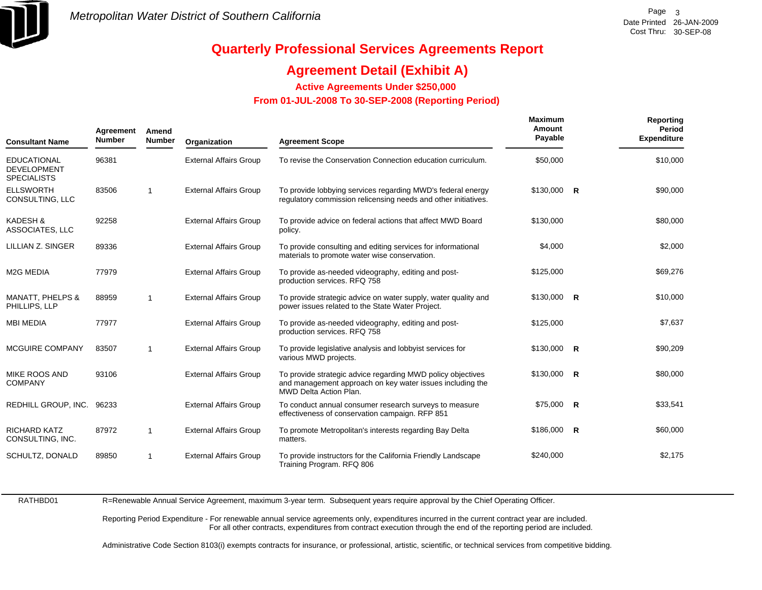

## **Agreement Detail (Exhibit A)**

**Active Agreements Under \$250,000** 

 **From 01-JUL-2008 To 30-SEP-2008 (Reporting Period)** 

| <b>Consultant Name</b>                                         | Agreement<br><b>Number</b> | Amend<br><b>Number</b> | Organization                  | <b>Agreement Scope</b>                                                                                                                                    | <b>Maximum</b><br>Amount<br>Payable | <b>Reporting</b><br>Period<br><b>Expenditure</b> |
|----------------------------------------------------------------|----------------------------|------------------------|-------------------------------|-----------------------------------------------------------------------------------------------------------------------------------------------------------|-------------------------------------|--------------------------------------------------|
| <b>EDUCATIONAL</b><br><b>DEVELOPMENT</b><br><b>SPECIALISTS</b> | 96381                      |                        | <b>External Affairs Group</b> | To revise the Conservation Connection education curriculum.                                                                                               | \$50,000                            | \$10,000                                         |
| <b>ELLSWORTH</b><br>CONSULTING, LLC                            | 83506                      | $\mathbf{1}$           | <b>External Affairs Group</b> | To provide lobbying services regarding MWD's federal energy<br>regulatory commission relicensing needs and other initiatives.                             | $$130,000$ R                        | \$90,000                                         |
| <b>KADESH &amp;</b><br>ASSOCIATES, LLC                         | 92258                      |                        | <b>External Affairs Group</b> | To provide advice on federal actions that affect MWD Board<br>policy.                                                                                     | \$130,000                           | \$80,000                                         |
| LILLIAN Z. SINGER                                              | 89336                      |                        | <b>External Affairs Group</b> | To provide consulting and editing services for informational<br>materials to promote water wise conservation.                                             | \$4,000                             | \$2,000                                          |
| <b>M2G MEDIA</b>                                               | 77979                      |                        | <b>External Affairs Group</b> | To provide as-needed videography, editing and post-<br>production services. RFQ 758                                                                       | \$125,000                           | \$69,276                                         |
| <b>MANATT, PHELPS &amp;</b><br>PHILLIPS, LLP                   | 88959                      | $\mathbf{1}$           | <b>External Affairs Group</b> | To provide strategic advice on water supply, water quality and<br>power issues related to the State Water Project.                                        | \$130,000 R                         | \$10,000                                         |
| <b>MBI MEDIA</b>                                               | 77977                      |                        | <b>External Affairs Group</b> | To provide as-needed videography, editing and post-<br>production services. RFQ 758                                                                       | \$125,000                           | \$7,637                                          |
| <b>MCGUIRE COMPANY</b>                                         | 83507                      | 1                      | <b>External Affairs Group</b> | To provide legislative analysis and lobbyist services for<br>various MWD projects.                                                                        | $$130,000$ R                        | \$90,209                                         |
| MIKE ROOS AND<br><b>COMPANY</b>                                | 93106                      |                        | <b>External Affairs Group</b> | To provide strategic advice regarding MWD policy objectives<br>and management approach on key water issues including the<br><b>MWD Delta Action Plan.</b> | $$130,000$ R                        | \$80,000                                         |
| REDHILL GROUP, INC. 96233                                      |                            |                        | <b>External Affairs Group</b> | To conduct annual consumer research surveys to measure<br>effectiveness of conservation campaign. RFP 851                                                 | $$75,000$ R                         | \$33,541                                         |
| <b>RICHARD KATZ</b><br>CONSULTING, INC.                        | 87972                      | 1                      | <b>External Affairs Group</b> | To promote Metropolitan's interests regarding Bay Delta<br>matters.                                                                                       | $$186,000$ R                        | \$60,000                                         |
| SCHULTZ, DONALD                                                | 89850                      | 1                      | <b>External Affairs Group</b> | To provide instructors for the California Friendly Landscape<br>Training Program. RFQ 806                                                                 | \$240,000                           | \$2,175                                          |

RATHBD01

R=Renewable Annual Service Agreement, maximum 3-year term. Subsequent years require approval by the Chief Operating Officer.

Reporting Period Expenditure - For renewable annual service agreements only, expenditures incurred in the current contract year are included. For all other contracts, expenditures from contract execution through the end of the reporting period are included.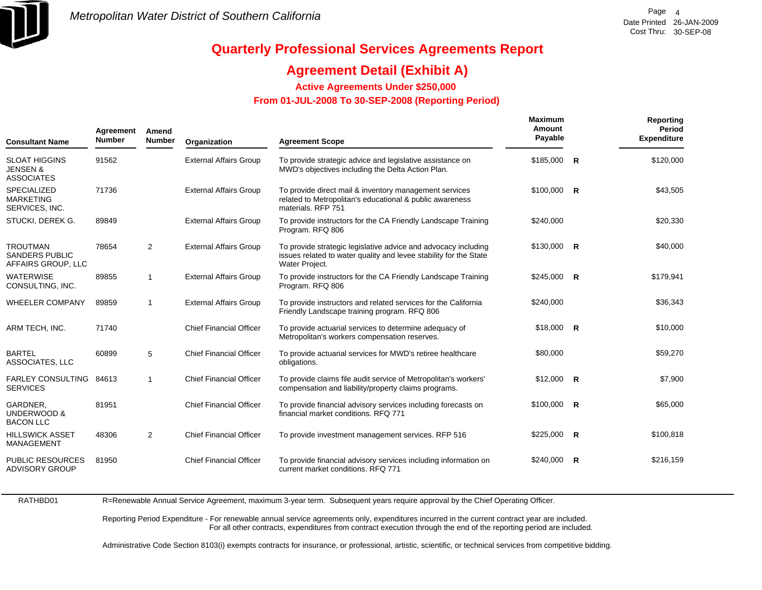

## **Agreement Detail (Exhibit A)**

**Active Agreements Under \$250,000** 

 **From 01-JUL-2008 To 30-SEP-2008 (Reporting Period)** 

| <b>Consultant Name</b>                                           | Agreement<br><b>Number</b> | Amend<br><b>Number</b> | Organization                   | <b>Agreement Scope</b>                                                                                                                                | Maximum<br>Amount<br>Payable |              | Reporting<br><b>Period</b><br><b>Expenditure</b> |
|------------------------------------------------------------------|----------------------------|------------------------|--------------------------------|-------------------------------------------------------------------------------------------------------------------------------------------------------|------------------------------|--------------|--------------------------------------------------|
| <b>SLOAT HIGGINS</b><br><b>JENSEN &amp;</b><br><b>ASSOCIATES</b> | 91562                      |                        | <b>External Affairs Group</b>  | To provide strategic advice and legislative assistance on<br>MWD's objectives including the Delta Action Plan.                                        | \$185,000                    | $\mathsf{R}$ | \$120,000                                        |
| <b>SPECIALIZED</b><br><b>MARKETING</b><br>SERVICES, INC.         | 71736                      |                        | <b>External Affairs Group</b>  | To provide direct mail & inventory management services<br>related to Metropolitan's educational & public awareness<br>materials. RFP 751              | $$100,000$ R                 |              | \$43,505                                         |
| STUCKI, DEREK G.                                                 | 89849                      |                        | <b>External Affairs Group</b>  | To provide instructors for the CA Friendly Landscape Training<br>Program. RFQ 806                                                                     | \$240,000                    |              | \$20,330                                         |
| <b>TROUTMAN</b><br><b>SANDERS PUBLIC</b><br>AFFAIRS GROUP, LLC   | 78654                      | 2                      | <b>External Affairs Group</b>  | To provide strategic legislative advice and advocacy including<br>issues related to water quality and levee stability for the State<br>Water Project. | $$130,000$ R                 |              | \$40,000                                         |
| <b>WATERWISE</b><br>CONSULTING, INC.                             | 89855                      | $\overline{1}$         | <b>External Affairs Group</b>  | To provide instructors for the CA Friendly Landscape Training<br>Program. RFQ 806                                                                     | $$245,000$ R                 |              | \$179,941                                        |
| <b>WHEELER COMPANY</b>                                           | 89859                      | $\overline{1}$         | <b>External Affairs Group</b>  | To provide instructors and related services for the California<br>Friendly Landscape training program. RFQ 806                                        | \$240,000                    |              | \$36,343                                         |
| ARM TECH, INC.                                                   | 71740                      |                        | <b>Chief Financial Officer</b> | To provide actuarial services to determine adequacy of<br>Metropolitan's workers compensation reserves.                                               | $$18,000$ R                  |              | \$10,000                                         |
| <b>BARTEL</b><br>ASSOCIATES, LLC                                 | 60899                      | 5                      | <b>Chief Financial Officer</b> | To provide actuarial services for MWD's retiree healthcare<br>obligations.                                                                            | \$80,000                     |              | \$59,270                                         |
| <b>FARLEY CONSULTING</b><br><b>SERVICES</b>                      | 84613                      | 1                      | <b>Chief Financial Officer</b> | To provide claims file audit service of Metropolitan's workers'<br>compensation and liability/property claims programs.                               | $$12,000$ R                  |              | \$7,900                                          |
| GARDNER,<br><b>UNDERWOOD &amp;</b><br><b>BACON LLC</b>           | 81951                      |                        | <b>Chief Financial Officer</b> | To provide financial advisory services including forecasts on<br>financial market conditions, RFQ 771                                                 | $$100,000$ R                 |              | \$65,000                                         |
| <b>HILLSWICK ASSET</b><br>MANAGEMENT                             | 48306                      | 2                      | <b>Chief Financial Officer</b> | To provide investment management services. RFP 516                                                                                                    | \$225,000 R                  |              | \$100,818                                        |
| PUBLIC RESOURCES<br><b>ADVISORY GROUP</b>                        | 81950                      |                        | <b>Chief Financial Officer</b> | To provide financial advisory services including information on<br>current market conditions. RFQ 771                                                 | $$240,000$ R                 |              | \$216,159                                        |
|                                                                  |                            |                        |                                |                                                                                                                                                       |                              |              |                                                  |

RATHBD01

R=Renewable Annual Service Agreement, maximum 3-year term. Subsequent years require approval by the Chief Operating Officer.

Reporting Period Expenditure - For renewable annual service agreements only, expenditures incurred in the current contract year are included. For all other contracts, expenditures from contract execution through the end of the reporting period are included.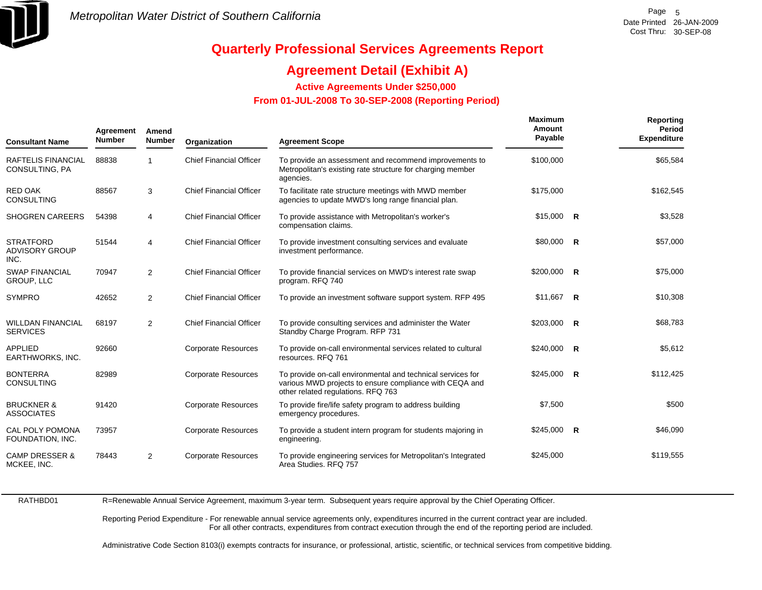

## **Agreement Detail (Exhibit A)**

**Active Agreements Under \$250,000** 

 **From 01-JUL-2008 To 30-SEP-2008 (Reporting Period)** 

| <b>Consultant Name</b>                            | Agreement<br><b>Number</b> | Amend<br><b>Number</b> | Organization                   | <b>Agreement Scope</b>                                                                                                                                       | <b>Maximum</b><br>Amount<br>Payable | Reporting<br>Period<br><b>Expenditure</b> |
|---------------------------------------------------|----------------------------|------------------------|--------------------------------|--------------------------------------------------------------------------------------------------------------------------------------------------------------|-------------------------------------|-------------------------------------------|
| RAFTELIS FINANCIAL<br>CONSULTING, PA              | 88838                      |                        | <b>Chief Financial Officer</b> | To provide an assessment and recommend improvements to<br>Metropolitan's existing rate structure for charging member<br>agencies.                            | \$100,000                           | \$65,584                                  |
| <b>RED OAK</b><br><b>CONSULTING</b>               | 88567                      | 3                      | <b>Chief Financial Officer</b> | To facilitate rate structure meetings with MWD member<br>agencies to update MWD's long range financial plan.                                                 | \$175,000                           | \$162,545                                 |
| <b>SHOGREN CAREERS</b>                            | 54398                      | 4                      | <b>Chief Financial Officer</b> | To provide assistance with Metropolitan's worker's<br>compensation claims.                                                                                   | $$15,000$ R                         | \$3,528                                   |
| <b>STRATFORD</b><br><b>ADVISORY GROUP</b><br>INC. | 51544                      | 4                      | <b>Chief Financial Officer</b> | To provide investment consulting services and evaluate<br>investment performance.                                                                            | \$80,000 R                          | \$57,000                                  |
| <b>SWAP FINANCIAL</b><br><b>GROUP, LLC</b>        | 70947                      | $\overline{2}$         | <b>Chief Financial Officer</b> | To provide financial services on MWD's interest rate swap<br>program. RFQ 740                                                                                | $$200,000$ R                        | \$75,000                                  |
| <b>SYMPRO</b>                                     | 42652                      | 2                      | <b>Chief Financial Officer</b> | To provide an investment software support system. RFP 495                                                                                                    | \$11,667 R                          | \$10,308                                  |
| <b>WILLDAN FINANCIAL</b><br><b>SERVICES</b>       | 68197                      | 2                      | <b>Chief Financial Officer</b> | To provide consulting services and administer the Water<br>Standby Charge Program. RFP 731                                                                   | $$203,000$ R                        | \$68,783                                  |
| APPLIED<br>EARTHWORKS, INC.                       | 92660                      |                        | <b>Corporate Resources</b>     | To provide on-call environmental services related to cultural<br>resources. RFQ 761                                                                          | $$240,000$ R                        | \$5,612                                   |
| <b>BONTERRA</b><br><b>CONSULTING</b>              | 82989                      |                        | <b>Corporate Resources</b>     | To provide on-call environmental and technical services for<br>various MWD projects to ensure compliance with CEQA and<br>other related regulations. RFQ 763 | $$245,000$ R                        | \$112,425                                 |
| <b>BRUCKNER &amp;</b><br><b>ASSOCIATES</b>        | 91420                      |                        | <b>Corporate Resources</b>     | To provide fire/life safety program to address building<br>emergency procedures.                                                                             | \$7,500                             | \$500                                     |
| <b>CAL POLY POMONA</b><br>FOUNDATION, INC.        | 73957                      |                        | <b>Corporate Resources</b>     | To provide a student intern program for students majoring in<br>engineering.                                                                                 | $$245,000$ R                        | \$46,090                                  |
| <b>CAMP DRESSER &amp;</b><br>MCKEE, INC.          | 78443                      | 2                      | <b>Corporate Resources</b>     | To provide engineering services for Metropolitan's Integrated<br>Area Studies, RFQ 757                                                                       | \$245,000                           | \$119,555                                 |

RATHBD01

R=Renewable Annual Service Agreement, maximum 3-year term. Subsequent years require approval by the Chief Operating Officer.

Reporting Period Expenditure - For renewable annual service agreements only, expenditures incurred in the current contract year are included. For all other contracts, expenditures from contract execution through the end of the reporting period are included.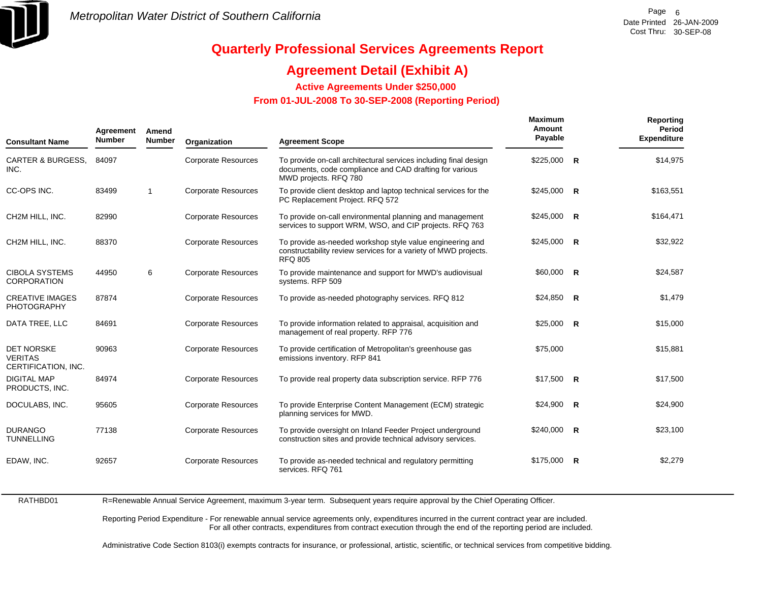

### **Agreement Detail (Exhibit A)**

**Active Agreements Under \$250,000** 

 **From 01-JUL-2008 To 30-SEP-2008 (Reporting Period)** 

| Consultant Name                                     | Agreement<br><b>Number</b> | Amend<br><b>Number</b> | Organization               | <b>Agreement Scope</b>                                                                                                                               | Maximum<br>Amount<br>Payable | Reporting<br>Period<br><b>Expenditure</b> |
|-----------------------------------------------------|----------------------------|------------------------|----------------------------|------------------------------------------------------------------------------------------------------------------------------------------------------|------------------------------|-------------------------------------------|
| CARTER & BURGESS,<br>INC.                           | 84097                      |                        | <b>Corporate Resources</b> | To provide on-call architectural services including final design<br>documents, code compliance and CAD drafting for various<br>MWD projects. RFQ 780 | $$225,000$ R                 | \$14,975                                  |
| CC-OPS INC.                                         | 83499                      | $\mathbf{1}$           | <b>Corporate Resources</b> | To provide client desktop and laptop technical services for the<br>PC Replacement Project. RFQ 572                                                   | $$245,000$ R                 | \$163,551                                 |
| CH2M HILL. INC.                                     | 82990                      |                        | <b>Corporate Resources</b> | To provide on-call environmental planning and management<br>services to support WRM, WSO, and CIP projects. RFQ 763                                  | $$245,000$ R                 | \$164,471                                 |
| CH2M HILL, INC.                                     | 88370                      |                        | <b>Corporate Resources</b> | To provide as-needed workshop style value engineering and<br>constructability review services for a variety of MWD projects.<br><b>RFQ 805</b>       | $$245,000$ R                 | \$32,922                                  |
| <b>CIBOLA SYSTEMS</b><br>CORPORATION                | 44950                      | 6                      | <b>Corporate Resources</b> | To provide maintenance and support for MWD's audiovisual<br>systems. RFP 509                                                                         | $$60,000$ R                  | \$24,587                                  |
| CREATIVE IMAGES<br>PHOTOGRAPHY                      | 87874                      |                        | <b>Corporate Resources</b> | To provide as-needed photography services. RFQ 812                                                                                                   | $$24,850$ R                  | \$1,479                                   |
| DATA TREE, LLC                                      | 84691                      |                        | <b>Corporate Resources</b> | To provide information related to appraisal, acquisition and<br>management of real property. RFP 776                                                 | $$25,000$ R                  | \$15,000                                  |
| DET NORSKE<br><b>VERITAS</b><br>CERTIFICATION, INC. | 90963                      |                        | <b>Corporate Resources</b> | To provide certification of Metropolitan's greenhouse gas<br>emissions inventory. RFP 841                                                            | \$75,000                     | \$15,881                                  |
| <b>DIGITAL MAP</b><br>PRODUCTS, INC.                | 84974                      |                        | <b>Corporate Resources</b> | To provide real property data subscription service. RFP 776                                                                                          | $$17,500$ R                  | \$17,500                                  |
| DOCULABS, INC.                                      | 95605                      |                        | <b>Corporate Resources</b> | To provide Enterprise Content Management (ECM) strategic<br>planning services for MWD.                                                               | $$24,900$ R                  | \$24,900                                  |
| DURANGO<br><b>TUNNELLING</b>                        | 77138                      |                        | <b>Corporate Resources</b> | To provide oversight on Inland Feeder Project underground<br>construction sites and provide technical advisory services.                             | $$240,000$ R                 | \$23,100                                  |
| EDAW, INC.                                          | 92657                      |                        | <b>Corporate Resources</b> | To provide as-needed technical and regulatory permitting<br>services. RFQ 761                                                                        | $$175,000$ R                 | \$2,279                                   |
|                                                     |                            |                        |                            |                                                                                                                                                      |                              |                                           |

RATHBD01 R=Renewable Annual Service Agreement, maximum 3-year term. Subsequent years require approval by the Chief Operating Officer.

> Reporting Period Expenditure - For renewable annual service agreements only, expenditures incurred in the current contract year are included. For all other contracts, expenditures from contract execution through the end of the reporting period are included.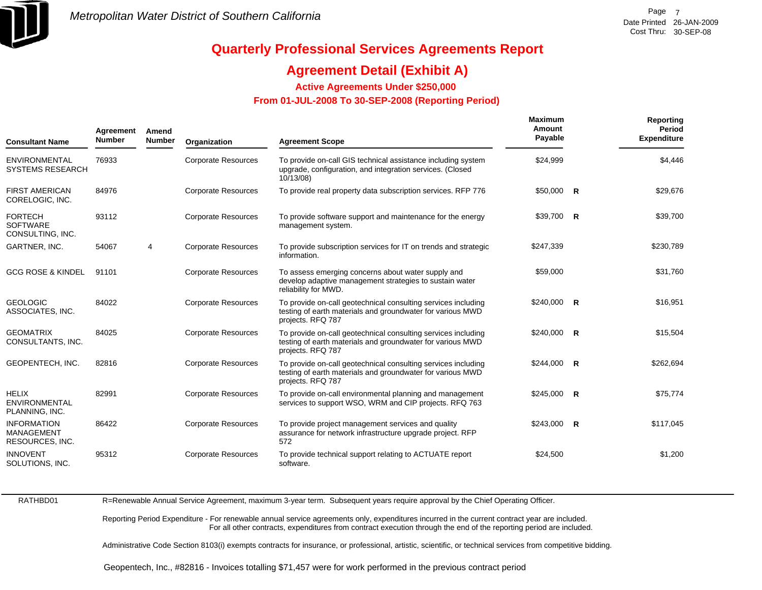

## **Agreement Detail (Exhibit A)**

**Active Agreements Under \$250,000** 

 **From 01-JUL-2008 To 30-SEP-2008 (Reporting Period)** 

| <b>Consultant Name</b>                                     | Agreement<br><b>Number</b> | Amend<br>Number | Organization               | <b>Agreement Scope</b>                                                                                                                           | Maximum<br>Amount<br>Payable | Reporting<br>Period<br><b>Expenditure</b> |
|------------------------------------------------------------|----------------------------|-----------------|----------------------------|--------------------------------------------------------------------------------------------------------------------------------------------------|------------------------------|-------------------------------------------|
| <b>ENVIRONMENTAL</b><br><b>SYSTEMS RESEARCH</b>            | 76933                      |                 | <b>Corporate Resources</b> | To provide on-call GIS technical assistance including system<br>upgrade, configuration, and integration services. (Closed<br>10/13/08)           | \$24,999                     | \$4,446                                   |
| <b>FIRST AMERICAN</b><br>CORELOGIC, INC.                   | 84976                      |                 | <b>Corporate Resources</b> | To provide real property data subscription services. RFP 776                                                                                     | $$50,000$ R                  | \$29,676                                  |
| <b>FORTECH</b><br><b>SOFTWARE</b><br>CONSULTING, INC.      | 93112                      |                 | <b>Corporate Resources</b> | To provide software support and maintenance for the energy<br>management system.                                                                 | $$39,700$ R                  | \$39,700                                  |
| GARTNER, INC.                                              | 54067                      | $\overline{4}$  | <b>Corporate Resources</b> | To provide subscription services for IT on trends and strategic<br>information.                                                                  | \$247,339                    | \$230,789                                 |
| <b>GCG ROSE &amp; KINDEL</b>                               | 91101                      |                 | <b>Corporate Resources</b> | To assess emerging concerns about water supply and<br>develop adaptive management strategies to sustain water<br>reliability for MWD.            | \$59,000                     | \$31,760                                  |
| <b>GEOLOGIC</b><br>ASSOCIATES, INC.                        | 84022                      |                 | <b>Corporate Resources</b> | To provide on-call geotechnical consulting services including<br>testing of earth materials and groundwater for various MWD<br>projects. RFQ 787 | $$240,000$ R                 | \$16,951                                  |
| <b>GEOMATRIX</b><br>CONSULTANTS, INC.                      | 84025                      |                 | <b>Corporate Resources</b> | To provide on-call geotechnical consulting services including<br>testing of earth materials and groundwater for various MWD<br>projects. RFQ 787 | $$240,000$ R                 | \$15,504                                  |
| GEOPENTECH, INC.                                           | 82816                      |                 | <b>Corporate Resources</b> | To provide on-call geotechnical consulting services including<br>testing of earth materials and groundwater for various MWD<br>projects. RFQ 787 | $$244,000$ R                 | \$262,694                                 |
| <b>HELIX</b><br><b>ENVIRONMENTAL</b><br>PLANNING, INC.     | 82991                      |                 | <b>Corporate Resources</b> | To provide on-call environmental planning and management<br>services to support WSO, WRM and CIP projects. RFQ 763                               | $$245,000$ R                 | \$75,774                                  |
| <b>INFORMATION</b><br><b>MANAGEMENT</b><br>RESOURCES, INC. | 86422                      |                 | <b>Corporate Resources</b> | To provide project management services and quality<br>assurance for network infrastructure upgrade project. RFP<br>572                           | $$243,000$ R                 | \$117,045                                 |
| <b>INNOVENT</b><br>SOLUTIONS, INC.                         | 95312                      |                 | <b>Corporate Resources</b> | To provide technical support relating to ACTUATE report<br>software.                                                                             | \$24,500                     | \$1,200                                   |

RATHBD01

R=Renewable Annual Service Agreement, maximum 3-year term. Subsequent years require approval by the Chief Operating Officer.

Reporting Period Expenditure - For renewable annual service agreements only, expenditures incurred in the current contract year are included. For all other contracts, expenditures from contract execution through the end of the reporting period are included.

Administrative Code Section 8103(i) exempts contracts for insurance, or professional, artistic, scientific, or technical services from competitive bidding.

Geopentech, Inc., #82816 - Invoices totalling \$71,457 were for work performed in the previous contract period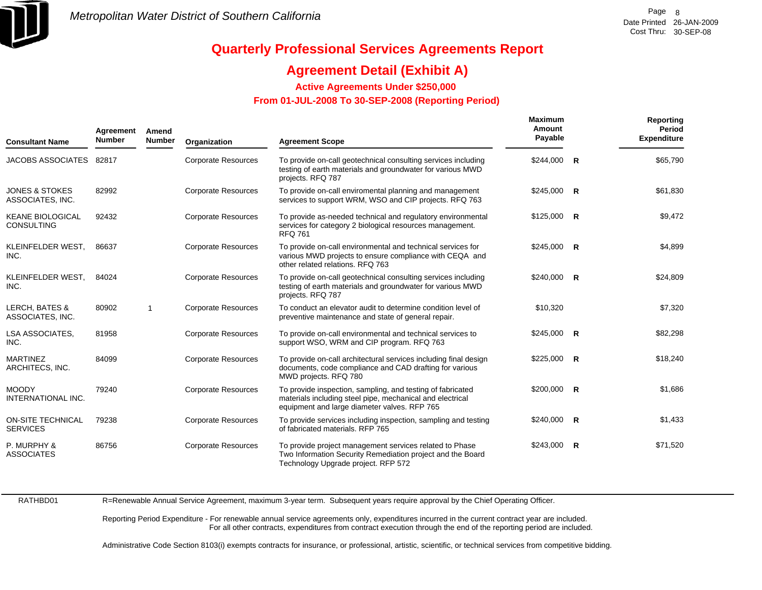

### **Agreement Detail (Exhibit A)**

**Active Agreements Under \$250,000** 

 **From 01-JUL-2008 To 30-SEP-2008 (Reporting Period)** 

| <b>Consultant Name</b>                        | Agreement<br><b>Number</b> | Amend<br><b>Number</b> | Organization               | <b>Agreement Scope</b>                                                                                                                                                  | Maximum<br>Amount<br>Payable | Reporting<br>Period<br><b>Expenditure</b> |
|-----------------------------------------------|----------------------------|------------------------|----------------------------|-------------------------------------------------------------------------------------------------------------------------------------------------------------------------|------------------------------|-------------------------------------------|
| JACOBS ASSOCIATES 82817                       |                            |                        | <b>Corporate Resources</b> | To provide on-call geotechnical consulting services including<br>testing of earth materials and groundwater for various MWD<br>projects. RFQ 787                        | $$244,000$ R                 | \$65,790                                  |
| <b>JONES &amp; STOKES</b><br>ASSOCIATES, INC. | 82992                      |                        | <b>Corporate Resources</b> | To provide on-call enviromental planning and management<br>services to support WRM, WSO and CIP projects. RFQ 763                                                       | $$245,000$ R                 | \$61,830                                  |
| <b>KEANE BIOLOGICAL</b><br><b>CONSULTING</b>  | 92432                      |                        | <b>Corporate Resources</b> | To provide as-needed technical and regulatory environmental<br>services for category 2 biological resources management.<br><b>RFQ 761</b>                               | $$125,000$ R                 | \$9,472                                   |
| KLEINFELDER WEST,<br>INC.                     | 86637                      |                        | <b>Corporate Resources</b> | To provide on-call environmental and technical services for<br>various MWD projects to ensure compliance with CEQA and<br>other related relations. RFQ 763              | $$245,000$ R                 | \$4,899                                   |
| KLEINFELDER WEST,<br>INC.                     | 84024                      |                        | <b>Corporate Resources</b> | To provide on-call geotechnical consulting services including<br>testing of earth materials and groundwater for various MWD<br>projects. RFQ 787                        | $$240,000$ R                 | \$24,809                                  |
| <b>LERCH, BATES &amp;</b><br>ASSOCIATES, INC. | 80902                      | $\mathbf{1}$           | <b>Corporate Resources</b> | To conduct an elevator audit to determine condition level of<br>preventive maintenance and state of general repair.                                                     | \$10,320                     | \$7,320                                   |
| <b>LSA ASSOCIATES,</b><br>INC.                | 81958                      |                        | <b>Corporate Resources</b> | To provide on-call environmental and technical services to<br>support WSO, WRM and CIP program. RFQ 763                                                                 | $$245,000$ R                 | \$82,298                                  |
| <b>MARTINEZ</b><br>ARCHITECS, INC.            | 84099                      |                        | <b>Corporate Resources</b> | To provide on-call architectural services including final design<br>documents, code compliance and CAD drafting for various<br>MWD projects. RFQ 780                    | $$225,000$ R                 | \$18,240                                  |
| <b>MOODY</b><br>INTERNATIONAL INC.            | 79240                      |                        | Corporate Resources        | To provide inspection, sampling, and testing of fabricated<br>materials including steel pipe, mechanical and electrical<br>equipment and large diameter valves. RFP 765 | $$200,000$ R                 | \$1,686                                   |
| <b>ON-SITE TECHNICAL</b><br><b>SERVICES</b>   | 79238                      |                        | <b>Corporate Resources</b> | To provide services including inspection, sampling and testing<br>of fabricated materials. RFP 765                                                                      | $$240,000$ R                 | \$1,433                                   |
| P. MURPHY &<br><b>ASSOCIATES</b>              | 86756                      |                        | <b>Corporate Resources</b> | To provide project management services related to Phase<br>Two Information Security Remediation project and the Board<br>Technology Upgrade project. RFP 572            | $$243,000$ R                 | \$71,520                                  |

RATHBD01

R=Renewable Annual Service Agreement, maximum 3-year term. Subsequent years require approval by the Chief Operating Officer.

Reporting Period Expenditure - For renewable annual service agreements only, expenditures incurred in the current contract year are included. For all other contracts, expenditures from contract execution through the end of the reporting period are included.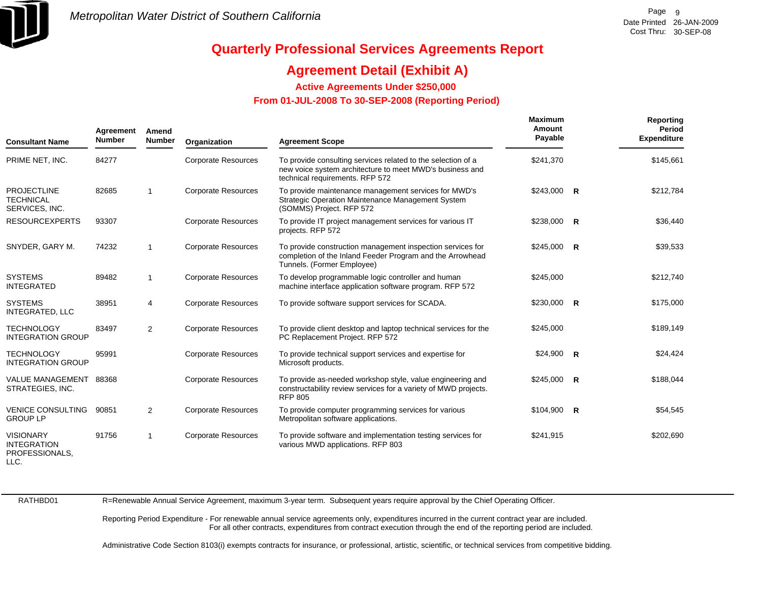

### **Agreement Detail (Exhibit A)**

**Active Agreements Under \$250,000** 

 **From 01-JUL-2008 To 30-SEP-2008 (Reporting Period)** 

| <b>Consultant Name</b>                                           | Agreement<br><b>Number</b> | Amend<br><b>Number</b> | Organization               | <b>Agreement Scope</b>                                                                                                                                      | Maximum<br>Amount<br>Payable | Reporting<br>Period<br><b>Expenditure</b> |
|------------------------------------------------------------------|----------------------------|------------------------|----------------------------|-------------------------------------------------------------------------------------------------------------------------------------------------------------|------------------------------|-------------------------------------------|
| PRIME NET, INC.                                                  | 84277                      |                        | <b>Corporate Resources</b> | To provide consulting services related to the selection of a<br>new voice system architecture to meet MWD's business and<br>technical requirements. RFP 572 | \$241,370                    | \$145,661                                 |
| <b>PROJECTLINE</b><br><b>TECHNICAL</b><br>SERVICES, INC.         | 82685                      | -1                     | <b>Corporate Resources</b> | To provide maintenance management services for MWD's<br>Strategic Operation Maintenance Management System<br>(SOMMS) Project. RFP 572                       | $$243,000$ R                 | \$212,784                                 |
| <b>RESOURCEXPERTS</b>                                            | 93307                      |                        | <b>Corporate Resources</b> | To provide IT project management services for various IT<br>projects. RFP 572                                                                               | $$238,000$ R                 | \$36,440                                  |
| SNYDER, GARY M.                                                  | 74232                      | -1                     | <b>Corporate Resources</b> | To provide construction management inspection services for<br>completion of the Inland Feeder Program and the Arrowhead<br>Tunnels. (Former Employee)       | $$245,000$ R                 | \$39,533                                  |
| <b>SYSTEMS</b><br><b>INTEGRATED</b>                              | 89482                      | -1                     | <b>Corporate Resources</b> | To develop programmable logic controller and human<br>machine interface application software program. RFP 572                                               | \$245,000                    | \$212,740                                 |
| <b>SYSTEMS</b><br>INTEGRATED, LLC                                | 38951                      | 4                      | <b>Corporate Resources</b> | To provide software support services for SCADA.                                                                                                             | $$230,000$ R                 | \$175,000                                 |
| <b>TECHNOLOGY</b><br><b>INTEGRATION GROUP</b>                    | 83497                      | $\overline{2}$         | <b>Corporate Resources</b> | To provide client desktop and laptop technical services for the<br>PC Replacement Project. RFP 572                                                          | \$245,000                    | \$189,149                                 |
| <b>TECHNOLOGY</b><br><b>INTEGRATION GROUP</b>                    | 95991                      |                        | <b>Corporate Resources</b> | To provide technical support services and expertise for<br>Microsoft products.                                                                              | $$24,900$ R                  | \$24,424                                  |
| VALUE MANAGEMENT<br>STRATEGIES, INC.                             | 88368                      |                        | <b>Corporate Resources</b> | To provide as-needed workshop style, value engineering and<br>constructability review services for a variety of MWD projects.<br><b>RFP 805</b>             | $$245,000$ R                 | \$188,044                                 |
| <b>VENICE CONSULTING</b><br><b>GROUP LP</b>                      | 90851                      | $\overline{2}$         | <b>Corporate Resources</b> | To provide computer programming services for various<br>Metropolitan software applications.                                                                 | $$104,900$ R                 | \$54,545                                  |
| <b>VISIONARY</b><br><b>INTEGRATION</b><br>PROFESSIONALS,<br>LLC. | 91756                      | $\overline{1}$         | <b>Corporate Resources</b> | To provide software and implementation testing services for<br>various MWD applications. RFP 803                                                            | \$241,915                    | \$202,690                                 |

RATHBD01

R=Renewable Annual Service Agreement, maximum 3-year term. Subsequent years require approval by the Chief Operating Officer.

Reporting Period Expenditure - For renewable annual service agreements only, expenditures incurred in the current contract year are included. For all other contracts, expenditures from contract execution through the end of the reporting period are included.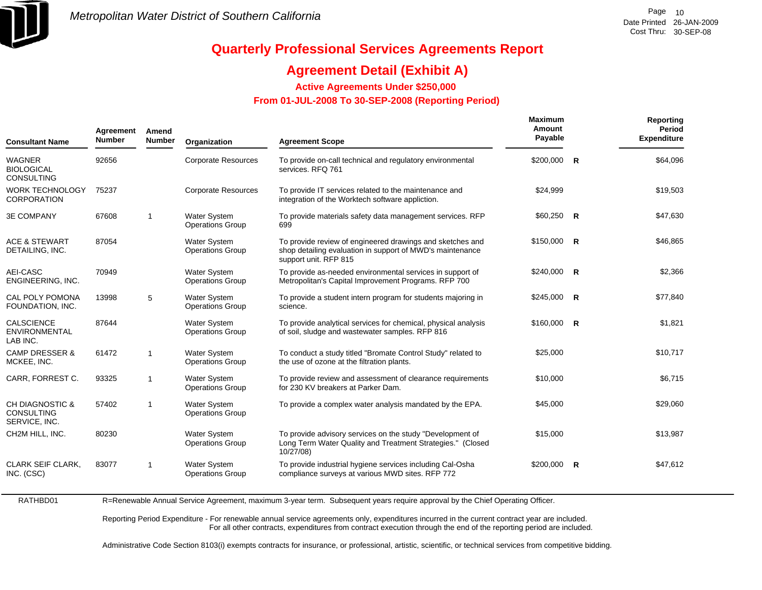

RATHBD01

# **Quarterly Professional Services Agreements Report**

## **Agreement Detail (Exhibit A)**

**Active Agreements Under \$250,000** 

 **From 01-JUL-2008 To 30-SEP-2008 (Reporting Period)** 

| <b>Consultant Name</b>                                           | Agreement<br><b>Number</b> | Amend<br><b>Number</b> | Organization                                   | <b>Agreement Scope</b>                                                                                                                          | Maximum<br>Amount<br>Payable |                | Reporting<br>Period<br><b>Expenditure</b> |
|------------------------------------------------------------------|----------------------------|------------------------|------------------------------------------------|-------------------------------------------------------------------------------------------------------------------------------------------------|------------------------------|----------------|-------------------------------------------|
| <b>WAGNER</b><br><b>BIOLOGICAL</b><br><b>CONSULTING</b>          | 92656                      |                        | <b>Corporate Resources</b>                     | To provide on-call technical and regulatory environmental<br>services. RFQ 761                                                                  | $$200,000$ R                 |                | \$64,096                                  |
| <b>WORK TECHNOLOGY</b><br><b>CORPORATION</b>                     | 75237                      |                        | <b>Corporate Resources</b>                     | To provide IT services related to the maintenance and<br>integration of the Worktech software appliction.                                       | \$24,999                     |                | \$19,503                                  |
| <b>3E COMPANY</b>                                                | 67608                      | $\overline{1}$         | Water System<br><b>Operations Group</b>        | To provide materials safety data management services. RFP<br>699                                                                                | $$60,250$ R                  |                | \$47,630                                  |
| <b>ACE &amp; STEWART</b><br>DETAILING, INC.                      | 87054                      |                        | <b>Water System</b><br><b>Operations Group</b> | To provide review of engineered drawings and sketches and<br>shop detailing evaluation in support of MWD's maintenance<br>support unit. RFP 815 | \$150,000                    | $\overline{R}$ | \$46,865                                  |
| AEI-CASC<br>ENGINEERING, INC.                                    | 70949                      |                        | <b>Water System</b><br><b>Operations Group</b> | To provide as-needed environmental services in support of<br>Metropolitan's Capital Improvement Programs. RFP 700                               | $$240,000$ R                 |                | \$2,366                                   |
| <b>CAL POLY POMONA</b><br>FOUNDATION, INC.                       | 13998                      | 5                      | Water System<br><b>Operations Group</b>        | To provide a student intern program for students majoring in<br>science.                                                                        | $$245,000$ R                 |                | \$77,840                                  |
| <b>CALSCIENCE</b><br><b>ENVIRONMENTAL</b><br>LAB INC.            | 87644                      |                        | <b>Water System</b><br><b>Operations Group</b> | To provide analytical services for chemical, physical analysis<br>of soil, sludge and wastewater samples. RFP 816                               | $$160,000$ R                 |                | \$1,821                                   |
| <b>CAMP DRESSER &amp;</b><br>MCKEE, INC.                         | 61472                      |                        | Water System<br><b>Operations Group</b>        | To conduct a study titled "Bromate Control Study" related to<br>the use of ozone at the filtration plants.                                      | \$25,000                     |                | \$10,717                                  |
| CARR, FORREST C.                                                 | 93325                      | $\mathbf{1}$           | <b>Water System</b><br><b>Operations Group</b> | To provide review and assessment of clearance requirements<br>for 230 KV breakers at Parker Dam.                                                | \$10,000                     |                | \$6,715                                   |
| <b>CH DIAGNOSTIC &amp;</b><br><b>CONSULTING</b><br>SERVICE, INC. | 57402                      | $\overline{1}$         | <b>Water System</b><br><b>Operations Group</b> | To provide a complex water analysis mandated by the EPA.                                                                                        | \$45,000                     |                | \$29,060                                  |
| CH2M HILL, INC.                                                  | 80230                      |                        | Water System<br><b>Operations Group</b>        | To provide advisory services on the study "Development of<br>Long Term Water Quality and Treatment Strategies." (Closed<br>10/27/08)            | \$15,000                     |                | \$13,987                                  |
| <b>CLARK SEIF CLARK,</b><br>INC. (CSC)                           | 83077                      | $\mathbf{1}$           | <b>Water System</b><br><b>Operations Group</b> | To provide industrial hygiene services including Cal-Osha<br>compliance surveys at various MWD sites. RFP 772                                   | \$200,000 R                  |                | \$47,612                                  |
|                                                                  |                            |                        |                                                |                                                                                                                                                 |                              |                |                                           |

R=Renewable Annual Service Agreement, maximum 3-year term. Subsequent years require approval by the Chief Operating Officer.

Reporting Period Expenditure - For renewable annual service agreements only, expenditures incurred in the current contract year are included. For all other contracts, expenditures from contract execution through the end of the reporting period are included.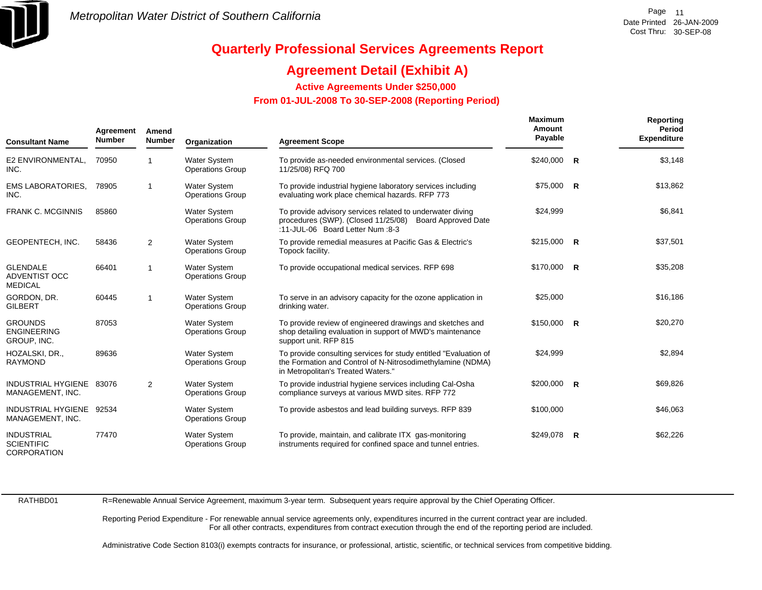

## **Agreement Detail (Exhibit A)**

**Active Agreements Under \$250,000** 

 **From 01-JUL-2008 To 30-SEP-2008 (Reporting Period)** 

| <b>Consultant Name</b>                                       | Agreement<br><b>Number</b> | Amend<br><b>Number</b> | Organization                                   | <b>Agreement Scope</b>                                                                                                                                               | Maximum<br>Amount<br>Payable | Reporting<br>Period<br><b>Expenditure</b> |
|--------------------------------------------------------------|----------------------------|------------------------|------------------------------------------------|----------------------------------------------------------------------------------------------------------------------------------------------------------------------|------------------------------|-------------------------------------------|
| E2 ENVIRONMENTAL.<br>INC.                                    | 70950                      |                        | Water System<br><b>Operations Group</b>        | To provide as-needed environmental services. (Closed<br>11/25/08) RFQ 700                                                                                            | \$240,000 R                  | \$3,148                                   |
| <b>EMS LABORATORIES.</b><br>INC.                             | 78905                      | 1                      | <b>Water System</b><br><b>Operations Group</b> | To provide industrial hygiene laboratory services including<br>evaluating work place chemical hazards. RFP 773                                                       | $$75,000$ R                  | \$13,862                                  |
| <b>FRANK C. MCGINNIS</b>                                     | 85860                      |                        | <b>Water System</b><br><b>Operations Group</b> | To provide advisory services related to underwater diving<br>procedures (SWP). (Closed 11/25/08) Board Approved Date<br>:11-JUL-06 Board Letter Num :8-3             | \$24,999                     | \$6,841                                   |
| GEOPENTECH, INC.                                             | 58436                      | 2                      | <b>Water System</b><br><b>Operations Group</b> | To provide remedial measures at Pacific Gas & Electric's<br>Topock facility.                                                                                         | $$215,000$ R                 | \$37,501                                  |
| <b>GLENDALE</b><br><b>ADVENTIST OCC</b><br><b>MEDICAL</b>    | 66401                      | -1                     | <b>Water System</b><br><b>Operations Group</b> | To provide occupational medical services. RFP 698                                                                                                                    | \$170,000 R                  | \$35,208                                  |
| GORDON, DR.<br><b>GILBERT</b>                                | 60445                      | -1                     | <b>Water System</b><br><b>Operations Group</b> | To serve in an advisory capacity for the ozone application in<br>drinking water.                                                                                     | \$25,000                     | \$16,186                                  |
| <b>GROUNDS</b><br><b>ENGINEERING</b><br>GROUP, INC.          | 87053                      |                        | <b>Water System</b><br><b>Operations Group</b> | To provide review of engineered drawings and sketches and<br>shop detailing evaluation in support of MWD's maintenance<br>support unit. RFP 815                      | $$150,000$ R                 | \$20,270                                  |
| HOZALSKI, DR.,<br><b>RAYMOND</b>                             | 89636                      |                        | <b>Water System</b><br><b>Operations Group</b> | To provide consulting services for study entitled "Evaluation of<br>the Formation and Control of N-Nitrosodimethylamine (NDMA)<br>in Metropolitan's Treated Waters." | \$24,999                     | \$2,894                                   |
| INDUSTRIAL HYGIENE 83076<br>MANAGEMENT, INC.                 |                            | 2                      | <b>Water System</b><br><b>Operations Group</b> | To provide industrial hygiene services including Cal-Osha<br>compliance surveys at various MWD sites. RFP 772                                                        | $$200,000$ R                 | \$69,826                                  |
| <b>INDUSTRIAL HYGIENE</b><br>MANAGEMENT, INC.                | 92534                      |                        | Water System<br><b>Operations Group</b>        | To provide asbestos and lead building surveys. RFP 839                                                                                                               | \$100,000                    | \$46,063                                  |
| <b>INDUSTRIAL</b><br><b>SCIENTIFIC</b><br><b>CORPORATION</b> | 77470                      |                        | <b>Water System</b><br><b>Operations Group</b> | To provide, maintain, and calibrate ITX gas-monitoring<br>instruments required for confined space and tunnel entries.                                                | \$249,078 R                  | \$62,226                                  |

RATHBD01

R=Renewable Annual Service Agreement, maximum 3-year term. Subsequent years require approval by the Chief Operating Officer.

Reporting Period Expenditure - For renewable annual service agreements only, expenditures incurred in the current contract year are included. For all other contracts, expenditures from contract execution through the end of the reporting period are included.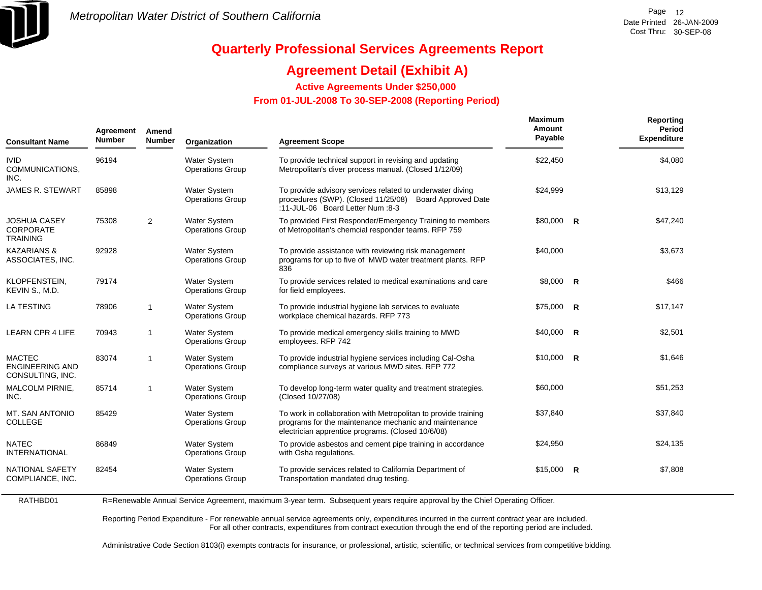

## **Agreement Detail (Exhibit A)**

**Active Agreements Under \$250,000** 

 **From 01-JUL-2008 To 30-SEP-2008 (Reporting Period)** 

| <b>Consultant Name</b>                                      | Agreement<br><b>Number</b> | Amend<br><b>Number</b> | Organization                                   | <b>Agreement Scope</b>                                                                                                                                                       | Maximum<br>Amount<br>Payable |                | Reporting<br>Period<br><b>Expenditure</b> |
|-------------------------------------------------------------|----------------------------|------------------------|------------------------------------------------|------------------------------------------------------------------------------------------------------------------------------------------------------------------------------|------------------------------|----------------|-------------------------------------------|
| <b>IVID</b><br>COMMUNICATIONS,<br>INC.                      | 96194                      |                        | Water System<br><b>Operations Group</b>        | To provide technical support in revising and updating<br>Metropolitan's diver process manual. (Closed 1/12/09)                                                               | \$22,450                     |                | \$4,080                                   |
| JAMES R. STEWART                                            | 85898                      |                        | <b>Water System</b><br><b>Operations Group</b> | To provide advisory services related to underwater diving<br>procedures (SWP). (Closed 11/25/08) Board Approved Date<br>:11-JUL-06 Board Letter Num :8-3                     | \$24,999                     |                | \$13,129                                  |
| <b>JOSHUA CASEY</b><br><b>CORPORATE</b><br><b>TRAINING</b>  | 75308                      | $\overline{2}$         | Water System<br><b>Operations Group</b>        | To provided First Responder/Emergency Training to members<br>of Metropolitan's chemcial responder teams. RFP 759                                                             | \$80,000                     | $\overline{R}$ | \$47,240                                  |
| <b>KAZARIANS &amp;</b><br>ASSOCIATES, INC.                  | 92928                      |                        | <b>Water System</b><br><b>Operations Group</b> | To provide assistance with reviewing risk management<br>programs for up to five of MWD water treatment plants. RFP<br>836                                                    | \$40,000                     |                | \$3,673                                   |
| KLOPFENSTEIN,<br>KEVIN S., M.D.                             | 79174                      |                        | <b>Water System</b><br><b>Operations Group</b> | To provide services related to medical examinations and care<br>for field employees.                                                                                         | $$8,000$ R                   |                | \$466                                     |
| <b>LA TESTING</b>                                           | 78906                      | $\mathbf{1}$           | <b>Water System</b><br><b>Operations Group</b> | To provide industrial hygiene lab services to evaluate<br>workplace chemical hazards. RFP 773                                                                                | \$75,000                     | $\overline{R}$ | \$17,147                                  |
| <b>LEARN CPR 4 LIFE</b>                                     | 70943                      | 1                      | <b>Water System</b><br><b>Operations Group</b> | To provide medical emergency skills training to MWD<br>employees. RFP 742                                                                                                    | \$40,000                     | $\mathsf{R}$   | \$2,501                                   |
| <b>MACTEC</b><br><b>ENGINEERING AND</b><br>CONSULTING, INC. | 83074                      | 1                      | <b>Water System</b><br><b>Operations Group</b> | To provide industrial hygiene services including Cal-Osha<br>compliance surveys at various MWD sites. RFP 772                                                                | \$10,000                     | $\mathsf{R}$   | \$1,646                                   |
| MALCOLM PIRNIE,<br>INC.                                     | 85714                      | 1                      | <b>Water System</b><br><b>Operations Group</b> | To develop long-term water quality and treatment strategies.<br>(Closed 10/27/08)                                                                                            | \$60,000                     |                | \$51,253                                  |
| <b>MT. SAN ANTONIO</b><br><b>COLLEGE</b>                    | 85429                      |                        | <b>Water System</b><br><b>Operations Group</b> | To work in collaboration with Metropolitan to provide training<br>programs for the maintenance mechanic and maintenance<br>electrician apprentice programs. (Closed 10/6/08) | \$37,840                     |                | \$37,840                                  |
| <b>NATEC</b><br><b>INTERNATIONAL</b>                        | 86849                      |                        | <b>Water System</b><br><b>Operations Group</b> | To provide asbestos and cement pipe training in accordance<br>with Osha regulations.                                                                                         | \$24,950                     |                | \$24,135                                  |
| <b>NATIONAL SAFETY</b><br>COMPLIANCE, INC.                  | 82454                      |                        | <b>Water System</b><br><b>Operations Group</b> | To provide services related to California Department of<br>Transportation mandated drug testing.                                                                             | \$15,000                     | R              | \$7,808                                   |

RATHBD01 R=Renewable Annual Service Agreement, maximum 3-year term. Subsequent years require approval by the Chief Operating Officer.

> Reporting Period Expenditure - For renewable annual service agreements only, expenditures incurred in the current contract year are included. For all other contracts, expenditures from contract execution through the end of the reporting period are included.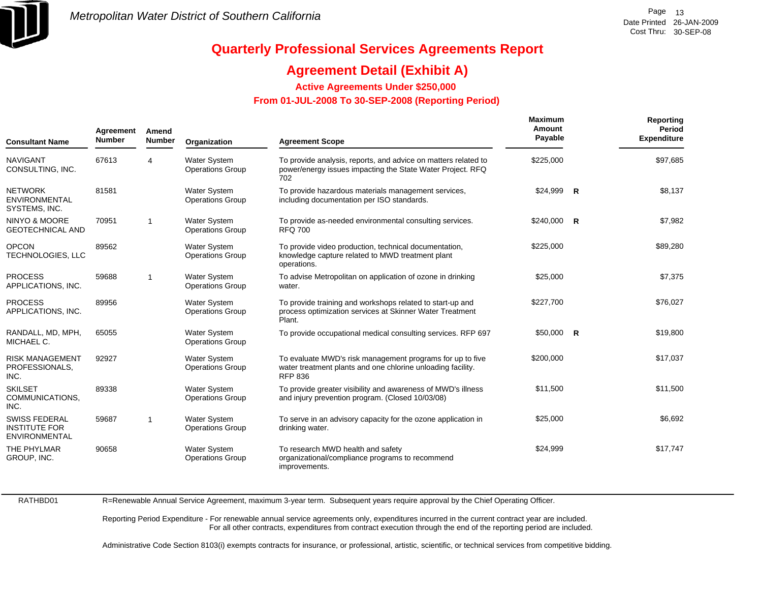

## **Agreement Detail (Exhibit A)**

**Active Agreements Under \$250,000** 

 **From 01-JUL-2008 To 30-SEP-2008 (Reporting Period)** 

| Agreement<br><b>Number</b><br><b>Consultant Name</b>                 |       | Amend<br><b>Number</b> | Organization                                   | <b>Agreement Scope</b>                                                                                                                     | Maximum<br>Amount<br>Payable |                         | Reporting<br>Period<br><b>Expenditure</b> |
|----------------------------------------------------------------------|-------|------------------------|------------------------------------------------|--------------------------------------------------------------------------------------------------------------------------------------------|------------------------------|-------------------------|-------------------------------------------|
| <b>NAVIGANT</b><br>CONSULTING, INC.                                  | 67613 | $\overline{4}$         | Water System<br><b>Operations Group</b>        | To provide analysis, reports, and advice on matters related to<br>power/energy issues impacting the State Water Project. RFQ<br>702        | \$225,000                    |                         | \$97,685                                  |
| <b>NETWORK</b><br><b>ENVIRONMENTAL</b><br>SYSTEMS, INC.              | 81581 |                        | <b>Water System</b><br><b>Operations Group</b> | To provide hazardous materials management services,<br>including documentation per ISO standards.                                          | \$24,999                     | $\overline{\mathsf{R}}$ | \$8,137                                   |
| <b>NINYO &amp; MOORE</b><br><b>GEOTECHNICAL AND</b>                  | 70951 | $\overline{1}$         | <b>Water System</b><br><b>Operations Group</b> | To provide as-needed environmental consulting services.<br><b>RFQ 700</b>                                                                  | $$240,000$ R                 |                         | \$7,982                                   |
| <b>OPCON</b><br>TECHNOLOGIES, LLC                                    | 89562 |                        | <b>Water System</b><br><b>Operations Group</b> | To provide video production, technical documentation,<br>knowledge capture related to MWD treatment plant<br>operations.                   | \$225,000                    |                         | \$89,280                                  |
| <b>PROCESS</b><br>APPLICATIONS, INC.                                 | 59688 | -1                     | <b>Water System</b><br><b>Operations Group</b> | To advise Metropolitan on application of ozone in drinking<br>water.                                                                       | \$25,000                     |                         | \$7,375                                   |
| <b>PROCESS</b><br>APPLICATIONS, INC.                                 | 89956 |                        | <b>Water System</b><br><b>Operations Group</b> | To provide training and workshops related to start-up and<br>process optimization services at Skinner Water Treatment<br>Plant.            | \$227,700                    |                         | \$76,027                                  |
| RANDALL, MD, MPH,<br>MICHAEL C.                                      | 65055 |                        | <b>Water System</b><br><b>Operations Group</b> | To provide occupational medical consulting services. RFP 697                                                                               | $$50,000$ R                  |                         | \$19,800                                  |
| <b>RISK MANAGEMENT</b><br>PROFESSIONALS,<br>INC.                     | 92927 |                        | <b>Water System</b><br><b>Operations Group</b> | To evaluate MWD's risk management programs for up to five<br>water treatment plants and one chlorine unloading facility.<br><b>RFP 836</b> | \$200,000                    |                         | \$17,037                                  |
| <b>SKILSET</b><br>COMMUNICATIONS,<br>INC.                            | 89338 |                        | <b>Water System</b><br><b>Operations Group</b> | To provide greater visibility and awareness of MWD's illness<br>and injury prevention program. (Closed 10/03/08)                           | \$11,500                     |                         | \$11,500                                  |
| <b>SWISS FEDERAL</b><br><b>INSTITUTE FOR</b><br><b>ENVIRONMENTAL</b> | 59687 |                        | <b>Water System</b><br><b>Operations Group</b> | To serve in an advisory capacity for the ozone application in<br>drinking water.                                                           | \$25,000                     |                         | \$6,692                                   |
| THE PHYLMAR<br>GROUP, INC.                                           | 90658 |                        | <b>Water System</b><br><b>Operations Group</b> | To research MWD health and safety<br>organizational/compliance programs to recommend<br>improvements.                                      | \$24,999                     |                         | \$17,747                                  |

RATHBD01

R=Renewable Annual Service Agreement, maximum 3-year term. Subsequent years require approval by the Chief Operating Officer.

Reporting Period Expenditure - For renewable annual service agreements only, expenditures incurred in the current contract year are included. For all other contracts, expenditures from contract execution through the end of the reporting period are included.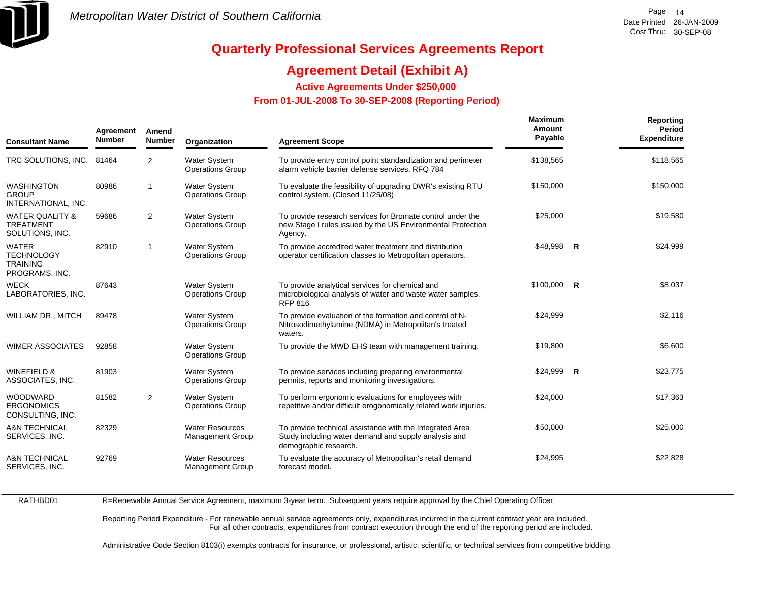

## **Agreement Detail (Exhibit A)**

**Active Agreements Under \$250,000** 

 **From 01-JUL-2008 To 30-SEP-2008 (Reporting Period)** 

| Agreement<br>Amend<br><b>Number</b><br><b>Consultant Name</b>          |       | <b>Number</b> | Organization                                      | <b>Agreement Scope</b>                                                                                                                    | <b>Maximum</b><br>Amount<br>Payable | Reporting<br>Period<br><b>Expenditure</b> |
|------------------------------------------------------------------------|-------|---------------|---------------------------------------------------|-------------------------------------------------------------------------------------------------------------------------------------------|-------------------------------------|-------------------------------------------|
| TRC SOLUTIONS, INC. 81464                                              |       | 2             | <b>Water System</b><br><b>Operations Group</b>    | To provide entry control point standardization and perimeter<br>alarm vehicle barrier defense services. RFQ 784                           | \$138,565                           | \$118,565                                 |
| <b>WASHINGTON</b><br><b>GROUP</b><br>INTERNATIONAL, INC.               | 80986 | $\mathbf{1}$  | <b>Water System</b><br><b>Operations Group</b>    | To evaluate the feasibility of upgrading DWR's existing RTU<br>control system. (Closed 11/25/08)                                          | \$150,000                           | \$150,000                                 |
| <b>WATER QUALITY &amp;</b><br><b>TREATMENT</b><br>SOLUTIONS, INC.      | 59686 | 2             | <b>Water System</b><br><b>Operations Group</b>    | To provide research services for Bromate control under the<br>new Stage I rules issued by the US Environmental Protection<br>Agency.      | \$25,000                            | \$19,580                                  |
| <b>WATER</b><br><b>TECHNOLOGY</b><br><b>TRAINING</b><br>PROGRAMS, INC. | 82910 | $\mathbf{1}$  | <b>Water System</b><br><b>Operations Group</b>    | To provide accredited water treatment and distribution<br>operator certification classes to Metropolitan operators.                       | \$48,998 R                          | \$24,999                                  |
| <b>WECK</b><br>LABORATORIES, INC.                                      | 87643 |               | <b>Water System</b><br><b>Operations Group</b>    | To provide analytical services for chemical and<br>microbiological analysis of water and waste water samples.<br><b>RFP 816</b>           | $$100,000$ R                        | \$8,037                                   |
| <b>WILLIAM DR., MITCH</b>                                              | 89478 |               | <b>Water System</b><br><b>Operations Group</b>    | To provide evaluation of the formation and control of N-<br>Nitrosodimethylamine (NDMA) in Metropolitan's treated<br>waters.              | \$24,999                            | \$2,116                                   |
| <b>WIMER ASSOCIATES</b>                                                | 92858 |               | <b>Water System</b><br><b>Operations Group</b>    | To provide the MWD EHS team with management training.                                                                                     | \$19,800                            | \$6,600                                   |
| <b>WINEFIELD &amp;</b><br>ASSOCIATES, INC.                             | 81903 |               | <b>Water System</b><br><b>Operations Group</b>    | To provide services including preparing environmental<br>permits, reports and monitoring investigations.                                  | $$24,999$ R                         | \$23,775                                  |
| <b>WOODWARD</b><br><b>ERGONOMICS</b><br>CONSULTING, INC.               | 81582 | 2             | <b>Water System</b><br><b>Operations Group</b>    | To perform ergonomic evaluations for employees with<br>repetitive and/or difficult erogonomically related work injuries.                  | \$24,000                            | \$17,363                                  |
| <b>A&amp;N TECHNICAL</b><br>SERVICES, INC.                             | 82329 |               | <b>Water Resources</b><br><b>Management Group</b> | To provide technical assistance with the Integrated Area<br>Study including water demand and supply analysis and<br>demographic research. | \$50,000                            | \$25,000                                  |
| <b>A&amp;N TECHNICAL</b><br>SERVICES, INC.                             | 92769 |               | <b>Water Resources</b><br>Management Group        | To evaluate the accuracy of Metropolitan's retail demand<br>forecast model.                                                               | \$24,995                            | \$22,828                                  |

RATHBD01

R=Renewable Annual Service Agreement, maximum 3-year term. Subsequent years require approval by the Chief Operating Officer.

Reporting Period Expenditure - For renewable annual service agreements only, expenditures incurred in the current contract year are included. For all other contracts, expenditures from contract execution through the end of the reporting period are included.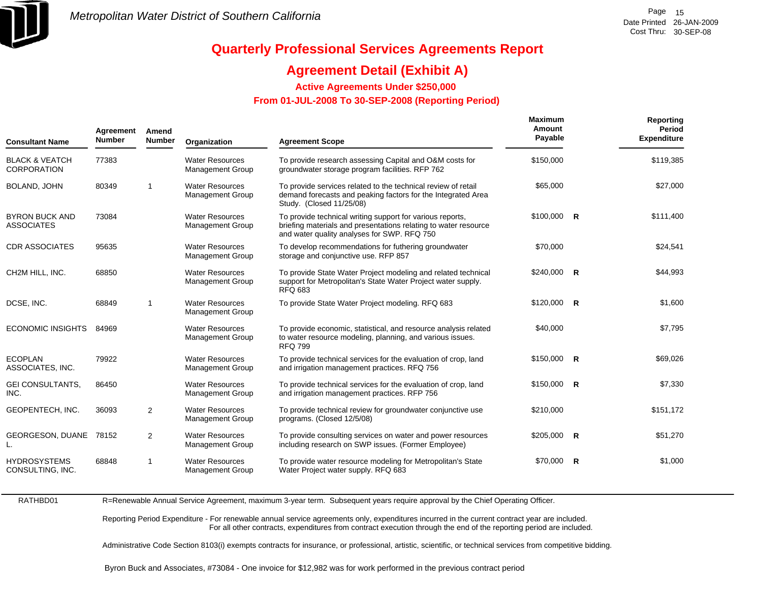

### **Agreement Detail (Exhibit A)**

**Active Agreements Under \$250,000** 

 **From 01-JUL-2008 To 30-SEP-2008 (Reporting Period)** 

| <b>Consultant Name</b>                          | Agreement<br><b>Number</b> | Amend<br><b>Number</b> | Organization                                      | <b>Agreement Scope</b>                                                                                                                                                      | <b>Maximum</b><br>Amount<br>Payable |   | Reporting<br>Period<br><b>Expenditure</b> |
|-------------------------------------------------|----------------------------|------------------------|---------------------------------------------------|-----------------------------------------------------------------------------------------------------------------------------------------------------------------------------|-------------------------------------|---|-------------------------------------------|
| <b>BLACK &amp; VEATCH</b><br><b>CORPORATION</b> | 77383                      |                        | <b>Water Resources</b><br>Management Group        | To provide research assessing Capital and O&M costs for<br>groundwater storage program facilities. RFP 762                                                                  | \$150,000                           |   | \$119,385                                 |
| <b>BOLAND, JOHN</b>                             | 80349                      | $\overline{1}$         | <b>Water Resources</b><br><b>Management Group</b> | To provide services related to the technical review of retail<br>demand forecasts and peaking factors for the Integrated Area<br>Study. (Closed 11/25/08)                   | \$65,000                            |   | \$27,000                                  |
| <b>BYRON BUCK AND</b><br><b>ASSOCIATES</b>      | 73084                      |                        | <b>Water Resources</b><br><b>Management Group</b> | To provide technical writing support for various reports,<br>briefing materials and presentations relating to water resource<br>and water quality analyses for SWP. RFQ 750 | $$100,000$ R                        |   | \$111,400                                 |
| <b>CDR ASSOCIATES</b>                           | 95635                      |                        | <b>Water Resources</b><br><b>Management Group</b> | To develop recommendations for futhering groundwater<br>storage and conjunctive use. RFP 857                                                                                | \$70,000                            |   | \$24,541                                  |
| CH2M HILL, INC.                                 | 68850                      |                        | <b>Water Resources</b><br><b>Management Group</b> | To provide State Water Project modeling and related technical<br>support for Metropolitan's State Water Project water supply.<br><b>RFQ 683</b>                             | $$240,000$ R                        |   | \$44,993                                  |
| DCSE, INC.                                      | 68849                      | $\overline{1}$         | <b>Water Resources</b><br><b>Management Group</b> | To provide State Water Project modeling. RFQ 683                                                                                                                            | $$120,000$ R                        |   | \$1,600                                   |
| <b>ECONOMIC INSIGHTS</b>                        | 84969                      |                        | <b>Water Resources</b><br><b>Management Group</b> | To provide economic, statistical, and resource analysis related<br>to water resource modeling, planning, and various issues.<br><b>RFQ 799</b>                              | \$40,000                            |   | \$7,795                                   |
| <b>ECOPLAN</b><br>ASSOCIATES, INC.              | 79922                      |                        | <b>Water Resources</b><br><b>Management Group</b> | To provide technical services for the evaluation of crop, land<br>and irrigation management practices. RFQ 756                                                              | \$150,000 R                         |   | \$69,026                                  |
| <b>GEI CONSULTANTS,</b><br>INC.                 | 86450                      |                        | <b>Water Resources</b><br><b>Management Group</b> | To provide technical services for the evaluation of crop, land<br>and irrigation management practices. RFP 756                                                              | $$150,000$ R                        |   | \$7,330                                   |
| GEOPENTECH, INC.                                | 36093                      | 2                      | <b>Water Resources</b><br>Management Group        | To provide technical review for groundwater conjunctive use<br>programs. (Closed 12/5/08)                                                                                   | \$210,000                           |   | \$151,172                                 |
| <b>GEORGESON, DUANE</b><br>L.                   | 78152                      | $\overline{2}$         | <b>Water Resources</b><br><b>Management Group</b> | To provide consulting services on water and power resources<br>including research on SWP issues. (Former Employee)                                                          | $$205,000$ R                        |   | \$51,270                                  |
| <b>HYDROSYSTEMS</b><br>CONSULTING, INC.         | 68848                      |                        | <b>Water Resources</b><br>Management Group        | To provide water resource modeling for Metropolitan's State<br>Water Project water supply. RFQ 683                                                                          | \$70.000                            | R | \$1,000                                   |

RATHBD01R=Renewable Annual Service Agreement, maximum 3-year term. Subsequent years require approval by the Chief Operating Officer.

> Reporting Period Expenditure - For renewable annual service agreements only, expenditures incurred in the current contract year are included. For all other contracts, expenditures from contract execution through the end of the reporting period are included.

Administrative Code Section 8103(i) exempts contracts for insurance, or professional, artistic, scientific, or technical services from competitive bidding.

Byron Buck and Associates, #73084 - One invoice for \$12,982 was for work performed in the previous contract period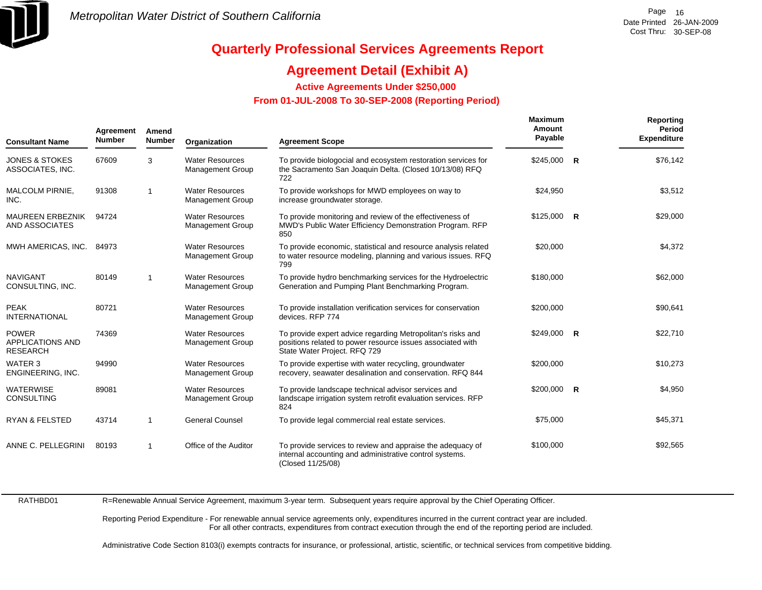

## **Agreement Detail (Exhibit A)**

**Active Agreements Under \$250,000** 

 **From 01-JUL-2008 To 30-SEP-2008 (Reporting Period)** 

| Agreement<br>Amend<br><b>Number</b><br><b>Consultant Name</b> |       | Number      | Organization                                      | <b>Agreement Scope</b>                                                                                                                                    | Maximum<br>Amount<br>Payable | Reporting<br><b>Period</b><br><b>Expenditure</b> |
|---------------------------------------------------------------|-------|-------------|---------------------------------------------------|-----------------------------------------------------------------------------------------------------------------------------------------------------------|------------------------------|--------------------------------------------------|
| <b>JONES &amp; STOKES</b><br>ASSOCIATES, INC.                 | 67609 | 3           | <b>Water Resources</b><br><b>Management Group</b> | To provide biologocial and ecosystem restoration services for<br>the Sacramento San Joaquin Delta. (Closed 10/13/08) RFQ<br>722                           | $$245,000$ R                 | \$76,142                                         |
| MALCOLM PIRNIE,<br>INC.                                       | 91308 | -1          | <b>Water Resources</b><br><b>Management Group</b> | To provide workshops for MWD employees on way to<br>increase groundwater storage.                                                                         | \$24,950                     | \$3,512                                          |
| <b>MAUREEN ERBEZNIK</b><br>AND ASSOCIATES                     | 94724 |             | <b>Water Resources</b><br><b>Management Group</b> | To provide monitoring and review of the effectiveness of<br>MWD's Public Water Efficiency Demonstration Program. RFP<br>850                               | $$125,000$ R                 | \$29,000                                         |
| MWH AMERICAS, INC.                                            | 84973 |             | <b>Water Resources</b><br><b>Management Group</b> | To provide economic, statistical and resource analysis related<br>to water resource modeling, planning and various issues. RFQ<br>799                     | \$20,000                     | \$4,372                                          |
| <b>NAVIGANT</b><br>CONSULTING, INC.                           | 80149 | $\mathbf 1$ | <b>Water Resources</b><br><b>Management Group</b> | To provide hydro benchmarking services for the Hydroelectric<br>Generation and Pumping Plant Benchmarking Program.                                        | \$180,000                    | \$62,000                                         |
| <b>PEAK</b><br><b>INTERNATIONAL</b>                           | 80721 |             | <b>Water Resources</b><br><b>Management Group</b> | To provide installation verification services for conservation<br>devices, RFP 774                                                                        | \$200,000                    | \$90,641                                         |
| <b>POWER</b><br><b>APPLICATIONS AND</b><br><b>RESEARCH</b>    | 74369 |             | <b>Water Resources</b><br><b>Management Group</b> | To provide expert advice regarding Metropolitan's risks and<br>positions related to power resource issues associated with<br>State Water Project. RFQ 729 | \$249,000 R                  | \$22,710                                         |
| WATER 3<br>ENGINEERING, INC.                                  | 94990 |             | <b>Water Resources</b><br><b>Management Group</b> | To provide expertise with water recycling, groundwater<br>recovery, seawater desalination and conservation. RFQ 844                                       | \$200,000                    | \$10,273                                         |
| <b>WATERWISE</b><br><b>CONSULTING</b>                         | 89081 |             | <b>Water Resources</b><br><b>Management Group</b> | To provide landscape technical advisor services and<br>landscape irrigation system retrofit evaluation services. RFP<br>824                               | $$200,000$ R                 | \$4,950                                          |
| <b>RYAN &amp; FELSTED</b>                                     | 43714 | $\mathbf 1$ | <b>General Counsel</b>                            | To provide legal commercial real estate services.                                                                                                         | \$75,000                     | \$45,371                                         |
| ANNE C. PELLEGRINI                                            | 80193 | $\mathbf 1$ | Office of the Auditor                             | To provide services to review and appraise the adequacy of<br>internal accounting and administrative control systems.<br>(Closed 11/25/08)                | \$100,000                    | \$92,565                                         |

RATHBD01

R=Renewable Annual Service Agreement, maximum 3-year term. Subsequent years require approval by the Chief Operating Officer.

Reporting Period Expenditure - For renewable annual service agreements only, expenditures incurred in the current contract year are included. For all other contracts, expenditures from contract execution through the end of the reporting period are included.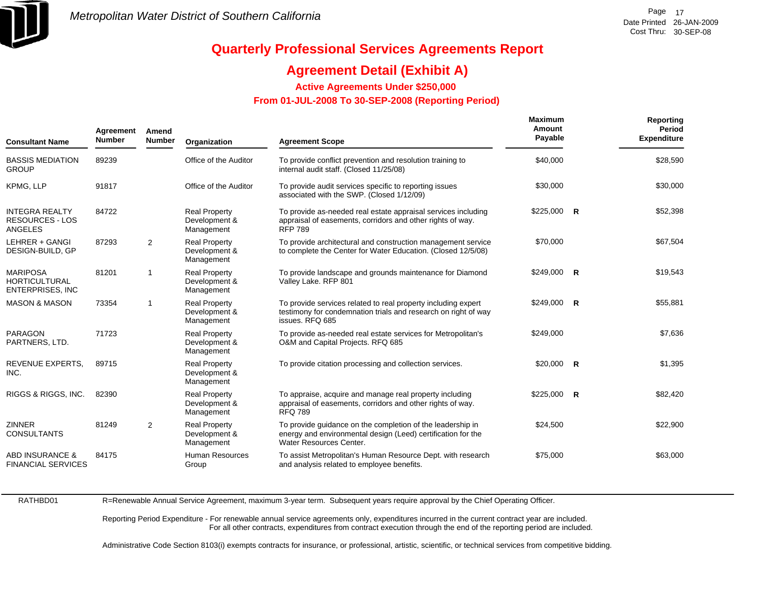

## **Agreement Detail (Exhibit A)**

**Active Agreements Under \$250,000** 

 **From 01-JUL-2008 To 30-SEP-2008 (Reporting Period)** 

| Agreement<br><b>Number</b><br><b>Consultant Name</b>               |       | Amend<br><b>Number</b> | Organization                                        | <b>Agreement Scope</b>                                                                                                                                | <b>Maximum</b><br>Amount<br>Payable |  | Reporting<br>Period<br><b>Expenditure</b> |
|--------------------------------------------------------------------|-------|------------------------|-----------------------------------------------------|-------------------------------------------------------------------------------------------------------------------------------------------------------|-------------------------------------|--|-------------------------------------------|
| <b>BASSIS MEDIATION</b><br><b>GROUP</b>                            | 89239 |                        | Office of the Auditor                               | To provide conflict prevention and resolution training to<br>internal audit staff. (Closed 11/25/08)                                                  | \$40,000                            |  | \$28,590                                  |
| <b>KPMG, LLP</b>                                                   | 91817 |                        | Office of the Auditor                               | To provide audit services specific to reporting issues<br>associated with the SWP. (Closed 1/12/09)                                                   | \$30,000                            |  | \$30,000                                  |
| <b>INTEGRA REALTY</b><br><b>RESOURCES - LOS</b><br><b>ANGELES</b>  | 84722 |                        | <b>Real Property</b><br>Development &<br>Management | To provide as-needed real estate appraisal services including<br>appraisal of easements, corridors and other rights of way.<br><b>RFP 789</b>         | $$225,000$ R                        |  | \$52,398                                  |
| LEHRER + GANGI<br>DESIGN-BUILD, GP                                 | 87293 | 2                      | <b>Real Property</b><br>Development &<br>Management | To provide architectural and construction management service<br>to complete the Center for Water Education. (Closed 12/5/08)                          | \$70,000                            |  | \$67,504                                  |
| <b>MARIPOSA</b><br><b>HORTICULTURAL</b><br><b>ENTERPRISES, INC</b> | 81201 | 1                      | <b>Real Property</b><br>Development &<br>Management | To provide landscape and grounds maintenance for Diamond<br>Valley Lake. RFP 801                                                                      | $$249,000$ R                        |  | \$19,543                                  |
| <b>MASON &amp; MASON</b>                                           | 73354 | 1                      | <b>Real Property</b><br>Development &<br>Management | To provide services related to real property including expert<br>testimony for condemnation trials and research on right of way<br>issues. RFQ 685    | $$249,000$ R                        |  | \$55,881                                  |
| <b>PARAGON</b><br>PARTNERS, LTD.                                   | 71723 |                        | <b>Real Property</b><br>Development &<br>Management | To provide as-needed real estate services for Metropolitan's<br>O&M and Capital Projects. RFQ 685                                                     | \$249.000                           |  | \$7,636                                   |
| REVENUE EXPERTS.<br>INC.                                           | 89715 |                        | <b>Real Property</b><br>Development &<br>Management | To provide citation processing and collection services.                                                                                               | $$20,000$ R                         |  | \$1,395                                   |
| <b>RIGGS &amp; RIGGS, INC.</b>                                     | 82390 |                        | <b>Real Property</b><br>Development &<br>Management | To appraise, acquire and manage real property including<br>appraisal of easements, corridors and other rights of way.<br><b>RFQ 789</b>               | $$225,000$ R                        |  | \$82,420                                  |
| <b>ZINNER</b><br><b>CONSULTANTS</b>                                | 81249 | $\overline{2}$         | <b>Real Property</b><br>Development &<br>Management | To provide guidance on the completion of the leadership in<br>energy and environmental design (Leed) certification for the<br>Water Resources Center. | \$24,500                            |  | \$22,900                                  |
| <b>ABD INSURANCE &amp;</b><br><b>FINANCIAL SERVICES</b>            | 84175 |                        | Human Resources<br>Group                            | To assist Metropolitan's Human Resource Dept. with research<br>and analysis related to employee benefits.                                             | \$75,000                            |  | \$63,000                                  |

RATHBD01

R=Renewable Annual Service Agreement, maximum 3-year term. Subsequent years require approval by the Chief Operating Officer.

Reporting Period Expenditure - For renewable annual service agreements only, expenditures incurred in the current contract year are included. For all other contracts, expenditures from contract execution through the end of the reporting period are included.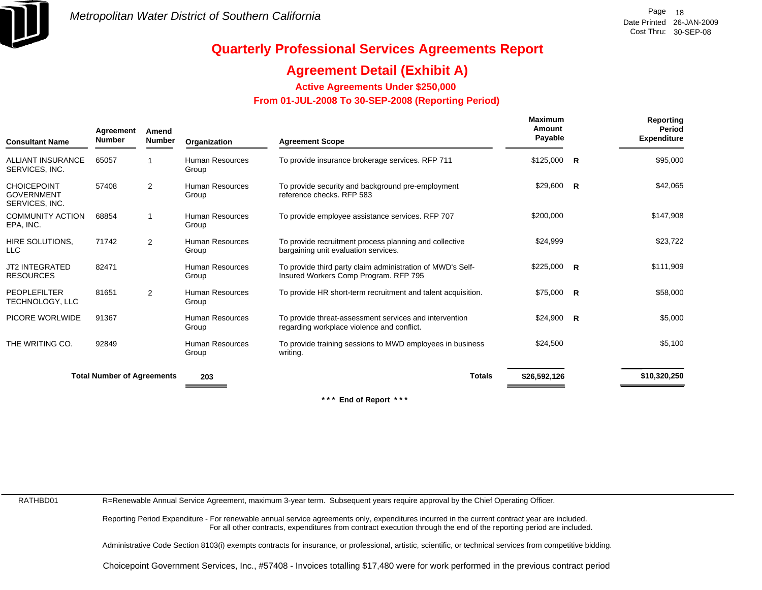

## **Agreement Detail (Exhibit A)**

**Active Agreements Under \$250,000** 

 **From 01-JUL-2008 To 30-SEP-2008 (Reporting Period)** 

| <b>Consultant Name</b>                      | Agreement<br><b>Number</b>        | Amend<br><b>Number</b> | Organization                    | <b>Agreement Scope</b>                                                                               | Maximum<br>Amount<br>Payable |   | Reporting<br>Period<br><b>Expenditure</b> |
|---------------------------------------------|-----------------------------------|------------------------|---------------------------------|------------------------------------------------------------------------------------------------------|------------------------------|---|-------------------------------------------|
| ALLIANT INSURANCE<br>SERVICES, INC.         | 65057                             |                        | <b>Human Resources</b><br>Group | To provide insurance brokerage services. RFP 711                                                     | \$125,000                    | R | \$95,000                                  |
| CHOICEPOINT<br>GOVERNMENT<br>SERVICES. INC. | 57408                             | 2                      | Human Resources<br>Group        | To provide security and background pre-employment<br>reference checks. RFP 583                       | \$29,600                     | R | \$42,065                                  |
| <b>COMMUNITY ACTION</b><br>EPA, INC.        | 68854                             |                        | <b>Human Resources</b><br>Group | To provide employee assistance services. RFP 707                                                     | \$200,000                    |   | \$147,908                                 |
| HIRE SOLUTIONS,<br>LLC                      | 71742                             | $\overline{2}$         | <b>Human Resources</b><br>Group | To provide recruitment process planning and collective<br>bargaining unit evaluation services.       | \$24,999                     |   | \$23,722                                  |
| <b>JT2 INTEGRATED</b><br><b>RESOURCES</b>   | 82471                             |                        | Human Resources<br>Group        | To provide third party claim administration of MWD's Self-<br>Insured Workers Comp Program. RFP 795  | \$225,000                    | R | \$111,909                                 |
| <b>PEOPLEFILTER</b><br>TECHNOLOGY, LLC      | 81651                             | $\overline{2}$         | Human Resources<br>Group        | To provide HR short-term recruitment and talent acquisition.                                         | \$75,000                     | R | \$58,000                                  |
| PICORE WORLWIDE                             | 91367                             |                        | <b>Human Resources</b><br>Group | To provide threat-assessment services and intervention<br>regarding workplace violence and conflict. | \$24,900                     | R | \$5,000                                   |
| THE WRITING CO.                             | 92849                             |                        | <b>Human Resources</b><br>Group | To provide training sessions to MWD employees in business<br>writing.                                | \$24,500                     |   | \$5,100                                   |
|                                             | <b>Total Number of Agreements</b> |                        | 203                             | <b>Totals</b>                                                                                        | \$26,592,126                 |   | \$10,320,250                              |

**\* \* \* End of Report \* \* \***

RATHBD01

R=Renewable Annual Service Agreement, maximum 3-year term. Subsequent years require approval by the Chief Operating Officer.

Reporting Period Expenditure - For renewable annual service agreements only, expenditures incurred in the current contract year are included. For all other contracts, expenditures from contract execution through the end of the reporting period are included.

Administrative Code Section 8103(i) exempts contracts for insurance, or professional, artistic, scientific, or technical services from competitive bidding.

Choicepoint Government Services, Inc., #57408 - Invoices totalling \$17,480 were for work performed in the previous contract period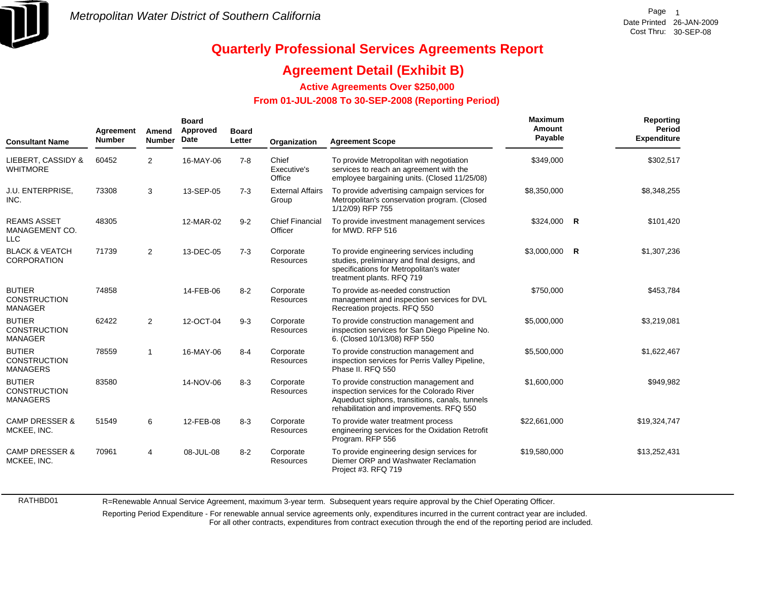

RATHBD01

# **Quarterly Professional Services Agreements Report**

### **Agreement Detail (Exhibit B)**

**Active Agreements Over \$250,000**

#### **From 01-JUL-2008 To 30-SEP-2008 (Reporting Period)**

| <b>Consultant Name</b>                                  | Agreement<br><b>Number</b> | Amend<br><b>Number</b> | <b>Board</b><br>Approved<br><b>Date</b> | <b>Board</b><br>Letter | Organization                      | <b>Agreement Scope</b>                                                                                                                                                             | Maximum<br>Amount<br>Payable | Reporting<br>Period<br><b>Expenditure</b> |
|---------------------------------------------------------|----------------------------|------------------------|-----------------------------------------|------------------------|-----------------------------------|------------------------------------------------------------------------------------------------------------------------------------------------------------------------------------|------------------------------|-------------------------------------------|
| LIEBERT, CASSIDY &<br><b>WHITMORE</b>                   | 60452                      | $\overline{2}$         | 16-MAY-06                               | $7 - 8$                | Chief<br>Executive's<br>Office    | To provide Metropolitan with negotiation<br>services to reach an agreement with the<br>employee bargaining units. (Closed 11/25/08)                                                | \$349,000                    | \$302,517                                 |
| J.U. ENTERPRISE,<br>INC.                                | 73308                      | 3                      | 13-SEP-05                               | $7-3$                  | <b>External Affairs</b><br>Group  | To provide advertising campaign services for<br>Metropolitan's conservation program. (Closed<br>1/12/09) RFP 755                                                                   | \$8,350,000                  | \$8,348,255                               |
| <b>REAMS ASSET</b><br>MANAGEMENT CO.<br><b>LLC</b>      | 48305                      |                        | 12-MAR-02                               | $9 - 2$                | <b>Chief Financial</b><br>Officer | To provide investment management services<br>for MWD. RFP 516                                                                                                                      | $$324,000$ R                 | \$101,420                                 |
| <b>BLACK &amp; VEATCH</b><br><b>CORPORATION</b>         | 71739                      | $\overline{2}$         | 13-DEC-05                               | $7 - 3$                | Corporate<br>Resources            | To provide engineering services including<br>studies, preliminary and final designs, and<br>specifications for Metropolitan's water<br>treatment plants. RFQ 719                   | \$3,000,000 R                | \$1,307,236                               |
| <b>BUTIER</b><br><b>CONSTRUCTION</b><br>MANAGER         | 74858                      |                        | 14-FEB-06                               | $8 - 2$                | Corporate<br>Resources            | To provide as-needed construction<br>management and inspection services for DVL<br>Recreation projects. RFQ 550                                                                    | \$750,000                    | \$453,784                                 |
| <b>BUTIER</b><br><b>CONSTRUCTION</b><br><b>MANAGER</b>  | 62422                      | $\overline{2}$         | 12-OCT-04                               | $9 - 3$                | Corporate<br>Resources            | To provide construction management and<br>inspection services for San Diego Pipeline No.<br>6. (Closed 10/13/08) RFP 550                                                           | \$5,000,000                  | \$3,219,081                               |
| <b>BUTIER</b><br><b>CONSTRUCTION</b><br><b>MANAGERS</b> | 78559                      | $\mathbf{1}$           | 16-MAY-06                               | $8 - 4$                | Corporate<br>Resources            | To provide construction management and<br>inspection services for Perris Valley Pipeline,<br>Phase II. RFQ 550                                                                     | \$5,500,000                  | \$1,622,467                               |
| <b>BUTIER</b><br><b>CONSTRUCTION</b><br><b>MANAGERS</b> | 83580                      |                        | 14-NOV-06                               | $8 - 3$                | Corporate<br>Resources            | To provide construction management and<br>inspection services for the Colorado River<br>Aqueduct siphons, transitions, canals, tunnels<br>rehabilitation and improvements. RFQ 550 | \$1,600,000                  | \$949,982                                 |
| <b>CAMP DRESSER &amp;</b><br>MCKEE, INC.                | 51549                      | 6                      | 12-FEB-08                               | $8 - 3$                | Corporate<br><b>Resources</b>     | To provide water treatment process<br>engineering services for the Oxidation Retrofit<br>Program. RFP 556                                                                          | \$22,661,000                 | \$19,324,747                              |
| <b>CAMP DRESSER &amp;</b><br>MCKEE, INC.                | 70961                      | 4                      | 08-JUL-08                               | $8 - 2$                | Corporate<br><b>Resources</b>     | To provide engineering design services for<br>Diemer ORP and Washwater Reclamation<br>Project #3. RFQ 719                                                                          | \$19,580,000                 | \$13,252,431                              |

R=Renewable Annual Service Agreement, maximum 3-year term. Subsequent years require approval by the Chief Operating Officer.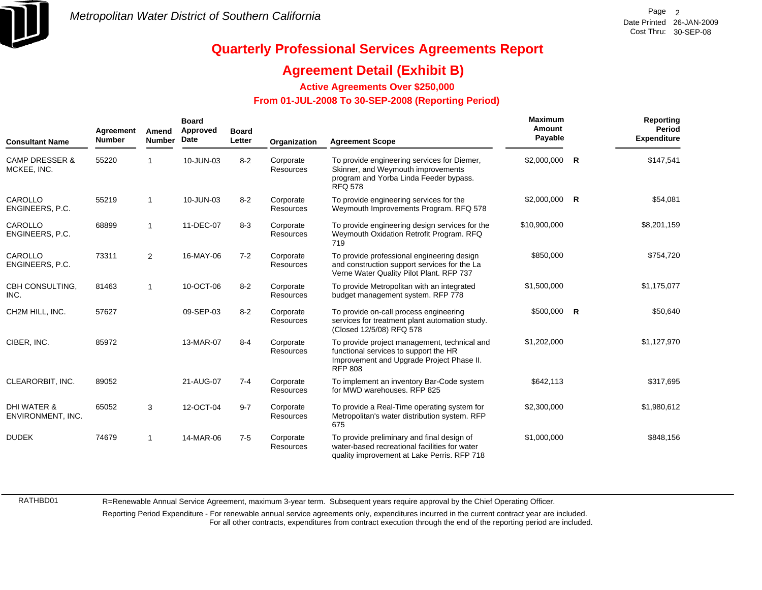

### **Agreement Detail (Exhibit B)**

**Active Agreements Over \$250,000**

#### **From 01-JUL-2008 To 30-SEP-2008 (Reporting Period)**

| <b>Consultant Name</b>                      | Agreement<br><b>Number</b> | Amend<br><b>Number</b> | <b>Board</b><br>Approved<br>Date | <b>Board</b><br>Letter | Organization                  | <b>Agreement Scope</b>                                                                                                                               | Maximum<br>Amount<br>Payable |              | Reporting<br><b>Period</b><br><b>Expenditure</b> |
|---------------------------------------------|----------------------------|------------------------|----------------------------------|------------------------|-------------------------------|------------------------------------------------------------------------------------------------------------------------------------------------------|------------------------------|--------------|--------------------------------------------------|
| <b>CAMP DRESSER &amp;</b><br>MCKEE, INC.    | 55220                      |                        | 10-JUN-03                        | $8 - 2$                | Corporate<br><b>Resources</b> | To provide engineering services for Diemer,<br>Skinner, and Weymouth improvements<br>program and Yorba Linda Feeder bypass.<br><b>RFQ 578</b>        | \$2,000,000                  | R            | \$147,541                                        |
| CAROLLO<br>ENGINEERS, P.C.                  | 55219                      | $\mathbf{1}$           | 10-JUN-03                        | $8 - 2$                | Corporate<br><b>Resources</b> | To provide engineering services for the<br>Weymouth Improvements Program. RFQ 578                                                                    | \$2,000,000 R                |              | \$54,081                                         |
| CAROLLO<br>ENGINEERS, P.C.                  | 68899                      | 1                      | 11-DEC-07                        | $8 - 3$                | Corporate<br><b>Resources</b> | To provide engineering design services for the<br>Weymouth Oxidation Retrofit Program. RFQ<br>719                                                    | \$10,900,000                 |              | \$8,201,159                                      |
| CAROLLO<br>ENGINEERS, P.C.                  | 73311                      | $\overline{2}$         | 16-MAY-06                        | $7 - 2$                | Corporate<br><b>Resources</b> | To provide professional engineering design<br>and construction support services for the La<br>Verne Water Quality Pilot Plant. RFP 737               | \$850,000                    |              | \$754,720                                        |
| CBH CONSULTING,<br>INC.                     | 81463                      | $\mathbf{1}$           | 10-OCT-06                        | $8 - 2$                | Corporate<br><b>Resources</b> | To provide Metropolitan with an integrated<br>budget management system. RFP 778                                                                      | \$1,500,000                  |              | \$1,175,077                                      |
| CH2M HILL, INC.                             | 57627                      |                        | 09-SEP-03                        | $8 - 2$                | Corporate<br>Resources        | To provide on-call process engineering<br>services for treatment plant automation study.<br>(Closed 12/5/08) RFQ 578                                 | \$500,000                    | $\mathsf{R}$ | \$50,640                                         |
| CIBER, INC.                                 | 85972                      |                        | 13-MAR-07                        | $8 - 4$                | Corporate<br><b>Resources</b> | To provide project management, technical and<br>functional services to support the HR<br>Improvement and Upgrade Project Phase II.<br><b>RFP 808</b> | \$1,202,000                  |              | \$1,127,970                                      |
| CLEARORBIT. INC.                            | 89052                      |                        | 21-AUG-07                        | $7 - 4$                | Corporate<br><b>Resources</b> | To implement an inventory Bar-Code system<br>for MWD warehouses. RFP 825                                                                             | \$642,113                    |              | \$317,695                                        |
| <b>DHI WATER &amp;</b><br>ENVIRONMENT, INC. | 65052                      | 3                      | 12-OCT-04                        | $9 - 7$                | Corporate<br><b>Resources</b> | To provide a Real-Time operating system for<br>Metropolitan's water distribution system. RFP<br>675                                                  | \$2,300,000                  |              | \$1,980,612                                      |
| <b>DUDEK</b>                                | 74679                      | 1                      | 14-MAR-06                        | $7 - 5$                | Corporate<br>Resources        | To provide preliminary and final design of<br>water-based recreational facilities for water<br>quality improvement at Lake Perris. RFP 718           | \$1,000,000                  |              | \$848,156                                        |

RATHBD01

R=Renewable Annual Service Agreement, maximum 3-year term. Subsequent years require approval by the Chief Operating Officer.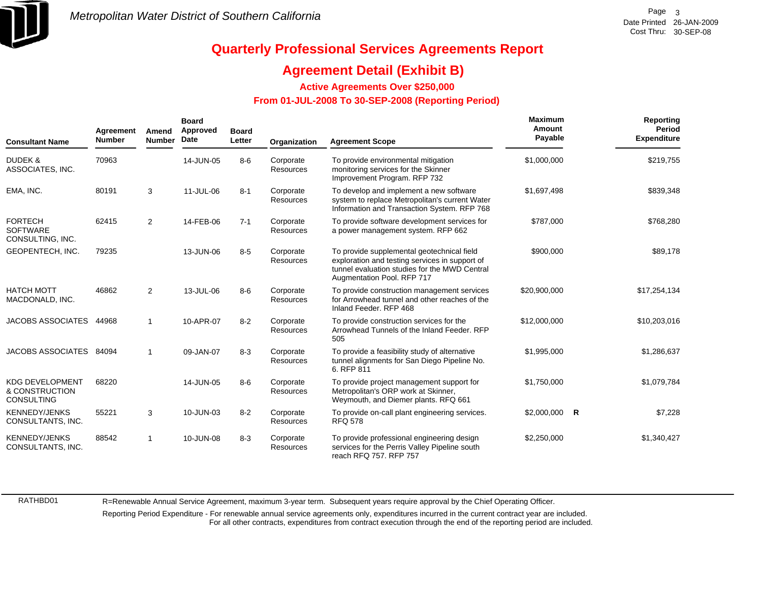

### **Agreement Detail (Exhibit B)**

**Active Agreements Over \$250,000**

#### **From 01-JUL-2008 To 30-SEP-2008 (Reporting Period)**

| <b>Consultant Name</b>                                        | Agreement<br><b>Number</b> | Amend<br><b>Number</b> | <b>Board</b><br>Approved<br>Date | <b>Board</b><br>Letter | Organization                  | <b>Agreement Scope</b>                                                                                                                                                      | Maximum<br>Amount<br>Payable | Reporting<br><b>Period</b><br><b>Expenditure</b> |
|---------------------------------------------------------------|----------------------------|------------------------|----------------------------------|------------------------|-------------------------------|-----------------------------------------------------------------------------------------------------------------------------------------------------------------------------|------------------------------|--------------------------------------------------|
| <b>DUDEK &amp;</b><br>ASSOCIATES, INC.                        | 70963                      |                        | 14-JUN-05                        | $8-6$                  | Corporate<br><b>Resources</b> | To provide environmental mitigation<br>monitoring services for the Skinner<br>Improvement Program. RFP 732                                                                  | \$1,000,000                  | \$219,755                                        |
| EMA, INC.                                                     | 80191                      | 3                      | 11-JUL-06                        | $8 - 1$                | Corporate<br><b>Resources</b> | To develop and implement a new software<br>system to replace Metropolitan's current Water<br>Information and Transaction System. RFP 768                                    | \$1,697,498                  | \$839,348                                        |
| <b>FORTECH</b><br><b>SOFTWARE</b><br>CONSULTING, INC.         | 62415                      | $\overline{2}$         | 14-FEB-06                        | $7 - 1$                | Corporate<br><b>Resources</b> | To provide software development services for<br>a power management system. RFP 662                                                                                          | \$787,000                    | \$768,280                                        |
| GEOPENTECH, INC.                                              | 79235                      |                        | 13-JUN-06                        | $8-5$                  | Corporate<br>Resources        | To provide supplemental geotechnical field<br>exploration and testing services in support of<br>tunnel evaluation studies for the MWD Central<br>Augmentation Pool. RFP 717 | \$900,000                    | \$89,178                                         |
| <b>HATCH MOTT</b><br>MACDONALD, INC.                          | 46862                      | $\overline{2}$         | 13-JUL-06                        | $8-6$                  | Corporate<br><b>Resources</b> | To provide construction management services<br>for Arrowhead tunnel and other reaches of the<br>Inland Feeder, RFP 468                                                      | \$20,900,000                 | \$17,254,134                                     |
| <b>JACOBS ASSOCIATES</b>                                      | 44968                      |                        | 10-APR-07                        | $8 - 2$                | Corporate<br>Resources        | To provide construction services for the<br>Arrowhead Tunnels of the Inland Feeder, RFP<br>505                                                                              | \$12,000,000                 | \$10,203,016                                     |
| JACOBS ASSOCIATES 84094                                       |                            |                        | 09-JAN-07                        | $8 - 3$                | Corporate<br><b>Resources</b> | To provide a feasibility study of alternative<br>tunnel alignments for San Diego Pipeline No.<br>6. RFP 811                                                                 | \$1,995,000                  | \$1,286,637                                      |
| <b>KDG DEVELOPMENT</b><br>& CONSTRUCTION<br><b>CONSULTING</b> | 68220                      |                        | 14-JUN-05                        | $8 - 6$                | Corporate<br><b>Resources</b> | To provide project management support for<br>Metropolitan's ORP work at Skinner,<br>Weymouth, and Diemer plants. RFQ 661                                                    | \$1.750.000                  | \$1,079,784                                      |
| <b>KENNEDY/JENKS</b><br>CONSULTANTS, INC.                     | 55221                      | 3                      | 10-JUN-03                        | $8 - 2$                | Corporate<br><b>Resources</b> | To provide on-call plant engineering services.<br><b>RFQ 578</b>                                                                                                            | $$2,000,000$ R               | \$7,228                                          |
| <b>KENNEDY/JENKS</b><br>CONSULTANTS, INC.                     | 88542                      | 1                      | 10-JUN-08                        | $8 - 3$                | Corporate<br><b>Resources</b> | To provide professional engineering design<br>services for the Perris Valley Pipeline south<br>reach RFQ 757. RFP 757                                                       | \$2,250,000                  | \$1,340,427                                      |

RATHBD01

R=Renewable Annual Service Agreement, maximum 3-year term. Subsequent years require approval by the Chief Operating Officer.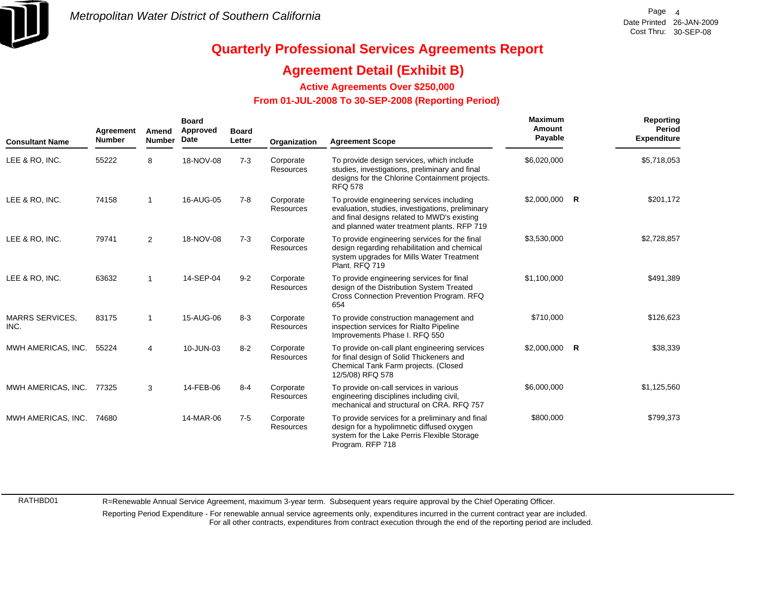

### **Agreement Detail (Exhibit B)**

**Active Agreements Over \$250,000**

#### **From 01-JUL-2008 To 30-SEP-2008 (Reporting Period)**

| <b>Consultant Name</b>         | Agreement<br><b>Number</b> | Amend<br><b>Number</b> | <b>Board</b><br>Approved<br>Date | <b>Board</b><br>Letter | Organization                  | <b>Agreement Scope</b>                                                                                                                                                                      | Maximum<br>Amount<br>Payable | Reporting<br>Period<br><b>Expenditure</b> |
|--------------------------------|----------------------------|------------------------|----------------------------------|------------------------|-------------------------------|---------------------------------------------------------------------------------------------------------------------------------------------------------------------------------------------|------------------------------|-------------------------------------------|
| LEE & RO, INC.                 | 55222                      | 8                      | 18-NOV-08                        | $7 - 3$                | Corporate<br><b>Resources</b> | To provide design services, which include<br>studies, investigations, preliminary and final<br>designs for the Chlorine Containment projects.<br><b>RFQ 578</b>                             | \$6,020,000                  | \$5,718,053                               |
| LEE & RO, INC.                 | 74158                      | -1                     | 16-AUG-05                        | $7 - 8$                | Corporate<br>Resources        | To provide engineering services including<br>evaluation, studies, investigations, preliminary<br>and final designs related to MWD's existing<br>and planned water treatment plants. RFP 719 | $$2,000,000$ R               | \$201,172                                 |
| LEE & RO, INC.                 | 79741                      | $\overline{2}$         | 18-NOV-08                        | $7-3$                  | Corporate<br><b>Resources</b> | To provide engineering services for the final<br>design regarding rehabilitation and chemical<br>system upgrades for Mills Water Treatment<br>Plant, RFQ 719                                | \$3,530,000                  | \$2,728,857                               |
| LEE & RO. INC.                 | 63632                      |                        | 14-SEP-04                        | $9 - 2$                | Corporate<br><b>Resources</b> | To provide engineering services for final<br>design of the Distribution System Treated<br>Cross Connection Prevention Program. RFQ<br>654                                                   | \$1,100,000                  | \$491,389                                 |
| <b>MARRS SERVICES,</b><br>INC. | 83175                      |                        | 15-AUG-06                        | $8 - 3$                | Corporate<br><b>Resources</b> | To provide construction management and<br>inspection services for Rialto Pipeline<br>Improvements Phase I. RFQ 550                                                                          | \$710,000                    | \$126,623                                 |
| MWH AMERICAS, INC.             | 55224                      | 4                      | 10-JUN-03                        | $8 - 2$                | Corporate<br>Resources        | To provide on-call plant engineering services<br>for final design of Solid Thickeners and<br>Chemical Tank Farm projects. (Closed<br>12/5/08) RFQ 578                                       | $$2,000,000$ R               | \$38,339                                  |
| MWH AMERICAS, INC.             | 77325                      | 3                      | 14-FEB-06                        | $8 - 4$                | Corporate<br>Resources        | To provide on-call services in various<br>engineering disciplines including civil,<br>mechanical and structural on CRA. RFQ 757                                                             | \$6,000,000                  | \$1,125,560                               |
| MWH AMERICAS, INC.             | 74680                      |                        | 14-MAR-06                        | $7-5$                  | Corporate<br>Resources        | To provide services for a preliminary and final<br>design for a hypolimnetic diffused oxygen<br>system for the Lake Perris Flexible Storage<br>Program. RFP 718                             | \$800,000                    | \$799,373                                 |

RATHBD01

R=Renewable Annual Service Agreement, maximum 3-year term. Subsequent years require approval by the Chief Operating Officer.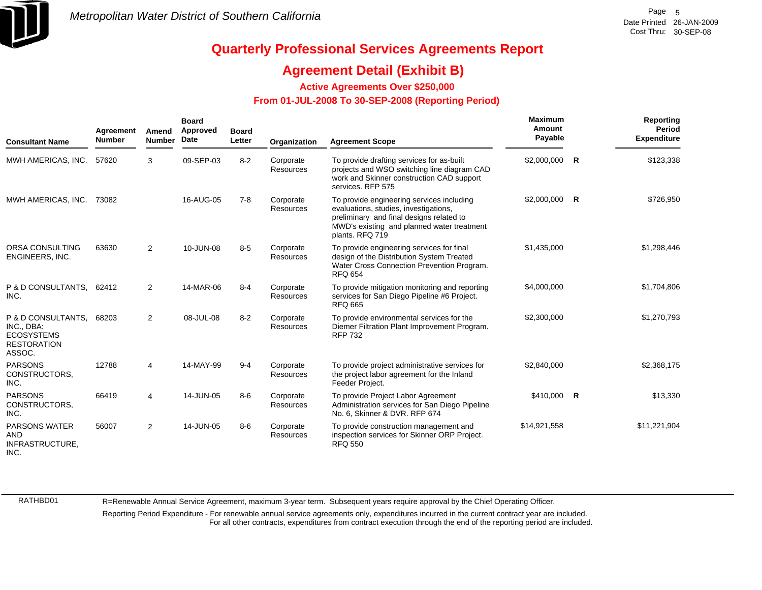

### **Agreement Detail (Exhibit B)**

**Active Agreements Over \$250,000**

#### **From 01-JUL-2008 To 30-SEP-2008 (Reporting Period)**

| <b>Consultant Name</b>                                                                | Agreement<br><b>Number</b> | Amend<br><b>Number</b> | <b>Board</b><br>Approved<br>Date | <b>Board</b><br>Letter | Organization           | <b>Agreement Scope</b>                                                                                                                                                                          | <b>Maximum</b><br>Amount<br>Payable |   | Reporting<br><b>Period</b><br><b>Expenditure</b> |
|---------------------------------------------------------------------------------------|----------------------------|------------------------|----------------------------------|------------------------|------------------------|-------------------------------------------------------------------------------------------------------------------------------------------------------------------------------------------------|-------------------------------------|---|--------------------------------------------------|
| MWH AMERICAS, INC.                                                                    | 57620                      | 3                      | 09-SEP-03                        | $8 - 2$                | Corporate<br>Resources | To provide drafting services for as-built<br>projects and WSO switching line diagram CAD<br>work and Skinner construction CAD support<br>services. RFP 575                                      | \$2,000,000                         | R | \$123,338                                        |
| MWH AMERICAS, INC.                                                                    | 73082                      |                        | 16-AUG-05                        | $7 - 8$                | Corporate<br>Resources | To provide engineering services including<br>evaluations, studies, investigations,<br>preliminary and final designs related to<br>MWD's existing and planned water treatment<br>plants, RFQ 719 | $$2,000,000$ R                      |   | \$726,950                                        |
| ORSA CONSULTING<br>ENGINEERS, INC.                                                    | 63630                      | $\overline{2}$         | 10-JUN-08                        | $8-5$                  | Corporate<br>Resources | To provide engineering services for final<br>design of the Distribution System Treated<br>Water Cross Connection Prevention Program.<br><b>RFQ 654</b>                                          | \$1,435,000                         |   | \$1,298,446                                      |
| P & D CONSULTANTS,<br>INC.                                                            | 62412                      | $\overline{2}$         | 14-MAR-06                        | $8 - 4$                | Corporate<br>Resources | To provide mitigation monitoring and reporting<br>services for San Diego Pipeline #6 Project.<br><b>RFQ 665</b>                                                                                 | \$4,000,000                         |   | \$1,704,806                                      |
| P & D CONSULTANTS.<br>INC., DBA:<br><b>ECOSYSTEMS</b><br><b>RESTORATION</b><br>ASSOC. | 68203                      | $\overline{2}$         | 08-JUL-08                        | $8 - 2$                | Corporate<br>Resources | To provide environmental services for the<br>Diemer Filtration Plant Improvement Program.<br><b>RFP 732</b>                                                                                     | \$2,300,000                         |   | \$1,270,793                                      |
| <b>PARSONS</b><br>CONSTRUCTORS.<br>INC.                                               | 12788                      | 4                      | 14-MAY-99                        | $9 - 4$                | Corporate<br>Resources | To provide project administrative services for<br>the project labor agreement for the Inland<br>Feeder Project.                                                                                 | \$2,840,000                         |   | \$2,368,175                                      |
| <b>PARSONS</b><br>CONSTRUCTORS.<br>INC.                                               | 66419                      | 4                      | 14-JUN-05                        | $8-6$                  | Corporate<br>Resources | To provide Project Labor Agreement<br>Administration services for San Diego Pipeline<br>No. 6, Skinner & DVR. RFP 674                                                                           | \$410,000 R                         |   | \$13,330                                         |
| <b>PARSONS WATER</b><br><b>AND</b><br>INFRASTRUCTURE,<br>INC.                         | 56007                      | $\overline{2}$         | 14-JUN-05                        | $8-6$                  | Corporate<br>Resources | To provide construction management and<br>inspection services for Skinner ORP Project.<br><b>RFQ 550</b>                                                                                        | \$14,921,558                        |   | \$11,221,904                                     |

RATHBD01

R=Renewable Annual Service Agreement, maximum 3-year term. Subsequent years require approval by the Chief Operating Officer.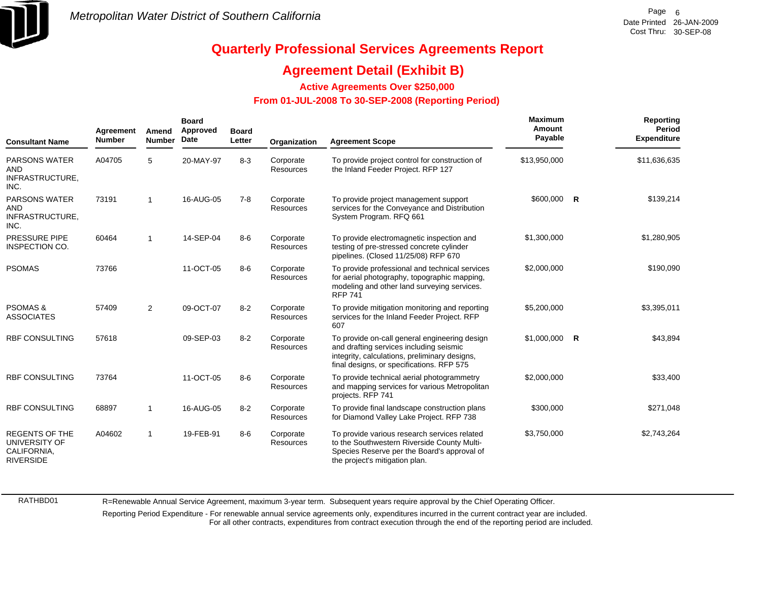

### **Agreement Detail (Exhibit B)**

**Active Agreements Over \$250,000**

#### **From 01-JUL-2008 To 30-SEP-2008 (Reporting Period)**

| <b>Consultant Name</b>                                                    | Agreement<br><b>Number</b> | Amend<br><b>Number</b>  | <b>Board</b><br>Approved<br>Date | <b>Board</b><br>Letter | Organization           | <b>Agreement Scope</b>                                                                                                                                                                 | <b>Maximum</b><br><b>Amount</b><br>Payable |          | Reporting<br><b>Period</b><br><b>Expenditure</b> |
|---------------------------------------------------------------------------|----------------------------|-------------------------|----------------------------------|------------------------|------------------------|----------------------------------------------------------------------------------------------------------------------------------------------------------------------------------------|--------------------------------------------|----------|--------------------------------------------------|
| <b>PARSONS WATER</b><br><b>AND</b><br>INFRASTRUCTURE,<br>INC.             | A04705                     | 5                       | 20-MAY-97                        | $8 - 3$                | Corporate<br>Resources | To provide project control for construction of<br>the Inland Feeder Project. RFP 127                                                                                                   | \$13,950,000                               |          | \$11,636,635                                     |
| <b>PARSONS WATER</b><br><b>AND</b><br>INFRASTRUCTURE,<br>INC.             | 73191                      | -1                      | 16-AUG-05                        | $7 - 8$                | Corporate<br>Resources | To provide project management support<br>services for the Conveyance and Distribution<br>System Program. RFQ 661                                                                       | \$600,000                                  | <b>R</b> | \$139,214                                        |
| PRESSURE PIPE<br>INSPECTION CO.                                           | 60464                      | $\overline{\mathbf{1}}$ | 14-SEP-04                        | $8-6$                  | Corporate<br>Resources | To provide electromagnetic inspection and<br>testing of pre-stressed concrete cylinder<br>pipelines. (Closed 11/25/08) RFP 670                                                         | \$1,300,000                                |          | \$1,280,905                                      |
| <b>PSOMAS</b>                                                             | 73766                      |                         | 11-OCT-05                        | $8-6$                  | Corporate<br>Resources | To provide professional and technical services<br>for aerial photography, topographic mapping,<br>modeling and other land surveying services.<br><b>RFP 741</b>                        | \$2,000,000                                |          | \$190,090                                        |
| <b>PSOMAS &amp;</b><br><b>ASSOCIATES</b>                                  | 57409                      | $\overline{2}$          | 09-OCT-07                        | $8 - 2$                | Corporate<br>Resources | To provide mitigation monitoring and reporting<br>services for the Inland Feeder Project. RFP<br>607                                                                                   | \$5,200,000                                |          | \$3,395,011                                      |
| <b>RBF CONSULTING</b>                                                     | 57618                      |                         | 09-SEP-03                        | $8 - 2$                | Corporate<br>Resources | To provide on-call general engineering design<br>and drafting services including seismic<br>integrity, calculations, preliminary designs,<br>final designs, or specifications. RFP 575 | $$1,000,000$ R                             |          | \$43,894                                         |
| <b>RBF CONSULTING</b>                                                     | 73764                      |                         | 11-OCT-05                        | $8-6$                  | Corporate<br>Resources | To provide technical aerial photogrammetry<br>and mapping services for various Metropolitan<br>projects. RFP 741                                                                       | \$2,000,000                                |          | \$33,400                                         |
| <b>RBF CONSULTING</b>                                                     | 68897                      | $\overline{\mathbf{1}}$ | 16-AUG-05                        | $8 - 2$                | Corporate<br>Resources | To provide final landscape construction plans<br>for Diamond Valley Lake Project. RFP 738                                                                                              | \$300,000                                  |          | \$271,048                                        |
| <b>REGENTS OF THE</b><br>UNIVERSITY OF<br>CALIFORNIA,<br><b>RIVERSIDE</b> | A04602                     | $\overline{1}$          | 19-FEB-91                        | $8-6$                  | Corporate<br>Resources | To provide various research services related<br>to the Southwestern Riverside County Multi-<br>Species Reserve per the Board's approval of<br>the project's mitigation plan.           | \$3,750,000                                |          | \$2,743,264                                      |

RATHBD01

R=Renewable Annual Service Agreement, maximum 3-year term. Subsequent years require approval by the Chief Operating Officer.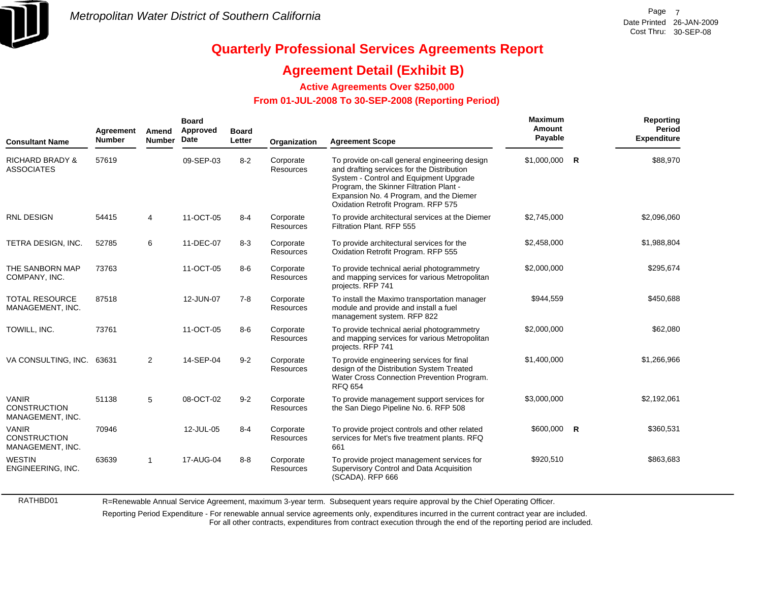

RATHBD01

# **Quarterly Professional Services Agreements Report**

### **Agreement Detail (Exhibit B)**

**Active Agreements Over \$250,000**

#### **From 01-JUL-2008 To 30-SEP-2008 (Reporting Period)**

| <b>Consultant Name</b>                                  | Agreement<br><b>Number</b> | Amend<br><b>Number</b> | <b>Board</b><br>Approved<br>Date | <b>Board</b><br>Letter | Organization                  | <b>Agreement Scope</b>                                                                                                                                                                                                                                             | Maximum<br>Amount<br>Payable |              | Reporting<br><b>Period</b><br><b>Expenditure</b> |
|---------------------------------------------------------|----------------------------|------------------------|----------------------------------|------------------------|-------------------------------|--------------------------------------------------------------------------------------------------------------------------------------------------------------------------------------------------------------------------------------------------------------------|------------------------------|--------------|--------------------------------------------------|
| <b>RICHARD BRADY &amp;</b><br><b>ASSOCIATES</b>         | 57619                      |                        | 09-SEP-03                        | $8 - 2$                | Corporate<br>Resources        | To provide on-call general engineering design<br>and drafting services for the Distribution<br>System - Control and Equipment Upgrade<br>Program, the Skinner Filtration Plant -<br>Expansion No. 4 Program, and the Diemer<br>Oxidation Retrofit Program. RFP 575 | \$1,000,000                  | $\mathsf{R}$ | \$88,970                                         |
| <b>RNL DESIGN</b>                                       | 54415                      | $\overline{4}$         | 11-OCT-05                        | $8 - 4$                | Corporate<br>Resources        | To provide architectural services at the Diemer<br>Filtration Plant. RFP 555                                                                                                                                                                                       | \$2,745,000                  |              | \$2,096,060                                      |
| TETRA DESIGN, INC.                                      | 52785                      | 6                      | 11-DEC-07                        | $8 - 3$                | Corporate<br><b>Resources</b> | To provide architectural services for the<br>Oxidation Retrofit Program. RFP 555                                                                                                                                                                                   | \$2,458,000                  |              | \$1,988,804                                      |
| THE SANBORN MAP<br>COMPANY, INC.                        | 73763                      |                        | 11-OCT-05                        | $8-6$                  | Corporate<br><b>Resources</b> | To provide technical aerial photogrammetry<br>and mapping services for various Metropolitan<br>projects. RFP 741                                                                                                                                                   | \$2,000,000                  |              | \$295,674                                        |
| <b>TOTAL RESOURCE</b><br>MANAGEMENT, INC.               | 87518                      |                        | 12-JUN-07                        | $7 - 8$                | Corporate<br><b>Resources</b> | To install the Maximo transportation manager<br>module and provide and install a fuel<br>management system. RFP 822                                                                                                                                                | \$944,559                    |              | \$450,688                                        |
| TOWILL, INC.                                            | 73761                      |                        | 11-OCT-05                        | $8-6$                  | Corporate<br><b>Resources</b> | To provide technical aerial photogrammetry<br>and mapping services for various Metropolitan<br>projects. RFP 741                                                                                                                                                   | \$2,000,000                  |              | \$62,080                                         |
| VA CONSULTING, INC.                                     | 63631                      | $\overline{2}$         | 14-SEP-04                        | $9 - 2$                | Corporate<br><b>Resources</b> | To provide engineering services for final<br>design of the Distribution System Treated<br>Water Cross Connection Prevention Program.<br><b>RFQ 654</b>                                                                                                             | \$1,400,000                  |              | \$1,266,966                                      |
| <b>VANIR</b><br><b>CONSTRUCTION</b><br>MANAGEMENT, INC. | 51138                      | 5                      | 08-OCT-02                        | $9 - 2$                | Corporate<br><b>Resources</b> | To provide management support services for<br>the San Diego Pipeline No. 6. RFP 508                                                                                                                                                                                | \$3,000,000                  |              | \$2,192,061                                      |
| <b>VANIR</b><br><b>CONSTRUCTION</b><br>MANAGEMENT, INC. | 70946                      |                        | 12-JUL-05                        | $8 - 4$                | Corporate<br><b>Resources</b> | To provide project controls and other related<br>services for Met's five treatment plants. RFQ<br>661                                                                                                                                                              | $$600,000$ R                 |              | \$360,531                                        |
| <b>WESTIN</b><br>ENGINEERING, INC.                      | 63639                      | -1                     | 17-AUG-04                        | $8 - 8$                | Corporate<br>Resources        | To provide project management services for<br>Supervisory Control and Data Acquisition<br>(SCADA). RFP 666                                                                                                                                                         | \$920,510                    |              | \$863,683                                        |

R=Renewable Annual Service Agreement, maximum 3-year term. Subsequent years require approval by the Chief Operating Officer.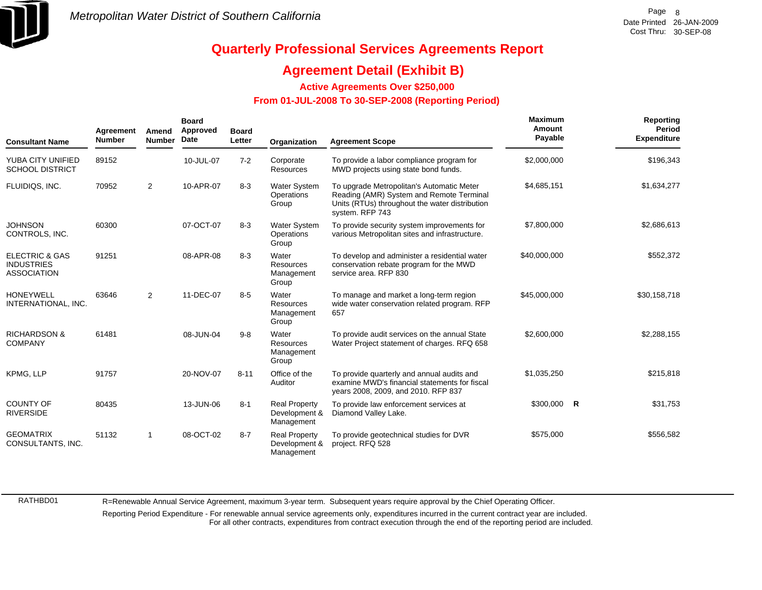

### **Agreement Detail (Exhibit B)**

**Active Agreements Over \$250,000**

#### **From 01-JUL-2008 To 30-SEP-2008 (Reporting Period)**

| <b>Consultant Name</b>                                               | Agreement<br><b>Number</b> | Amend<br><b>Number</b> | <b>Board</b><br>Approved<br><b>Date</b> | <b>Board</b><br>Letter | Organization                                        | <b>Agreement Scope</b>                                                                                                                                     | Maximum<br>Amount<br>Payable |              | Reporting<br>Period<br><b>Expenditure</b> |
|----------------------------------------------------------------------|----------------------------|------------------------|-----------------------------------------|------------------------|-----------------------------------------------------|------------------------------------------------------------------------------------------------------------------------------------------------------------|------------------------------|--------------|-------------------------------------------|
| YUBA CITY UNIFIED<br><b>SCHOOL DISTRICT</b>                          | 89152                      |                        | 10-JUL-07                               | $7 - 2$                | Corporate<br><b>Resources</b>                       | To provide a labor compliance program for<br>MWD projects using state bond funds.                                                                          | \$2,000,000                  |              | \$196,343                                 |
| FLUIDIQS, INC.                                                       | 70952                      | $\overline{2}$         | 10-APR-07                               | $8 - 3$                | Water System<br>Operations<br>Group                 | To upgrade Metropolitan's Automatic Meter<br>Reading (AMR) System and Remote Terminal<br>Units (RTUs) throughout the water distribution<br>system. RFP 743 | \$4,685,151                  |              | \$1,634,277                               |
| <b>JOHNSON</b><br>CONTROLS, INC.                                     | 60300                      |                        | 07-OCT-07                               | $8 - 3$                | Water System<br>Operations<br>Group                 | To provide security system improvements for<br>various Metropolitan sites and infrastructure.                                                              | \$7,800,000                  |              | \$2,686,613                               |
| <b>ELECTRIC &amp; GAS</b><br><b>INDUSTRIES</b><br><b>ASSOCIATION</b> | 91251                      |                        | 08-APR-08                               | $8 - 3$                | Water<br>Resources<br>Management<br>Group           | To develop and administer a residential water<br>conservation rebate program for the MWD<br>service area. RFP 830                                          | \$40,000,000                 |              | \$552,372                                 |
| <b>HONEYWELL</b><br>INTERNATIONAL, INC.                              | 63646                      | $\overline{2}$         | 11-DEC-07                               | $8 - 5$                | Water<br><b>Resources</b><br>Management<br>Group    | To manage and market a long-term region<br>wide water conservation related program. RFP<br>657                                                             | \$45,000,000                 |              | \$30,158,718                              |
| <b>RICHARDSON &amp;</b><br><b>COMPANY</b>                            | 61481                      |                        | 08-JUN-04                               | $9 - 8$                | Water<br>Resources<br>Management<br>Group           | To provide audit services on the annual State<br>Water Project statement of charges. RFQ 658                                                               | \$2,600,000                  |              | \$2,288,155                               |
| KPMG, LLP                                                            | 91757                      |                        | 20-NOV-07                               | $8 - 11$               | Office of the<br>Auditor                            | To provide quarterly and annual audits and<br>examine MWD's financial statements for fiscal<br>years 2008, 2009, and 2010. RFP 837                         | \$1,035,250                  |              | \$215,818                                 |
| <b>COUNTY OF</b><br><b>RIVERSIDE</b>                                 | 80435                      |                        | 13-JUN-06                               | $8 - 1$                | <b>Real Property</b><br>Development &<br>Management | To provide law enforcement services at<br>Diamond Valley Lake.                                                                                             | \$300,000                    | $\mathsf{R}$ | \$31,753                                  |
| <b>GEOMATRIX</b><br>CONSULTANTS, INC.                                | 51132                      | 1                      | 08-OCT-02                               | $8 - 7$                | <b>Real Property</b><br>Development &<br>Management | To provide geotechnical studies for DVR<br>project. RFQ 528                                                                                                | \$575,000                    |              | \$556,582                                 |

RATHBD01

R=Renewable Annual Service Agreement, maximum 3-year term. Subsequent years require approval by the Chief Operating Officer.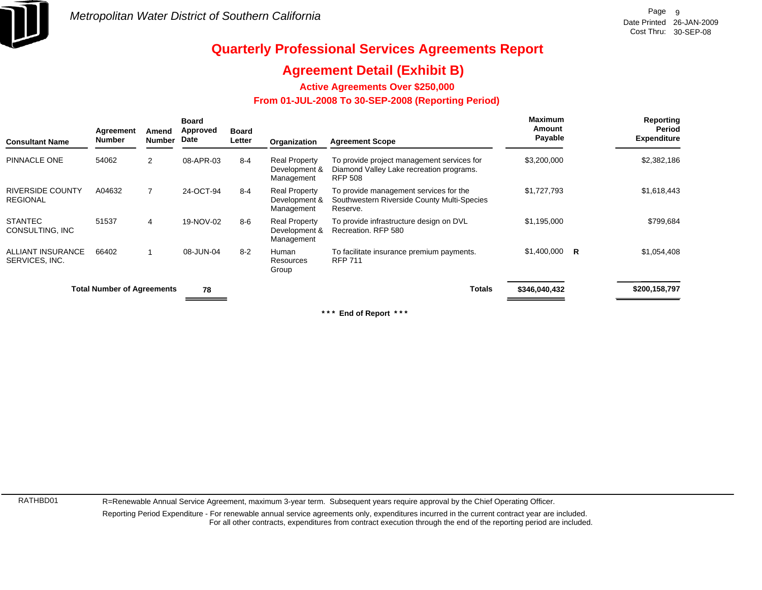

### **Agreement Detail (Exhibit B)**

**Active Agreements Over \$250,000**

#### **From 01-JUL-2008 To 30-SEP-2008 (Reporting Period)**

| <b>Consultant Name</b>                     | Agreement<br><b>Number</b>        | Amend<br><b>Number</b> | Board<br>Approved<br>Date | <b>Board</b><br>Letter | Organization                                        | <b>Agreement Scope</b>                                                                                   | <b>Maximum</b><br>Amount<br>Payable | Reporting<br>Period<br><b>Expenditure</b> |
|--------------------------------------------|-----------------------------------|------------------------|---------------------------|------------------------|-----------------------------------------------------|----------------------------------------------------------------------------------------------------------|-------------------------------------|-------------------------------------------|
| PINNACLE ONE                               | 54062                             | $\overline{2}$         | 08-APR-03                 | $8 - 4$                | <b>Real Property</b><br>Development &<br>Management | To provide project management services for<br>Diamond Valley Lake recreation programs.<br><b>RFP 508</b> | \$3,200,000                         | \$2,382,186                               |
| <b>RIVERSIDE COUNTY</b><br><b>REGIONAL</b> | A04632                            |                        | 24-OCT-94                 | $8 - 4$                | <b>Real Property</b><br>Development &<br>Management | To provide management services for the<br>Southwestern Riverside County Multi-Species<br>Reserve.        | \$1,727,793                         | \$1,618,443                               |
| <b>STANTEC</b><br>CONSULTING, INC          | 51537                             | 4                      | 19-NOV-02                 | $8 - 6$                | <b>Real Property</b><br>Development &<br>Management | To provide infrastructure design on DVL<br>Recreation. RFP 580                                           | \$1,195,000                         | \$799,684                                 |
| <b>ALLIANT INSURANCE</b><br>SERVICES, INC. | 66402                             |                        | 08-JUN-04                 | $8 - 2$                | Human<br>Resources<br>Group                         | To facilitate insurance premium payments.<br><b>RFP 711</b>                                              | $$1,400,000$ R                      | \$1,054,408                               |
|                                            | <b>Total Number of Agreements</b> |                        | 78                        |                        |                                                     | <b>Totals</b>                                                                                            | \$346,040,432                       | \$200,158,797                             |

**\* \* \* End of Report \* \* \***

RATHBD01

R=Renewable Annual Service Agreement, maximum 3-year term. Subsequent years require approval by the Chief Operating Officer.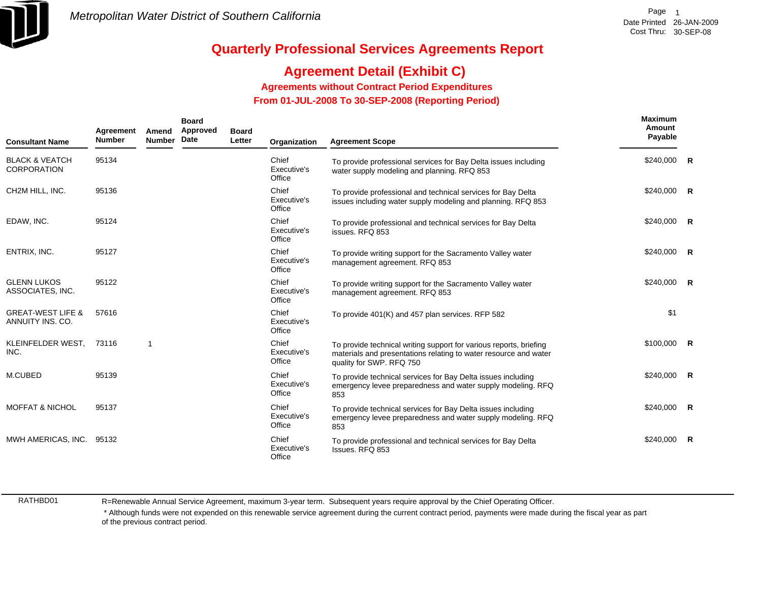

## **Agreement Detail (Exhibit C)**

**Agreements without Contract Period Expenditures**

 **From 01-JUL-2008 To 30-SEP-2008 (Reporting Period)** 

| <b>Consultant Name</b>                           | Agreement<br><b>Number</b> | Amend<br><b>Number</b> | <b>Board</b><br>Approved<br>Date | <b>Board</b><br>Letter | Organization                   | <b>Agreement Scope</b>                                                                                                                                             | Maximum<br>Amount<br>Payable |   |
|--------------------------------------------------|----------------------------|------------------------|----------------------------------|------------------------|--------------------------------|--------------------------------------------------------------------------------------------------------------------------------------------------------------------|------------------------------|---|
| <b>BLACK &amp; VEATCH</b><br><b>CORPORATION</b>  | 95134                      |                        |                                  |                        | Chief<br>Executive's<br>Office | To provide professional services for Bay Delta issues including<br>water supply modeling and planning. RFQ 853                                                     | \$240,000 R                  |   |
| CH2M HILL, INC.                                  | 95136                      |                        |                                  |                        | Chief<br>Executive's<br>Office | To provide professional and technical services for Bay Delta<br>issues including water supply modeling and planning. RFQ 853                                       | $$240,000$ R                 |   |
| EDAW, INC.                                       | 95124                      |                        |                                  |                        | Chief<br>Executive's<br>Office | To provide professional and technical services for Bay Delta<br>issues. RFQ 853                                                                                    | $$240,000$ R                 |   |
| ENTRIX, INC.                                     | 95127                      |                        |                                  |                        | Chief<br>Executive's<br>Office | To provide writing support for the Sacramento Valley water<br>management agreement. RFQ 853                                                                        | $$240,000$ R                 |   |
| <b>GLENN LUKOS</b><br>ASSOCIATES, INC.           | 95122                      |                        |                                  |                        | Chief<br>Executive's<br>Office | To provide writing support for the Sacramento Valley water<br>management agreement. RFQ 853                                                                        | $$240,000$ R                 |   |
| <b>GREAT-WEST LIFE &amp;</b><br>ANNUITY INS. CO. | 57616                      |                        |                                  |                        | Chief<br>Executive's<br>Office | To provide 401(K) and 457 plan services. RFP 582                                                                                                                   | \$1                          |   |
| KLEINFELDER WEST,<br>INC.                        | 73116                      | $\mathbf{1}$           |                                  |                        | Chief<br>Executive's<br>Office | To provide technical writing support for various reports, briefing<br>materials and presentations relating to water resource and water<br>quality for SWP. RFQ 750 | $$100,000$ R                 |   |
| M.CUBED                                          | 95139                      |                        |                                  |                        | Chief<br>Executive's<br>Office | To provide technical services for Bay Delta issues including<br>emergency levee preparedness and water supply modeling. RFQ<br>853                                 | $$240,000$ R                 |   |
| <b>MOFFAT &amp; NICHOL</b>                       | 95137                      |                        |                                  |                        | Chief<br>Executive's<br>Office | To provide technical services for Bay Delta issues including<br>emergency levee preparedness and water supply modeling. RFQ<br>853                                 | $$240.000$ R                 |   |
| MWH AMERICAS, INC.                               | 95132                      |                        |                                  |                        | Chief<br>Executive's<br>Office | To provide professional and technical services for Bay Delta<br>Issues, RFQ 853                                                                                    | \$240,000                    | R |

RATHBD01

R=Renewable Annual Service Agreement, maximum 3-year term. Subsequent years require approval by the Chief Operating Officer.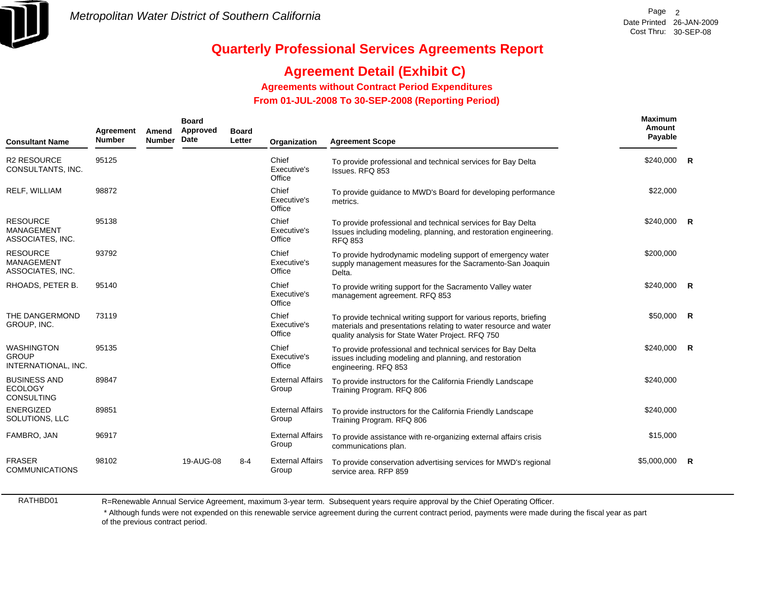

## **Agreement Detail (Exhibit C)**

**Agreements without Contract Period Expenditures**

 **From 01-JUL-2008 To 30-SEP-2008 (Reporting Period)** 

| <b>Consultant Name</b>                                     | Agreement<br><b>Number</b> | Amend<br><b>Number</b> | <b>Board</b><br>Approved<br>Date | <b>Board</b><br>Letter | Organization                     | <b>Agreement Scope</b>                                                                                                                                                                      | Maximum<br>Amount<br>Payable |                |
|------------------------------------------------------------|----------------------------|------------------------|----------------------------------|------------------------|----------------------------------|---------------------------------------------------------------------------------------------------------------------------------------------------------------------------------------------|------------------------------|----------------|
| <b>R2 RESOURCE</b><br>CONSULTANTS, INC.                    | 95125                      |                        |                                  |                        | Chief<br>Executive's<br>Office   | To provide professional and technical services for Bay Delta<br>Issues, RFQ 853                                                                                                             | $$240,000$ R                 |                |
| RELF, WILLIAM                                              | 98872                      |                        |                                  |                        | Chief<br>Executive's<br>Office   | To provide guidance to MWD's Board for developing performance<br>metrics.                                                                                                                   | \$22,000                     |                |
| <b>RESOURCE</b><br><b>MANAGEMENT</b><br>ASSOCIATES, INC.   | 95138                      |                        |                                  |                        | Chief<br>Executive's<br>Office   | To provide professional and technical services for Bay Delta<br>Issues including modeling, planning, and restoration engineering.<br><b>RFQ 853</b>                                         | \$240,000                    | $\overline{R}$ |
| <b>RESOURCE</b><br><b>MANAGEMENT</b><br>ASSOCIATES, INC.   | 93792                      |                        |                                  |                        | Chief<br>Executive's<br>Office   | To provide hydrodynamic modeling support of emergency water<br>supply management measures for the Sacramento-San Joaquin<br>Delta.                                                          | \$200,000                    |                |
| RHOADS, PETER B.                                           | 95140                      |                        |                                  |                        | Chief<br>Executive's<br>Office   | To provide writing support for the Sacramento Valley water<br>management agreement. RFQ 853                                                                                                 | \$240,000                    | $\overline{R}$ |
| THE DANGERMOND<br>GROUP, INC.                              | 73119                      |                        |                                  |                        | Chief<br>Executive's<br>Office   | To provide technical writing support for various reports, briefing<br>materials and presentations relating to water resource and water<br>quality analysis for State Water Project. RFQ 750 | $$50,000$ R                  |                |
| <b>WASHINGTON</b><br><b>GROUP</b><br>INTERNATIONAL, INC.   | 95135                      |                        |                                  |                        | Chief<br>Executive's<br>Office   | To provide professional and technical services for Bay Delta<br>issues including modeling and planning, and restoration<br>engineering. RFQ 853                                             | \$240,000                    | R              |
| <b>BUSINESS AND</b><br><b>ECOLOGY</b><br><b>CONSULTING</b> | 89847                      |                        |                                  |                        | <b>External Affairs</b><br>Group | To provide instructors for the California Friendly Landscape<br>Training Program. RFQ 806                                                                                                   | \$240,000                    |                |
| <b>ENERGIZED</b><br>SOLUTIONS, LLC                         | 89851                      |                        |                                  |                        | <b>External Affairs</b><br>Group | To provide instructors for the California Friendly Landscape<br>Training Program. RFQ 806                                                                                                   | \$240,000                    |                |
| FAMBRO, JAN                                                | 96917                      |                        |                                  |                        | <b>External Affairs</b><br>Group | To provide assistance with re-organizing external affairs crisis<br>communications plan.                                                                                                    | \$15,000                     |                |
| <b>FRASER</b><br><b>COMMUNICATIONS</b>                     | 98102                      |                        | 19-AUG-08                        | $8 - 4$                | <b>External Affairs</b><br>Group | To provide conservation advertising services for MWD's regional<br>service area. RFP 859                                                                                                    | \$5,000,000                  | R              |

RATHBD01

R=Renewable Annual Service Agreement, maximum 3-year term. Subsequent years require approval by the Chief Operating Officer.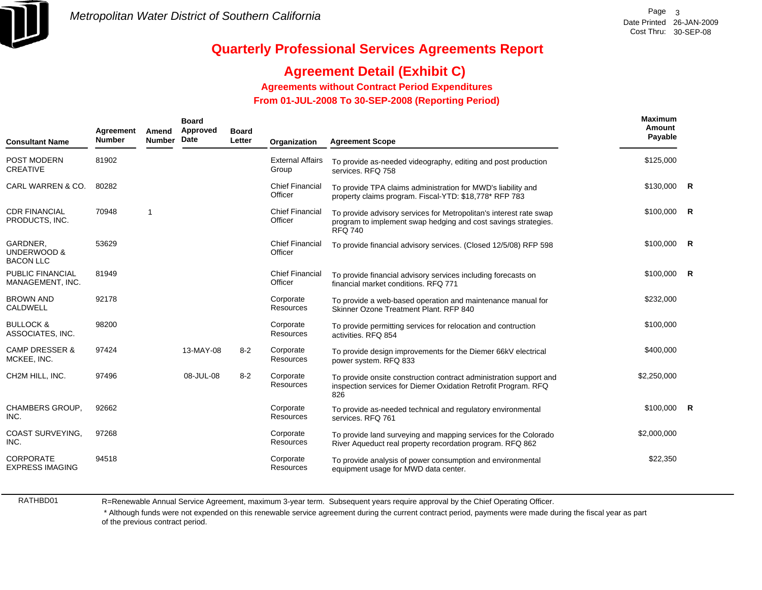

## **Agreement Detail (Exhibit C)**

**Agreements without Contract Period Expenditures**

 **From 01-JUL-2008 To 30-SEP-2008 (Reporting Period)** 

| <b>Consultant Name</b>                      | Agreement<br><b>Number</b> | Amend<br><b>Number</b> | <b>Board</b><br>Approved<br>Date | <b>Board</b><br>Letter | Organization                      | <b>Agreement Scope</b>                                                                                                                                 | Maximum<br>Amount<br>Payable |              |
|---------------------------------------------|----------------------------|------------------------|----------------------------------|------------------------|-----------------------------------|--------------------------------------------------------------------------------------------------------------------------------------------------------|------------------------------|--------------|
| <b>POST MODERN</b><br><b>CREATIVE</b>       | 81902                      |                        |                                  |                        | <b>External Affairs</b><br>Group  | To provide as-needed videography, editing and post production<br>services. RFQ 758                                                                     | \$125,000                    |              |
| CARL WARREN & CO.                           | 80282                      |                        |                                  |                        | <b>Chief Financial</b><br>Officer | To provide TPA claims administration for MWD's liability and<br>property claims program. Fiscal-YTD: \$18,778* RFP 783                                 | $$130,000$ R                 |              |
| <b>CDR FINANCIAL</b><br>PRODUCTS, INC.      | 70948                      |                        |                                  |                        | <b>Chief Financial</b><br>Officer | To provide advisory services for Metropolitan's interest rate swap<br>program to implement swap hedging and cost savings strategies.<br><b>RFQ 740</b> | $$100,000$ R                 |              |
| GARDNER,<br>UNDERWOOD &<br><b>BACON LLC</b> | 53629                      |                        |                                  |                        | <b>Chief Financial</b><br>Officer | To provide financial advisory services. (Closed 12/5/08) RFP 598                                                                                       | \$100,000                    | $\mathsf{R}$ |
| PUBLIC FINANCIAL<br>MANAGEMENT, INC.        | 81949                      |                        |                                  |                        | <b>Chief Financial</b><br>Officer | To provide financial advisory services including forecasts on<br>financial market conditions. RFQ 771                                                  | \$100,000                    | $\mathbb{R}$ |
| <b>BROWN AND</b><br>CALDWELL                | 92178                      |                        |                                  |                        | Corporate<br>Resources            | To provide a web-based operation and maintenance manual for<br>Skinner Ozone Treatment Plant. RFP 840                                                  | \$232,000                    |              |
| <b>BULLOCK &amp;</b><br>ASSOCIATES, INC.    | 98200                      |                        |                                  |                        | Corporate<br><b>Resources</b>     | To provide permitting services for relocation and contruction<br>activities. RFQ 854                                                                   | \$100,000                    |              |
| <b>CAMP DRESSER &amp;</b><br>MCKEE, INC.    | 97424                      |                        | 13-MAY-08                        | $8 - 2$                | Corporate<br><b>Resources</b>     | To provide design improvements for the Diemer 66kV electrical<br>power system. RFQ 833                                                                 | \$400,000                    |              |
| CH2M HILL, INC.                             | 97496                      |                        | 08-JUL-08                        | $8 - 2$                | Corporate<br>Resources            | To provide onsite construction contract administration support and<br>inspection services for Diemer Oxidation Retrofit Program. RFQ<br>826            | \$2,250,000                  |              |
| <b>CHAMBERS GROUP,</b><br>INC.              | 92662                      |                        |                                  |                        | Corporate<br><b>Resources</b>     | To provide as-needed technical and regulatory environmental<br>services. RFQ 761                                                                       | $$100,000$ R                 |              |
| <b>COAST SURVEYING.</b><br>INC.             | 97268                      |                        |                                  |                        | Corporate<br>Resources            | To provide land surveying and mapping services for the Colorado<br>River Aqueduct real property recordation program. RFQ 862                           | \$2,000,000                  |              |
| <b>CORPORATE</b><br><b>EXPRESS IMAGING</b>  | 94518                      |                        |                                  |                        | Corporate<br><b>Resources</b>     | To provide analysis of power consumption and environmental<br>equipment usage for MWD data center.                                                     | \$22,350                     |              |
|                                             |                            |                        |                                  |                        |                                   |                                                                                                                                                        |                              |              |

RATHBD01

R=Renewable Annual Service Agreement, maximum 3-year term. Subsequent years require approval by the Chief Operating Officer.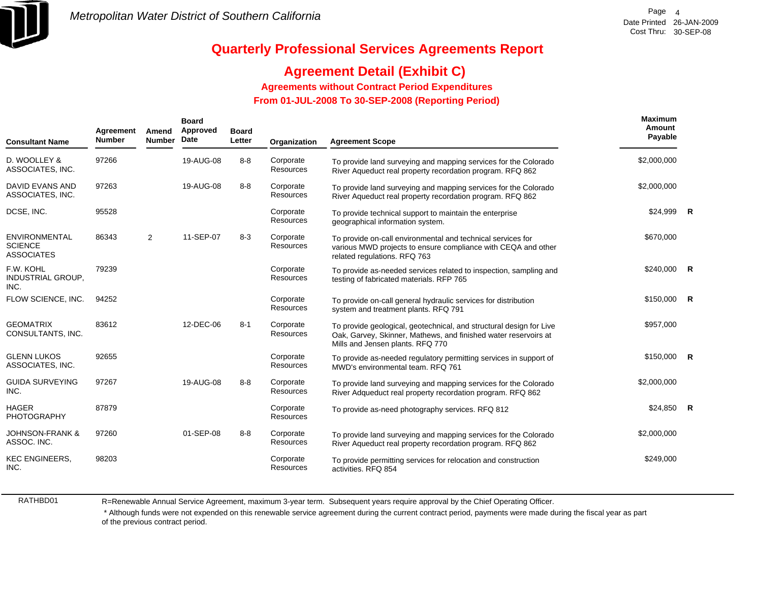

**Maximum**

# **Quarterly Professional Services Agreements Report**

## **Agreement Detail (Exhibit C)**

**Agreements without Contract Period Expenditures**

 **From 01-JUL-2008 To 30-SEP-2008 (Reporting Period)** 

| <b>Consultant Name</b>                                      | Agreement<br><b>Number</b> | Amend<br><b>Number</b> | Board<br>Approved<br>Date | <b>Board</b><br>Letter | Organization                  | <b>Agreement Scope</b>                                                                                                                                                     | <u>maxımum</u><br>Amount<br>Payable |  |
|-------------------------------------------------------------|----------------------------|------------------------|---------------------------|------------------------|-------------------------------|----------------------------------------------------------------------------------------------------------------------------------------------------------------------------|-------------------------------------|--|
| D. WOOLLEY &<br>ASSOCIATES, INC.                            | 97266                      |                        | 19-AUG-08                 | $8 - 8$                | Corporate<br><b>Resources</b> | To provide land surveying and mapping services for the Colorado<br>River Aqueduct real property recordation program. RFQ 862                                               | \$2,000,000                         |  |
| DAVID EVANS AND<br>ASSOCIATES, INC.                         | 97263                      |                        | 19-AUG-08                 | $8 - 8$                | Corporate<br><b>Resources</b> | To provide land surveying and mapping services for the Colorado<br>River Aqueduct real property recordation program. RFQ 862                                               | \$2,000,000                         |  |
| DCSE, INC.                                                  | 95528                      |                        |                           |                        | Corporate<br>Resources        | To provide technical support to maintain the enterprise<br>geographical information system.                                                                                | $$24,999$ R                         |  |
| <b>ENVIRONMENTAL</b><br><b>SCIENCE</b><br><b>ASSOCIATES</b> | 86343                      | $\overline{2}$         | 11-SEP-07                 | $8 - 3$                | Corporate<br>Resources        | To provide on-call environmental and technical services for<br>various MWD projects to ensure compliance with CEQA and other<br>related regulations. RFQ 763               | \$670,000                           |  |
| F.W. KOHL<br><b>INDUSTRIAL GROUP,</b><br>INC.               | 79239                      |                        |                           |                        | Corporate<br>Resources        | To provide as-needed services related to inspection, sampling and<br>testing of fabricated materials. RFP 765                                                              | \$240,000 R                         |  |
| FLOW SCIENCE, INC.                                          | 94252                      |                        |                           |                        | Corporate<br>Resources        | To provide on-call general hydraulic services for distribution<br>system and treatment plants. RFQ 791                                                                     | \$150,000 R                         |  |
| <b>GEOMATRIX</b><br>CONSULTANTS, INC.                       | 83612                      |                        | 12-DEC-06                 | $8 - 1$                | Corporate<br>Resources        | To provide geological, geotechnical, and structural design for Live<br>Oak, Garvey, Skinner, Mathews, and finished water reservoirs at<br>Mills and Jensen plants. RFQ 770 | \$957,000                           |  |
| <b>GLENN LUKOS</b><br>ASSOCIATES, INC.                      | 92655                      |                        |                           |                        | Corporate<br>Resources        | To provide as-needed regulatory permitting services in support of<br>MWD's environmental team. RFQ 761                                                                     | \$150,000 R                         |  |
| <b>GUIDA SURVEYING</b><br>INC.                              | 97267                      |                        | 19-AUG-08                 | $8 - 8$                | Corporate<br>Resources        | To provide land surveying and mapping services for the Colorado<br>River Adqueduct real property recordation program. RFQ 862                                              | \$2,000,000                         |  |
| <b>HAGER</b><br><b>PHOTOGRAPHY</b>                          | 87879                      |                        |                           |                        | Corporate<br><b>Resources</b> | To provide as-need photography services. RFQ 812                                                                                                                           | $$24,850$ R                         |  |
| <b>JOHNSON-FRANK &amp;</b><br>ASSOC. INC.                   | 97260                      |                        | 01-SEP-08                 | $8 - 8$                | Corporate<br>Resources        | To provide land surveying and mapping services for the Colorado<br>River Aqueduct real property recordation program. RFQ 862                                               | \$2,000,000                         |  |
| <b>KEC ENGINEERS,</b><br>INC.                               | 98203                      |                        |                           |                        | Corporate<br>Resources        | To provide permitting services for relocation and construction<br>activities. RFQ 854                                                                                      | \$249,000                           |  |
|                                                             |                            |                        |                           |                        |                               |                                                                                                                                                                            |                                     |  |

RATHBD01

R=Renewable Annual Service Agreement, maximum 3-year term. Subsequent years require approval by the Chief Operating Officer.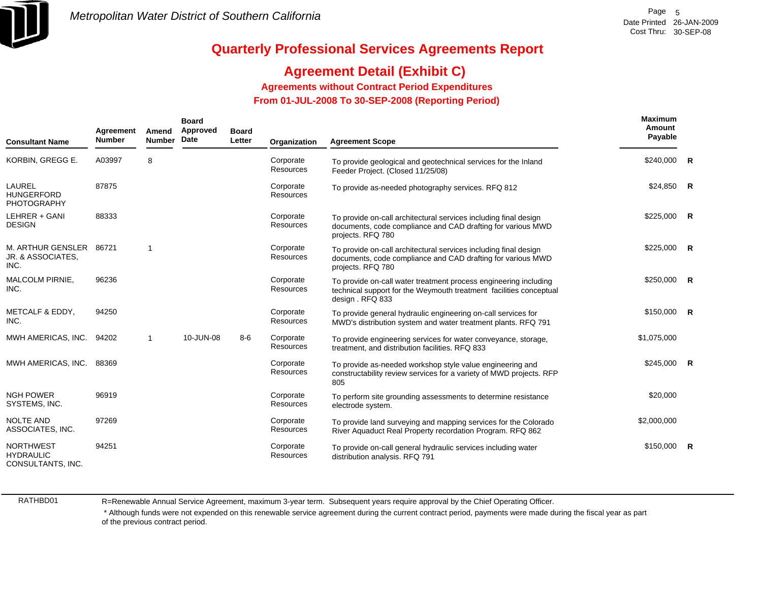

## **Agreement Detail (Exhibit C)**

**Agreements without Contract Period Expenditures**

 **From 01-JUL-2008 To 30-SEP-2008 (Reporting Period)** 

| <b>Consultant Name</b>                                    | Agreement<br><b>Number</b> | Amend<br><b>Number</b>   | <b>Board</b><br>Approved<br>Date | <b>Board</b><br>Letter | Organization                  | <b>Agreement Scope</b>                                                                                                                                     | Maximum<br>Amount<br>Payable |  |
|-----------------------------------------------------------|----------------------------|--------------------------|----------------------------------|------------------------|-------------------------------|------------------------------------------------------------------------------------------------------------------------------------------------------------|------------------------------|--|
| KORBIN, GREGG E.                                          | A03997                     | 8                        |                                  |                        | Corporate<br>Resources        | To provide geological and geotechnical services for the Inland<br>Feeder Project. (Closed 11/25/08)                                                        | $$240,000$ R                 |  |
| LAUREL<br><b>HUNGERFORD</b><br><b>PHOTOGRAPHY</b>         | 87875                      |                          |                                  |                        | Corporate<br><b>Resources</b> | To provide as-needed photography services. RFQ 812                                                                                                         | $$24,850$ R                  |  |
| LEHRER + GANI<br><b>DESIGN</b>                            | 88333                      |                          |                                  |                        | Corporate<br>Resources        | To provide on-call architectural services including final design<br>documents, code compliance and CAD drafting for various MWD<br>projects. RFQ 780       | $$225,000$ R                 |  |
| M. ARTHUR GENSLER 86721<br>JR. & ASSOCIATES,<br>INC.      |                            | $\overline{\phantom{a}}$ |                                  |                        | Corporate<br>Resources        | To provide on-call architectural services including final design<br>documents, code compliance and CAD drafting for various MWD<br>projects. RFQ 780       | $$225,000$ R                 |  |
| MALCOLM PIRNIE,<br>INC.                                   | 96236                      |                          |                                  |                        | Corporate<br>Resources        | To provide on-call water treatment process engineering including<br>technical support for the Weymouth treatment facilities conceptual<br>design . RFQ 833 | \$250,000 R                  |  |
| <b>METCALF &amp; EDDY,</b><br>INC.                        | 94250                      |                          |                                  |                        | Corporate<br><b>Resources</b> | To provide general hydraulic engineering on-call services for<br>MWD's distribution system and water treatment plants. RFQ 791                             | $$150,000$ R                 |  |
| MWH AMERICAS, INC. 94202                                  |                            | -1                       | 10-JUN-08                        | $8-6$                  | Corporate<br>Resources        | To provide engineering services for water conveyance, storage,<br>treatment, and distribution facilities. RFQ 833                                          | \$1,075,000                  |  |
| MWH AMERICAS, INC.                                        | 88369                      |                          |                                  |                        | Corporate<br>Resources        | To provide as-needed workshop style value engineering and<br>constructability review services for a variety of MWD projects. RFP<br>805                    | $$245,000$ R                 |  |
| <b>NGH POWER</b><br>SYSTEMS, INC.                         | 96919                      |                          |                                  |                        | Corporate<br><b>Resources</b> | To perform site grounding assessments to determine resistance<br>electrode system.                                                                         | \$20,000                     |  |
| <b>NOLTE AND</b><br>ASSOCIATES, INC.                      | 97269                      |                          |                                  |                        | Corporate<br><b>Resources</b> | To provide land surveying and mapping services for the Colorado<br>River Aquaduct Real Property recordation Program. RFQ 862                               | \$2,000,000                  |  |
| <b>NORTHWEST</b><br><b>HYDRAULIC</b><br>CONSULTANTS, INC. | 94251                      |                          |                                  |                        | Corporate<br>Resources        | To provide on-call general hydraulic services including water<br>distribution analysis. RFQ 791                                                            | $$150,000$ R                 |  |

RATHBD01

R=Renewable Annual Service Agreement, maximum 3-year term. Subsequent years require approval by the Chief Operating Officer.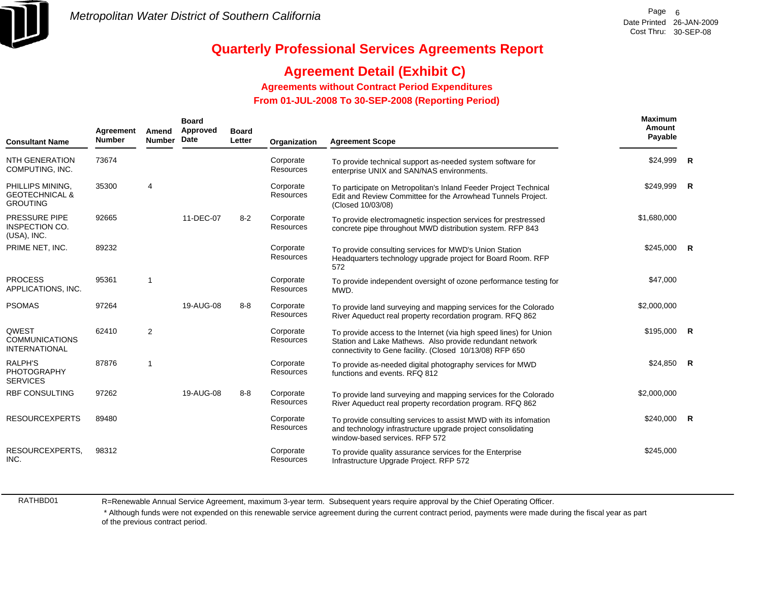

## **Agreement Detail (Exhibit C)**

**Agreements without Contract Period Expenditures**

 **From 01-JUL-2008 To 30-SEP-2008 (Reporting Period)** 

| <b>Consultant Name</b>                                           | Agreement<br><b>Number</b> | Amend<br><b>Number</b> | <b>Board</b><br>Approved<br>Date | <b>Board</b><br>Letter | Organization                  | <b>Agreement Scope</b>                                                                                                                                                                     | Maximum<br>Amount<br>Payable |              |
|------------------------------------------------------------------|----------------------------|------------------------|----------------------------------|------------------------|-------------------------------|--------------------------------------------------------------------------------------------------------------------------------------------------------------------------------------------|------------------------------|--------------|
| <b>NTH GENERATION</b><br>COMPUTING, INC.                         | 73674                      |                        |                                  |                        | Corporate<br>Resources        | To provide technical support as-needed system software for<br>enterprise UNIX and SAN/NAS environments.                                                                                    | \$24,999                     | $\mathsf{R}$ |
| PHILLIPS MINING.<br><b>GEOTECHNICAL &amp;</b><br><b>GROUTING</b> | 35300                      | 4                      |                                  |                        | Corporate<br><b>Resources</b> | To participate on Metropolitan's Inland Feeder Project Technical<br>Edit and Review Committee for the Arrowhead Tunnels Project.<br>(Closed 10/03/08)                                      | \$249,999                    | <b>R</b>     |
| <b>PRESSURE PIPE</b><br>INSPECTION CO.<br>(USA), INC.            | 92665                      |                        | 11-DEC-07                        | $8 - 2$                | Corporate<br>Resources        | To provide electromagnetic inspection services for prestressed<br>concrete pipe throughout MWD distribution system. RFP 843                                                                | \$1,680,000                  |              |
| PRIME NET, INC.                                                  | 89232                      |                        |                                  |                        | Corporate<br>Resources        | To provide consulting services for MWD's Union Station<br>Headquarters technology upgrade project for Board Room. RFP<br>572                                                               | $$245,000$ R                 |              |
| <b>PROCESS</b><br>APPLICATIONS, INC.                             | 95361                      | 1                      |                                  |                        | Corporate<br><b>Resources</b> | To provide independent oversight of ozone performance testing for<br>MWD.                                                                                                                  | \$47,000                     |              |
| <b>PSOMAS</b>                                                    | 97264                      |                        | 19-AUG-08                        | $8 - 8$                | Corporate<br>Resources        | To provide land surveying and mapping services for the Colorado<br>River Aqueduct real property recordation program. RFQ 862                                                               | \$2,000,000                  |              |
| <b>QWEST</b><br><b>COMMUNICATIONS</b><br><b>INTERNATIONAL</b>    | 62410                      | 2                      |                                  |                        | Corporate<br><b>Resources</b> | To provide access to the Internet (via high speed lines) for Union<br>Station and Lake Mathews. Also provide redundant network<br>connectivity to Gene facility. (Closed 10/13/08) RFP 650 | $$195,000$ R                 |              |
| <b>RALPH'S</b><br><b>PHOTOGRAPHY</b><br><b>SERVICES</b>          | 87876                      | 1                      |                                  |                        | Corporate<br><b>Resources</b> | To provide as-needed digital photography services for MWD<br>functions and events, RFQ 812                                                                                                 | $$24,850$ R                  |              |
| <b>RBF CONSULTING</b>                                            | 97262                      |                        | 19-AUG-08                        | $8 - 8$                | Corporate<br><b>Resources</b> | To provide land surveying and mapping services for the Colorado<br>River Aqueduct real property recordation program. RFQ 862                                                               | \$2,000,000                  |              |
| <b>RESOURCEXPERTS</b>                                            | 89480                      |                        |                                  |                        | Corporate<br><b>Resources</b> | To provide consulting services to assist MWD with its infomation<br>and technology infrastructure upgrade project consolidating<br>window-based services. RFP 572                          | $$240,000$ R                 |              |
| RESOURCEXPERTS,<br>INC.                                          | 98312                      |                        |                                  |                        | Corporate<br>Resources        | To provide quality assurance services for the Enterprise<br>Infrastructure Upgrade Project. RFP 572                                                                                        | \$245,000                    |              |

RATHBD01

R=Renewable Annual Service Agreement, maximum 3-year term. Subsequent years require approval by the Chief Operating Officer.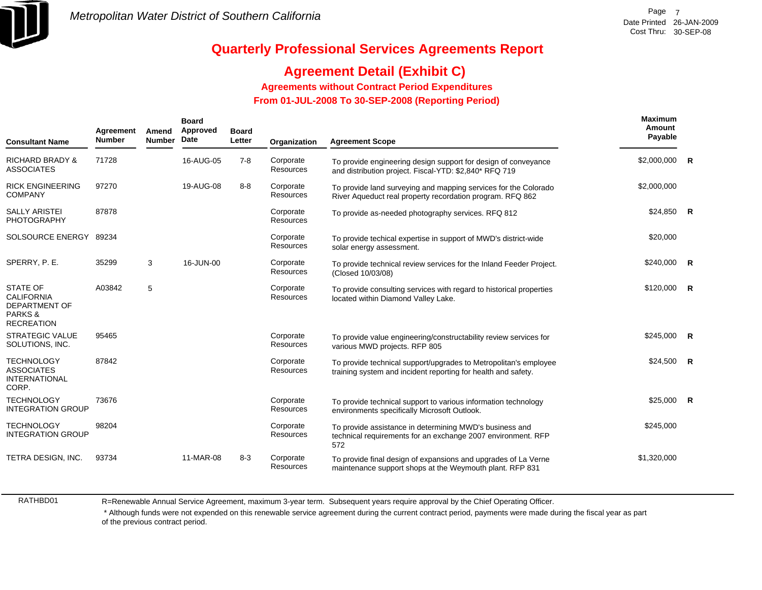

# **Agreement Detail (Exhibit C)**

### **Agreements without Contract Period Expenditures**

 **From 01-JUL-2008 To 30-SEP-2008 (Reporting Period)** 

| <b>Consultant Name</b>                                                                                  | Agreement<br><b>Number</b> | Amend<br><b>Number</b> | <b>Board</b><br>Approved<br>Date | <b>Board</b><br>Letter | Organization                  | <b>Agreement Scope</b>                                                                                                            | Maximum<br>Amount<br>Payable |                |
|---------------------------------------------------------------------------------------------------------|----------------------------|------------------------|----------------------------------|------------------------|-------------------------------|-----------------------------------------------------------------------------------------------------------------------------------|------------------------------|----------------|
| <b>RICHARD BRADY &amp;</b><br><b>ASSOCIATES</b>                                                         | 71728                      |                        | 16-AUG-05                        | $7 - 8$                | Corporate<br>Resources        | To provide engineering design support for design of conveyance<br>and distribution project. Fiscal-YTD: \$2,840* RFQ 719          | $$2,000,000$ R               |                |
| <b>RICK ENGINEERING</b><br><b>COMPANY</b>                                                               | 97270                      |                        | 19-AUG-08                        | $8 - 8$                | Corporate<br><b>Resources</b> | To provide land surveying and mapping services for the Colorado<br>River Aqueduct real property recordation program. RFQ 862      | \$2,000,000                  |                |
| <b>SALLY ARISTEI</b><br><b>PHOTOGRAPHY</b>                                                              | 87878                      |                        |                                  |                        | Corporate<br>Resources        | To provide as-needed photography services. RFQ 812                                                                                | $$24,850$ R                  |                |
| SOLSOURCE ENERGY 89234                                                                                  |                            |                        |                                  |                        | Corporate<br>Resources        | To provide techical expertise in support of MWD's district-wide<br>solar energy assessment.                                       | \$20,000                     |                |
| SPERRY, P. E.                                                                                           | 35299                      | 3                      | 16-JUN-00                        |                        | Corporate<br><b>Resources</b> | To provide technical review services for the Inland Feeder Project.<br>(Closed 10/03/08)                                          | \$240,000                    | $\overline{R}$ |
| <b>STATE OF</b><br><b>CALIFORNIA</b><br><b>DEPARTMENT OF</b><br><b>PARKS &amp;</b><br><b>RECREATION</b> | A03842                     | 5                      |                                  |                        | Corporate<br>Resources        | To provide consulting services with regard to historical properties<br>located within Diamond Valley Lake.                        | \$120,000                    | $\overline{R}$ |
| <b>STRATEGIC VALUE</b><br>SOLUTIONS, INC.                                                               | 95465                      |                        |                                  |                        | Corporate<br>Resources        | To provide value engineering/constructability review services for<br>various MWD projects. RFP 805                                | \$245,000                    | $\overline{R}$ |
| <b>TECHNOLOGY</b><br><b>ASSOCIATES</b><br><b>INTERNATIONAL</b><br>CORP.                                 | 87842                      |                        |                                  |                        | Corporate<br>Resources        | To provide technical support/upgrades to Metropolitan's employee<br>training system and incident reporting for health and safety. | \$24,500                     | R              |
| <b>TECHNOLOGY</b><br><b>INTEGRATION GROUP</b>                                                           | 73676                      |                        |                                  |                        | Corporate<br>Resources        | To provide technical support to various information technology<br>environments specifically Microsoft Outlook.                    | \$25,000                     | $\overline{R}$ |
| <b>TECHNOLOGY</b><br><b>INTEGRATION GROUP</b>                                                           | 98204                      |                        |                                  |                        | Corporate<br>Resources        | To provide assistance in determining MWD's business and<br>technical requirements for an exchange 2007 environment. RFP<br>572    | \$245,000                    |                |
| TETRA DESIGN, INC.                                                                                      | 93734                      |                        | 11-MAR-08                        | $8 - 3$                | Corporate<br><b>Resources</b> | To provide final design of expansions and upgrades of La Verne<br>maintenance support shops at the Weymouth plant. RFP 831        | \$1,320,000                  |                |

RATHBD01

R=Renewable Annual Service Agreement, maximum 3-year term. Subsequent years require approval by the Chief Operating Officer.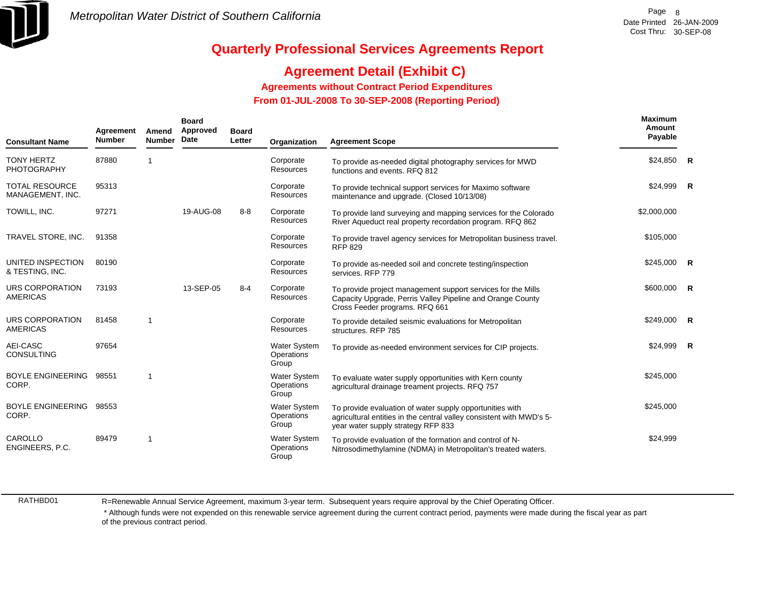

## **Agreement Detail (Exhibit C)**

**Agreements without Contract Period Expenditures**

 **From 01-JUL-2008 To 30-SEP-2008 (Reporting Period)** 

| <b>Consultant Name</b>                    | Agreement<br><b>Number</b> | Amend<br><b>Number</b> | <b>Board</b><br>Approved<br>Date | <b>Board</b><br>Letter | Organization                               | <b>Agreement Scope</b>                                                                                                                                                 | Maximum<br>Amount<br>Payable |  |
|-------------------------------------------|----------------------------|------------------------|----------------------------------|------------------------|--------------------------------------------|------------------------------------------------------------------------------------------------------------------------------------------------------------------------|------------------------------|--|
| <b>TONY HERTZ</b><br><b>PHOTOGRAPHY</b>   | 87880                      | 1                      |                                  |                        | Corporate<br>Resources                     | To provide as-needed digital photography services for MWD<br>functions and events, RFQ 812                                                                             | $$24,850$ R                  |  |
| <b>TOTAL RESOURCE</b><br>MANAGEMENT, INC. | 95313                      |                        |                                  |                        | Corporate<br>Resources                     | To provide technical support services for Maximo software<br>maintenance and upgrade. (Closed 10/13/08)                                                                | $$24,999$ R                  |  |
| TOWILL, INC.                              | 97271                      |                        | 19-AUG-08                        | $8 - 8$                | Corporate<br>Resources                     | To provide land surveying and mapping services for the Colorado<br>River Aqueduct real property recordation program. RFQ 862                                           | \$2,000,000                  |  |
| TRAVEL STORE, INC.                        | 91358                      |                        |                                  |                        | Corporate<br>Resources                     | To provide travel agency services for Metropolitan business travel.<br><b>RFP 829</b>                                                                                  | \$105,000                    |  |
| UNITED INSPECTION<br>& TESTING, INC.      | 80190                      |                        |                                  |                        | Corporate<br>Resources                     | To provide as-needed soil and concrete testing/inspection<br>services. RFP 779                                                                                         | \$245,000 R                  |  |
| URS CORPORATION<br><b>AMERICAS</b>        | 73193                      |                        | 13-SEP-05                        | $8 - 4$                | Corporate<br>Resources                     | To provide project management support services for the Mills<br>Capacity Upgrade, Perris Valley Pipeline and Orange County<br>Cross Feeder programs. RFQ 661           | \$600,000 R                  |  |
| URS CORPORATION<br><b>AMERICAS</b>        | 81458                      | $\mathbf{1}$           |                                  |                        | Corporate<br>Resources                     | To provide detailed seismic evaluations for Metropolitan<br>structures. RFP 785                                                                                        | $$249,000$ R                 |  |
| AEI-CASC<br><b>CONSULTING</b>             | 97654                      |                        |                                  |                        | <b>Water System</b><br>Operations<br>Group | To provide as-needed environment services for CIP projects.                                                                                                            | $$24,999$ R                  |  |
| <b>BOYLE ENGINEERING</b><br>CORP.         | 98551                      | $\mathbf{1}$           |                                  |                        | <b>Water System</b><br>Operations<br>Group | To evaluate water supply opportunities with Kern county<br>agricultural drainage treament projects. RFQ 757                                                            | \$245,000                    |  |
| <b>BOYLE ENGINEERING</b><br>CORP.         | 98553                      |                        |                                  |                        | <b>Water System</b><br>Operations<br>Group | To provide evaluation of water supply opportunities with<br>agricultural entities in the central valley consistent with MWD's 5-<br>year water supply strategy RFP 833 | \$245,000                    |  |
| CAROLLO<br>ENGINEERS, P.C.                | 89479                      | $\mathbf{1}$           |                                  |                        | <b>Water System</b><br>Operations<br>Group | To provide evaluation of the formation and control of N-<br>Nitrosodimethylamine (NDMA) in Metropolitan's treated waters.                                              | \$24,999                     |  |

RATHBD01

R=Renewable Annual Service Agreement, maximum 3-year term. Subsequent years require approval by the Chief Operating Officer.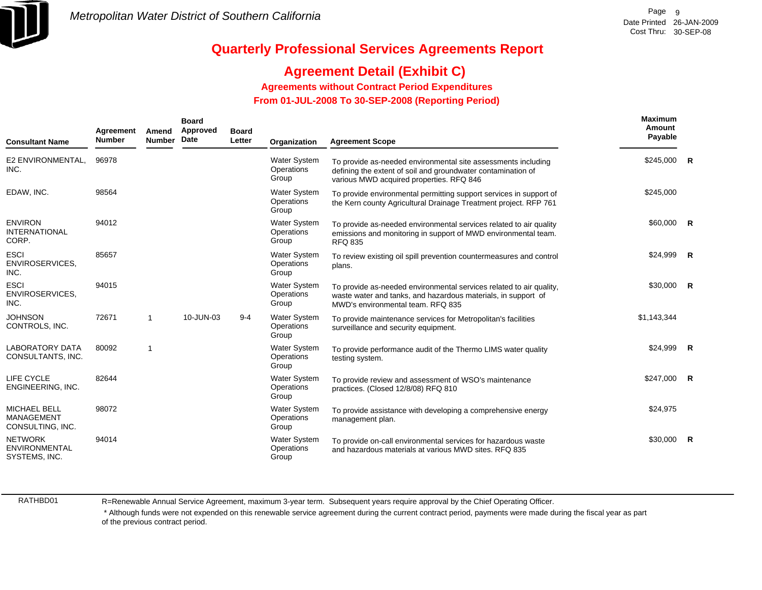

## **Agreement Detail (Exhibit C)**

**Agreements without Contract Period Expenditures**

 **From 01-JUL-2008 To 30-SEP-2008 (Reporting Period)** 

| <b>Consultant Name</b>                                       | Agreement<br><b>Number</b> | Amend<br><b>Number</b> | <b>Board</b><br>Approved<br>Date | <b>Board</b><br>Letter | Organization                               | <b>Agreement Scope</b>                                                                                                                                                    | Maximum<br>Amount<br>Payable |              |
|--------------------------------------------------------------|----------------------------|------------------------|----------------------------------|------------------------|--------------------------------------------|---------------------------------------------------------------------------------------------------------------------------------------------------------------------------|------------------------------|--------------|
| E2 ENVIRONMENTAL,<br>INC.                                    | 96978                      |                        |                                  |                        | <b>Water System</b><br>Operations<br>Group | To provide as-needed environmental site assessments including<br>defining the extent of soil and groundwater contamination of<br>various MWD acquired properties. RFQ 846 | $$245,000$ R                 |              |
| EDAW, INC.                                                   | 98564                      |                        |                                  |                        | <b>Water System</b><br>Operations<br>Group | To provide environmental permitting support services in support of<br>the Kern county Agricultural Drainage Treatment project. RFP 761                                    | \$245,000                    |              |
| <b>ENVIRON</b><br><b>INTERNATIONAL</b><br>CORP.              | 94012                      |                        |                                  |                        | <b>Water System</b><br>Operations<br>Group | To provide as-needed environmental services related to air quality<br>emissions and monitoring in support of MWD environmental team.<br><b>RFQ 835</b>                    | \$60,000 R                   |              |
| <b>ESCI</b><br>ENVIROSERVICES,<br>INC.                       | 85657                      |                        |                                  |                        | <b>Water System</b><br>Operations<br>Group | To review existing oil spill prevention countermeasures and control<br>plans.                                                                                             | \$24,999                     | $\mathsf{R}$ |
| <b>ESCI</b><br>ENVIROSERVICES,<br>INC.                       | 94015                      |                        |                                  |                        | <b>Water System</b><br>Operations<br>Group | To provide as-needed environmental services related to air quality,<br>waste water and tanks, and hazardous materials, in support of<br>MWD's environmental team. RFQ 835 | $$30,000$ R                  |              |
| <b>JOHNSON</b><br>CONTROLS, INC.                             | 72671                      | 1                      | 10-JUN-03                        | $9 - 4$                | <b>Water System</b><br>Operations<br>Group | To provide maintenance services for Metropolitan's facilities<br>surveillance and security equipment.                                                                     | \$1,143,344                  |              |
| <b>LABORATORY DATA</b><br>CONSULTANTS, INC.                  | 80092                      | -1                     |                                  |                        | <b>Water System</b><br>Operations<br>Group | To provide performance audit of the Thermo LIMS water quality<br>testing system.                                                                                          | \$24,999                     | R            |
| LIFE CYCLE<br>ENGINEERING, INC.                              | 82644                      |                        |                                  |                        | <b>Water System</b><br>Operations<br>Group | To provide review and assessment of WSO's maintenance<br>practices. (Closed 12/8/08) RFQ 810                                                                              | $$247,000$ R                 |              |
| <b>MICHAEL BELL</b><br><b>MANAGEMENT</b><br>CONSULTING, INC. | 98072                      |                        |                                  |                        | <b>Water System</b><br>Operations<br>Group | To provide assistance with developing a comprehensive energy<br>management plan.                                                                                          | \$24,975                     |              |
| <b>NETWORK</b><br>ENVIRONMENTAL<br>SYSTEMS, INC.             | 94014                      |                        |                                  |                        | <b>Water System</b><br>Operations<br>Group | To provide on-call environmental services for hazardous waste<br>and hazardous materials at various MWD sites. RFQ 835                                                    | \$30,000                     | $\mathsf{R}$ |

RATHBD01

R=Renewable Annual Service Agreement, maximum 3-year term. Subsequent years require approval by the Chief Operating Officer.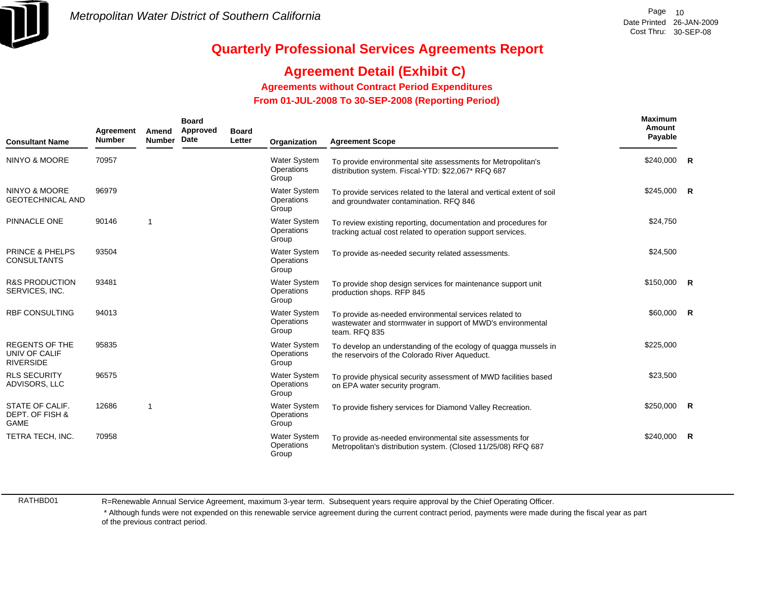

## **Agreement Detail (Exhibit C)**

**Agreements without Contract Period Expenditures**

 **From 01-JUL-2008 To 30-SEP-2008 (Reporting Period)** 

| <b>Consultant Name</b>                                     | Agreement<br><b>Number</b> | Amend<br><b>Number</b> | <b>Board</b><br>Approved<br>Date | <b>Board</b><br>Letter | Organization                               | <b>Agreement Scope</b>                                                                                                                 | Maximum<br>Amount<br>Payable |             |
|------------------------------------------------------------|----------------------------|------------------------|----------------------------------|------------------------|--------------------------------------------|----------------------------------------------------------------------------------------------------------------------------------------|------------------------------|-------------|
| <b>NINYO &amp; MOORE</b>                                   | 70957                      |                        |                                  |                        | Water System<br>Operations<br>Group        | To provide environmental site assessments for Metropolitan's<br>distribution system. Fiscal-YTD: \$22,067* RFQ 687                     | $$240,000$ R                 |             |
| NINYO & MOORE<br><b>GEOTECHNICAL AND</b>                   | 96979                      |                        |                                  |                        | <b>Water System</b><br>Operations<br>Group | To provide services related to the lateral and vertical extent of soil<br>and groundwater contamination. RFQ 846                       | $$245,000$ R                 |             |
| PINNACLE ONE                                               | 90146                      | 1                      |                                  |                        | <b>Water System</b><br>Operations<br>Group | To review existing reporting, documentation and procedures for<br>tracking actual cost related to operation support services.          | \$24,750                     |             |
| <b>PRINCE &amp; PHELPS</b><br><b>CONSULTANTS</b>           | 93504                      |                        |                                  |                        | <b>Water System</b><br>Operations<br>Group | To provide as-needed security related assessments.                                                                                     | \$24,500                     |             |
| <b>R&amp;S PRODUCTION</b><br>SERVICES, INC.                | 93481                      |                        |                                  |                        | <b>Water System</b><br>Operations<br>Group | To provide shop design services for maintenance support unit<br>production shops. RFP 845                                              | \$150,000                    | $\mathbf R$ |
| <b>RBF CONSULTING</b>                                      | 94013                      |                        |                                  |                        | <b>Water System</b><br>Operations<br>Group | To provide as-needed environmental services related to<br>wastewater and stormwater in support of MWD's environmental<br>team. RFQ 835 | \$60,000 R                   |             |
| <b>REGENTS OF THE</b><br>UNIV OF CALIF<br><b>RIVERSIDE</b> | 95835                      |                        |                                  |                        | <b>Water System</b><br>Operations<br>Group | To develop an understanding of the ecology of quagga mussels in<br>the reservoirs of the Colorado River Aqueduct.                      | \$225,000                    |             |
| <b>RLS SECURITY</b><br>ADVISORS, LLC                       | 96575                      |                        |                                  |                        | <b>Water System</b><br>Operations<br>Group | To provide physical security assessment of MWD facilities based<br>on EPA water security program.                                      | \$23,500                     |             |
| STATE OF CALIF.<br>DEPT. OF FISH &<br><b>GAME</b>          | 12686                      | 1                      |                                  |                        | <b>Water System</b><br>Operations<br>Group | To provide fishery services for Diamond Valley Recreation.                                                                             | $$250,000$ R                 |             |
| TETRA TECH, INC.                                           | 70958                      |                        |                                  |                        | Water System<br>Operations<br>Group        | To provide as-needed environmental site assessments for<br>Metropolitan's distribution system. (Closed 11/25/08) RFQ 687               | \$240,000                    | R           |

RATHBD01

R=Renewable Annual Service Agreement, maximum 3-year term. Subsequent years require approval by the Chief Operating Officer.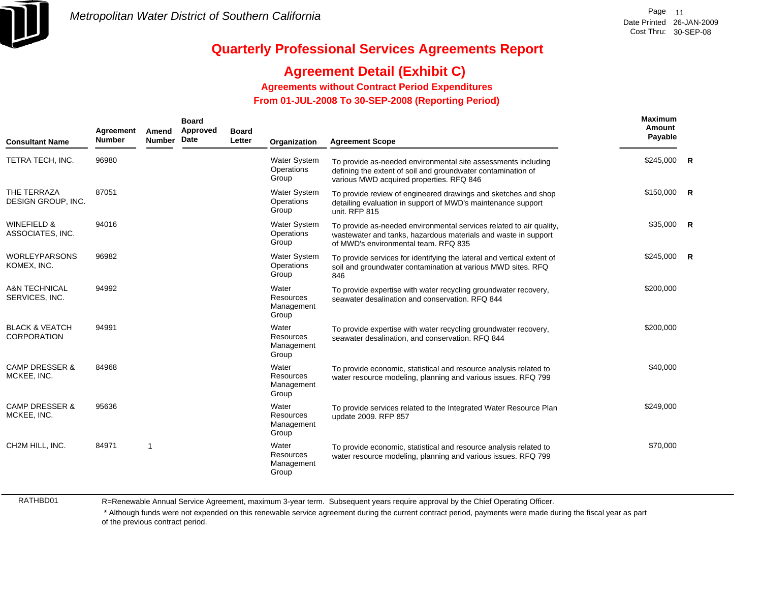

## **Agreement Detail (Exhibit C)**

**Agreements without Contract Period Expenditures**

 **From 01-JUL-2008 To 30-SEP-2008 (Reporting Period)** 

| <b>Consultant Name</b>                          | Agreement<br><b>Number</b> | Amend<br><b>Number</b> | <b>Board</b><br>Approved<br>Date | <b>Board</b><br>Letter | Organization                               | <b>Agreement Scope</b>                                                                                                                                                        | <b>Maximum</b><br>Amount<br>Payable |  |
|-------------------------------------------------|----------------------------|------------------------|----------------------------------|------------------------|--------------------------------------------|-------------------------------------------------------------------------------------------------------------------------------------------------------------------------------|-------------------------------------|--|
| TETRA TECH, INC.                                | 96980                      |                        |                                  |                        | <b>Water System</b><br>Operations<br>Group | To provide as-needed environmental site assessments including<br>defining the extent of soil and groundwater contamination of<br>various MWD acquired properties. RFQ 846     | $$245,000$ R                        |  |
| THE TERRAZA<br>DESIGN GROUP, INC.               | 87051                      |                        |                                  |                        | <b>Water System</b><br>Operations<br>Group | To provide review of engineered drawings and sketches and shop<br>detailing evaluation in support of MWD's maintenance support<br>unit. RFP 815                               | \$150,000 R                         |  |
| <b>WINEFIELD &amp;</b><br>ASSOCIATES, INC.      | 94016                      |                        |                                  |                        | <b>Water System</b><br>Operations<br>Group | To provide as-needed environmental services related to air quality,<br>wastewater and tanks, hazardous materials and waste in support<br>of MWD's environmental team. RFQ 835 | $$35,000$ R                         |  |
| <b>WORLEYPARSONS</b><br>KOMEX, INC.             | 96982                      |                        |                                  |                        | <b>Water System</b><br>Operations<br>Group | To provide services for identifying the lateral and vertical extent of<br>soil and groundwater contamination at various MWD sites. RFQ<br>846                                 | \$245,000 R                         |  |
| <b>A&amp;N TECHNICAL</b><br>SERVICES, INC.      | 94992                      |                        |                                  |                        | Water<br>Resources<br>Management<br>Group  | To provide expertise with water recycling groundwater recovery,<br>seawater desalination and conservation. RFQ 844                                                            | \$200,000                           |  |
| <b>BLACK &amp; VEATCH</b><br><b>CORPORATION</b> | 94991                      |                        |                                  |                        | Water<br>Resources<br>Management<br>Group  | To provide expertise with water recycling groundwater recovery,<br>seawater desalination, and conservation. RFQ 844                                                           | \$200,000                           |  |
| <b>CAMP DRESSER &amp;</b><br>MCKEE, INC.        | 84968                      |                        |                                  |                        | Water<br>Resources<br>Management<br>Group  | To provide economic, statistical and resource analysis related to<br>water resource modeling, planning and various issues. RFQ 799                                            | \$40,000                            |  |
| <b>CAMP DRESSER &amp;</b><br>MCKEE, INC.        | 95636                      |                        |                                  |                        | Water<br>Resources<br>Management<br>Group  | To provide services related to the Integrated Water Resource Plan<br>update 2009. RFP 857                                                                                     | \$249,000                           |  |
| CH2M HILL. INC.                                 | 84971                      | 1                      |                                  |                        | Water<br>Resources<br>Management<br>Group  | To provide economic, statistical and resource analysis related to<br>water resource modeling, planning and various issues. RFQ 799                                            | \$70,000                            |  |

RATHBD01

R=Renewable Annual Service Agreement, maximum 3-year term. Subsequent years require approval by the Chief Operating Officer.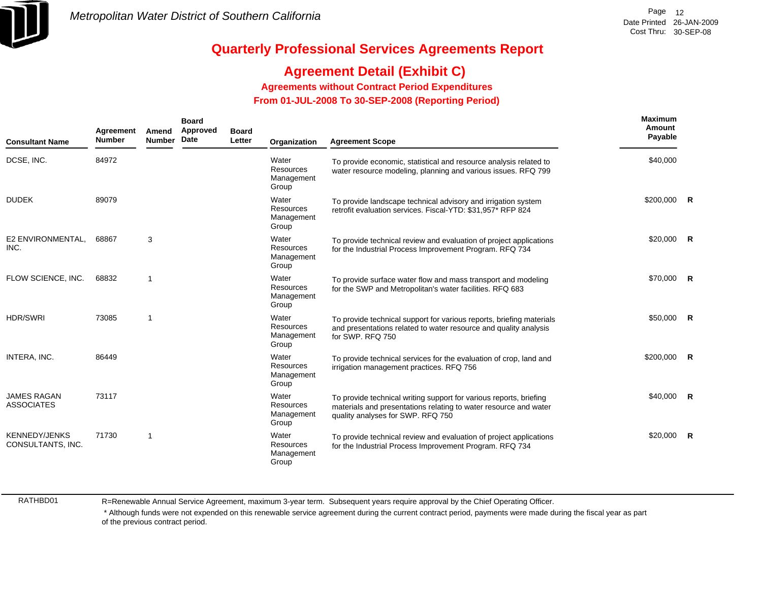

## **Agreement Detail (Exhibit C)**

**Agreements without Contract Period Expenditures**

 **From 01-JUL-2008 To 30-SEP-2008 (Reporting Period)** 

| <b>Consultant Name</b>                    | Agreement<br><b>Number</b> | Amend<br><b>Number</b> | <b>Board</b><br>Approved<br>Date | <b>Board</b><br>Letter | Organization                                     | <b>Agreement Scope</b>                                                                                                                                                      | Maximum<br>Amount<br>Payable |          |
|-------------------------------------------|----------------------------|------------------------|----------------------------------|------------------------|--------------------------------------------------|-----------------------------------------------------------------------------------------------------------------------------------------------------------------------------|------------------------------|----------|
| DCSE, INC.                                | 84972                      |                        |                                  |                        | Water<br><b>Resources</b><br>Management<br>Group | To provide economic, statistical and resource analysis related to<br>water resource modeling, planning and various issues. RFQ 799                                          | \$40,000                     |          |
| <b>DUDEK</b>                              | 89079                      |                        |                                  |                        | Water<br>Resources<br>Management<br>Group        | To provide landscape technical advisory and irrigation system<br>retrofit evaluation services. Fiscal-YTD: \$31,957* RFP 824                                                | $$200,000$ R                 |          |
| E2 ENVIRONMENTAL.<br>INC.                 | 68867                      | 3                      |                                  |                        | Water<br><b>Resources</b><br>Management<br>Group | To provide technical review and evaluation of project applications<br>for the Industrial Process Improvement Program. RFQ 734                                               | $$20,000$ R                  |          |
| FLOW SCIENCE, INC.                        | 68832                      | -1                     |                                  |                        | Water<br>Resources<br>Management<br>Group        | To provide surface water flow and mass transport and modeling<br>for the SWP and Metropolitan's water facilities. RFQ 683                                                   | \$70,000 R                   |          |
| <b>HDR/SWRI</b>                           | 73085                      | -1                     |                                  |                        | Water<br>Resources<br>Management<br>Group        | To provide technical support for various reports, briefing materials<br>and presentations related to water resource and quality analysis<br>for SWP. RFQ 750                | $$50,000$ R                  |          |
| INTERA, INC.                              | 86449                      |                        |                                  |                        | Water<br><b>Resources</b><br>Management<br>Group | To provide technical services for the evaluation of crop, land and<br>irrigation management practices. RFQ 756                                                              | $$200,000$ R                 |          |
| <b>JAMES RAGAN</b><br><b>ASSOCIATES</b>   | 73117                      |                        |                                  |                        | Water<br>Resources<br>Management<br>Group        | To provide technical writing support for various reports, briefing<br>materials and presentations relating to water resource and water<br>quality analyses for SWP. RFQ 750 | \$40,000 R                   |          |
| <b>KENNEDY/JENKS</b><br>CONSULTANTS, INC. | 71730                      | $\overline{1}$         |                                  |                        | Water<br>Resources<br>Management<br>Group        | To provide technical review and evaluation of project applications<br>for the Industrial Process Improvement Program. RFQ 734                                               | \$20,000                     | <b>R</b> |

RATHBD01

R=Renewable Annual Service Agreement, maximum 3-year term. Subsequent years require approval by the Chief Operating Officer.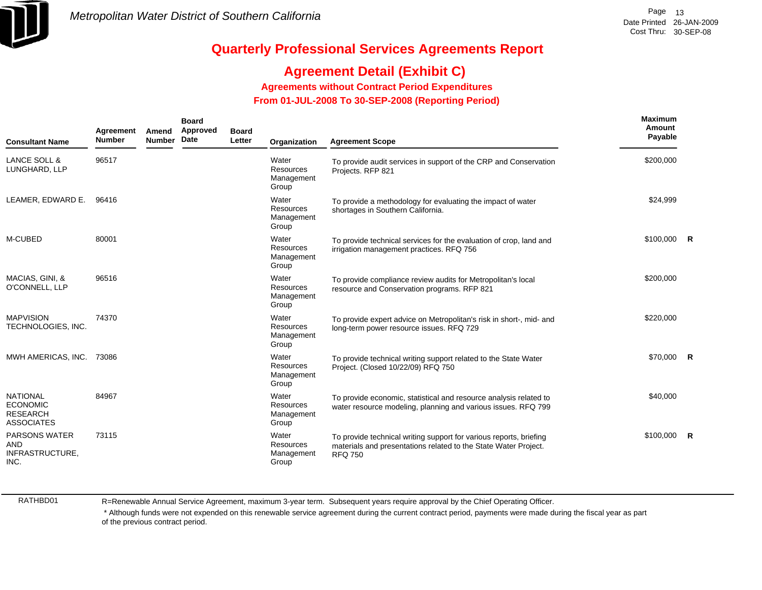

## **Agreement Detail (Exhibit C)**

**Agreements without Contract Period Expenditures**

 **From 01-JUL-2008 To 30-SEP-2008 (Reporting Period)** 

| <b>Consultant Name</b>                                                     | Agreement<br><b>Number</b> | Amend<br><b>Number</b> | <b>Board</b><br>Approved<br>Date | <b>Board</b><br>Letter | Organization                              | <b>Agreement Scope</b>                                                                                                                                  | Maximum<br>Amount<br>Payable |   |
|----------------------------------------------------------------------------|----------------------------|------------------------|----------------------------------|------------------------|-------------------------------------------|---------------------------------------------------------------------------------------------------------------------------------------------------------|------------------------------|---|
| LANCE SOLL &<br>LUNGHARD, LLP                                              | 96517                      |                        |                                  |                        | Water<br>Resources<br>Management<br>Group | To provide audit services in support of the CRP and Conservation<br>Projects. RFP 821                                                                   | \$200,000                    |   |
| LEAMER, EDWARD E.                                                          | 96416                      |                        |                                  |                        | Water<br>Resources<br>Management<br>Group | To provide a methodology for evaluating the impact of water<br>shortages in Southern California.                                                        | \$24,999                     |   |
| M-CUBED                                                                    | 80001                      |                        |                                  |                        | Water<br>Resources<br>Management<br>Group | To provide technical services for the evaluation of crop, land and<br>irrigation management practices. RFQ 756                                          | $$100,000$ R                 |   |
| MACIAS, GINI, &<br>O'CONNELL, LLP                                          | 96516                      |                        |                                  |                        | Water<br>Resources<br>Management<br>Group | To provide compliance review audits for Metropolitan's local<br>resource and Conservation programs. RFP 821                                             | \$200,000                    |   |
| <b>MAPVISION</b><br>TECHNOLOGIES, INC.                                     | 74370                      |                        |                                  |                        | Water<br>Resources<br>Management<br>Group | To provide expert advice on Metropolitan's risk in short-, mid- and<br>long-term power resource issues. RFQ 729                                         | \$220,000                    |   |
| MWH AMERICAS, INC. 73086                                                   |                            |                        |                                  |                        | Water<br>Resources<br>Management<br>Group | To provide technical writing support related to the State Water<br>Project. (Closed 10/22/09) RFQ 750                                                   | \$70,000 R                   |   |
| <b>NATIONAL</b><br><b>ECONOMIC</b><br><b>RESEARCH</b><br><b>ASSOCIATES</b> | 84967                      |                        |                                  |                        | Water<br>Resources<br>Management<br>Group | To provide economic, statistical and resource analysis related to<br>water resource modeling, planning and various issues. RFQ 799                      | \$40,000                     |   |
| <b>PARSONS WATER</b><br><b>AND</b><br>INFRASTRUCTURE,<br>INC.              | 73115                      |                        |                                  |                        | Water<br>Resources<br>Management<br>Group | To provide technical writing support for various reports, briefing<br>materials and presentations related to the State Water Project.<br><b>RFQ 750</b> | \$100,000                    | R |

RATHBD01

R=Renewable Annual Service Agreement, maximum 3-year term. Subsequent years require approval by the Chief Operating Officer.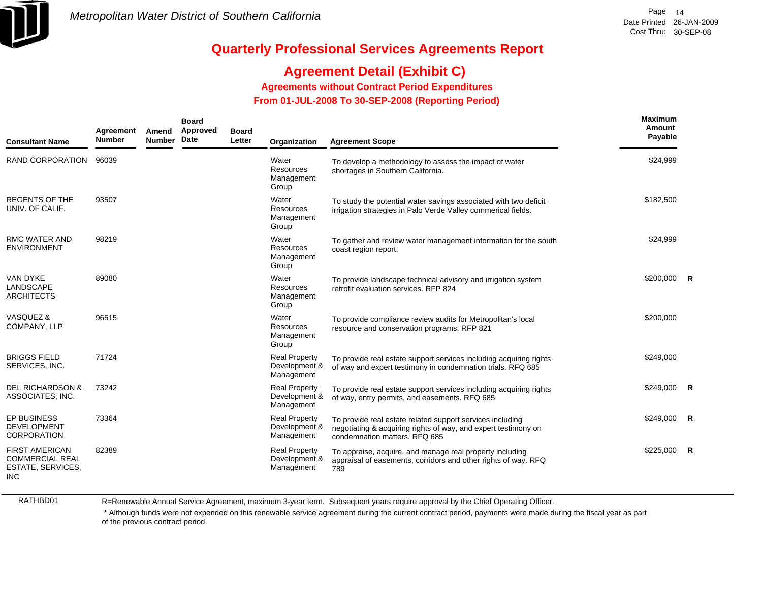

## **Agreement Detail (Exhibit C)**

**Agreements without Contract Period Expenditures**

 **From 01-JUL-2008 To 30-SEP-2008 (Reporting Period)** 

| Agreement<br>Amend<br><b>Number</b><br><b>Consultant Name</b>                      |       | <b>Number</b> | <b>Board</b><br>Approved<br>Date | <b>Board</b><br>Letter | Organization                                        | <b>Agreement Scope</b>                                                                                                                                       | <b>Maximum</b><br>Amount<br>Payable |  |
|------------------------------------------------------------------------------------|-------|---------------|----------------------------------|------------------------|-----------------------------------------------------|--------------------------------------------------------------------------------------------------------------------------------------------------------------|-------------------------------------|--|
| RAND CORPORATION                                                                   | 96039 |               |                                  |                        | Water<br><b>Resources</b><br>Management<br>Group    | To develop a methodology to assess the impact of water<br>shortages in Southern California.                                                                  | \$24,999                            |  |
| <b>REGENTS OF THE</b><br>UNIV. OF CALIF.                                           | 93507 |               |                                  |                        | Water<br>Resources<br>Management<br>Group           | To study the potential water savings associated with two deficit<br>irrigation strategies in Palo Verde Valley commerical fields.                            | \$182,500                           |  |
| <b>RMC WATER AND</b><br><b>ENVIRONMENT</b>                                         | 98219 |               |                                  |                        | Water<br>Resources<br>Management<br>Group           | To gather and review water management information for the south<br>coast region report.                                                                      | \$24,999                            |  |
| <b>VAN DYKE</b><br>LANDSCAPE<br><b>ARCHITECTS</b>                                  | 89080 |               |                                  |                        | Water<br>Resources<br>Management<br>Group           | To provide landscape technical advisory and irrigation system<br>retrofit evaluation services. RFP 824                                                       | $$200,000$ R                        |  |
| VASQUEZ&<br>COMPANY, LLP                                                           | 96515 |               |                                  |                        | Water<br>Resources<br>Management<br>Group           | To provide compliance review audits for Metropolitan's local<br>resource and conservation programs. RFP 821                                                  | \$200,000                           |  |
| <b>BRIGGS FIELD</b><br>SERVICES, INC.                                              | 71724 |               |                                  |                        | <b>Real Property</b><br>Development &<br>Management | To provide real estate support services including acquiring rights<br>of way and expert testimony in condemnation trials. RFQ 685                            | \$249,000                           |  |
| <b>DEL RICHARDSON &amp;</b><br>ASSOCIATES, INC.                                    | 73242 |               |                                  |                        | <b>Real Property</b><br>Development &<br>Management | To provide real estate support services including acquiring rights<br>of way, entry permits, and easements. RFQ 685                                          | $$249,000$ R                        |  |
| <b>EP BUSINESS</b><br><b>DEVELOPMENT</b><br><b>CORPORATION</b>                     | 73364 |               |                                  |                        | <b>Real Property</b><br>Development &<br>Management | To provide real estate related support services including<br>negotiating & acquiring rights of way, and expert testimony on<br>condemnation matters, RFQ 685 | $$249,000$ R                        |  |
| <b>FIRST AMERICAN</b><br><b>COMMERCIAL REAL</b><br>ESTATE, SERVICES,<br><b>INC</b> | 82389 |               |                                  |                        | <b>Real Property</b><br>Development &<br>Management | To appraise, acquire, and manage real property including<br>appraisal of easements, corridors and other rights of way. RFQ<br>789                            | $$225,000$ R                        |  |

RATHBD01

R=Renewable Annual Service Agreement, maximum 3-year term. Subsequent years require approval by the Chief Operating Officer.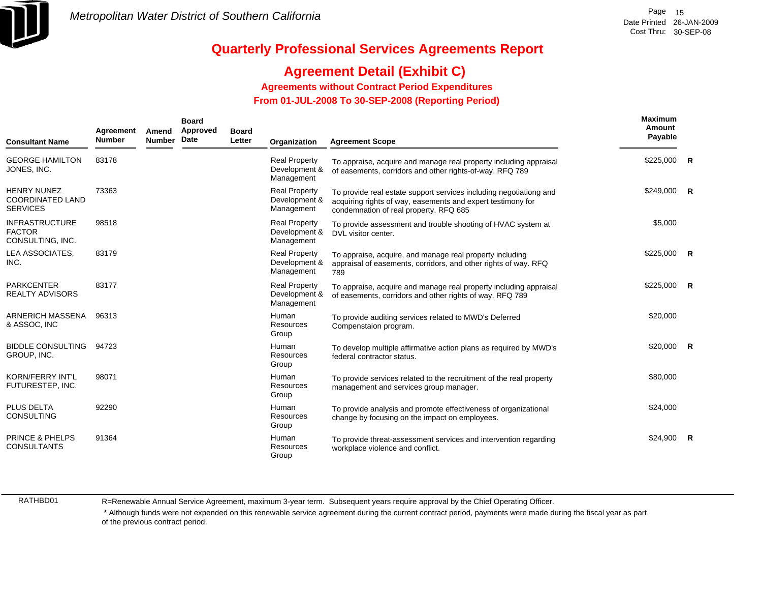

## **Agreement Detail (Exhibit C)**

**Agreements without Contract Period Expenditures**

 **From 01-JUL-2008 To 30-SEP-2008 (Reporting Period)** 

| <b>Consultant Name</b>                                           | Agreement<br><b>Number</b> | Amend<br><b>Number</b> | <b>Board</b><br>Approved<br>Date | <b>Board</b><br>Letter | Organization                                        | <b>Agreement Scope</b>                                                                                                                                                      | Maximum<br>Amount<br>Payable |   |
|------------------------------------------------------------------|----------------------------|------------------------|----------------------------------|------------------------|-----------------------------------------------------|-----------------------------------------------------------------------------------------------------------------------------------------------------------------------------|------------------------------|---|
| <b>GEORGE HAMILTON</b><br>JONES, INC.                            | 83178                      |                        |                                  |                        | <b>Real Property</b><br>Development &<br>Management | To appraise, acquire and manage real property including appraisal<br>of easements, corridors and other rights-of-way. RFQ 789                                               | $$225,000$ R                 |   |
| <b>HENRY NUNEZ</b><br><b>COORDINATED LAND</b><br><b>SERVICES</b> | 73363                      |                        |                                  |                        | <b>Real Property</b><br>Development &<br>Management | To provide real estate support services including negotiationg and<br>acquiring rights of way, easements and expert testimony for<br>condemnation of real property. RFQ 685 | $$249,000$ R                 |   |
| <b>INFRASTRUCTURE</b><br><b>FACTOR</b><br>CONSULTING, INC.       | 98518                      |                        |                                  |                        | <b>Real Property</b><br>Development &<br>Management | To provide assessment and trouble shooting of HVAC system at<br>DVL visitor center.                                                                                         | \$5,000                      |   |
| LEA ASSOCIATES,<br>INC.                                          | 83179                      |                        |                                  |                        | <b>Real Property</b><br>Development &<br>Management | To appraise, acquire, and manage real property including<br>appraisal of easements, corridors, and other rights of way. RFQ<br>789                                          | $$225,000$ R                 |   |
| <b>PARKCENTER</b><br><b>REALTY ADVISORS</b>                      | 83177                      |                        |                                  |                        | <b>Real Property</b><br>Development &<br>Management | To appraise, acquire and manage real property including appraisal<br>of easements, corridors and other rights of way. RFQ 789                                               | $$225,000$ R                 |   |
| ARNERICH MASSENA<br>& ASSOC, INC                                 | 96313                      |                        |                                  |                        | Human<br>Resources<br>Group                         | To provide auditing services related to MWD's Deferred<br>Compenstaion program.                                                                                             | \$20,000                     |   |
| <b>BIDDLE CONSULTING</b><br>GROUP, INC.                          | 94723                      |                        |                                  |                        | Human<br>Resources<br>Group                         | To develop multiple affirmative action plans as required by MWD's<br>federal contractor status.                                                                             | $$20,000$ R                  |   |
| <b>KORN/FERRY INT'L</b><br>FUTURESTEP, INC.                      | 98071                      |                        |                                  |                        | Human<br>Resources<br>Group                         | To provide services related to the recruitment of the real property<br>management and services group manager.                                                               | \$80,000                     |   |
| <b>PLUS DELTA</b><br><b>CONSULTING</b>                           | 92290                      |                        |                                  |                        | Human<br>Resources<br>Group                         | To provide analysis and promote effectiveness of organizational<br>change by focusing on the impact on employees.                                                           | \$24,000                     |   |
| <b>PRINCE &amp; PHELPS</b><br><b>CONSULTANTS</b>                 | 91364                      |                        |                                  |                        | Human<br><b>Resources</b><br>Group                  | To provide threat-assessment services and intervention regarding<br>workplace violence and conflict.                                                                        | \$24.900                     | R |

RATHBD01

R=Renewable Annual Service Agreement, maximum 3-year term. Subsequent years require approval by the Chief Operating Officer.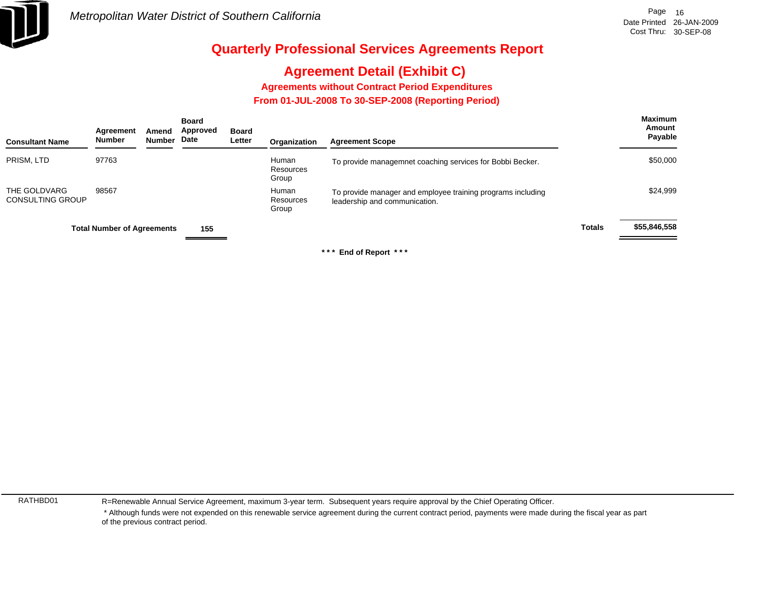

# **Agreement Detail (Exhibit C)**

**Agreements without Contract Period Expenditures**

 **From 01-JUL-2008 To 30-SEP-2008 (Reporting Period)** 

| <b>Consultant Name</b>                  | Agreement<br><b>Number</b>        | Amend<br>Number | <b>Board</b><br>Approved<br>Date | <b>Board</b><br>Letter | Organization                | <b>Agreement Scope</b>                                                                       |               | <b>Maximum</b><br>Amount<br>Payable |
|-----------------------------------------|-----------------------------------|-----------------|----------------------------------|------------------------|-----------------------------|----------------------------------------------------------------------------------------------|---------------|-------------------------------------|
| PRISM, LTD                              | 97763                             |                 |                                  |                        | Human<br>Resources<br>Group | To provide managemnet coaching services for Bobbi Becker.                                    |               | \$50,000                            |
| THE GOLDVARG<br><b>CONSULTING GROUP</b> | 98567                             |                 |                                  |                        | Human<br>Resources<br>Group | To provide manager and employee training programs including<br>leadership and communication. |               | \$24,999                            |
|                                         | <b>Total Number of Agreements</b> |                 | 155                              |                        |                             |                                                                                              | <b>Totals</b> | \$55,846,558                        |
|                                         |                                   |                 |                                  |                        |                             |                                                                                              |               |                                     |

**\* \* \* End of Report \* \* \***

RATHBD01

R=Renewable Annual Service Agreement, maximum 3-year term. Subsequent years require approval by the Chief Operating Officer.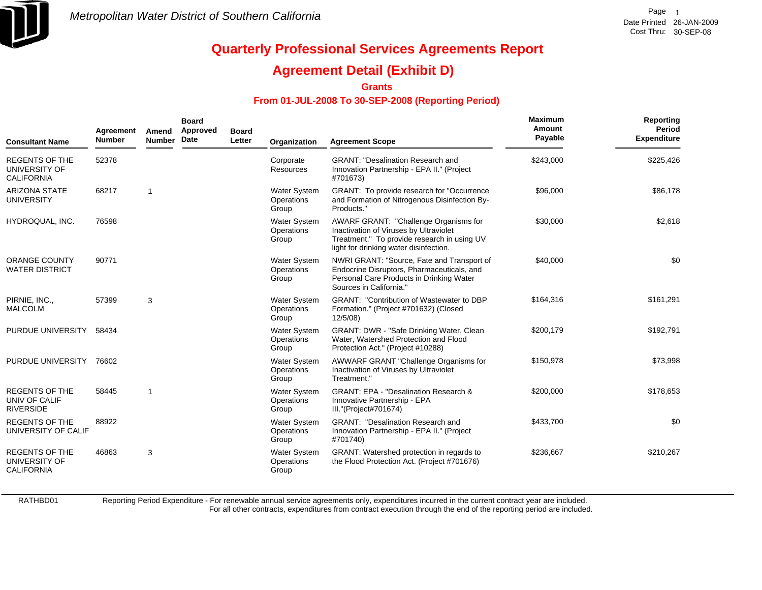

## **Agreement Detail (Exhibit D)**

**Grants**

### **From 01-JUL-2008 To 30-SEP-2008 (Reporting Period)**

| <b>Consultant Name</b>                                      | Agreement<br><b>Number</b> | Amend<br><b>Number</b> | <b>Board</b><br>Approved<br>Date | <b>Board</b><br>Letter | Organization                               | <b>Agreement Scope</b>                                                                                                                                                   | <b>Maximum</b><br>Amount<br>Payable | Reporting<br><b>Period</b><br><b>Expenditure</b> |
|-------------------------------------------------------------|----------------------------|------------------------|----------------------------------|------------------------|--------------------------------------------|--------------------------------------------------------------------------------------------------------------------------------------------------------------------------|-------------------------------------|--------------------------------------------------|
| <b>REGENTS OF THE</b><br>UNIVERSITY OF<br><b>CALIFORNIA</b> | 52378                      |                        |                                  |                        | Corporate<br>Resources                     | <b>GRANT: "Desalination Research and</b><br>Innovation Partnership - EPA II." (Project<br>#701673)                                                                       | \$243,000                           | \$225,426                                        |
| <b>ARIZONA STATE</b><br><b>UNIVERSITY</b>                   | 68217                      | -1                     |                                  |                        | Water System<br>Operations<br>Group        | GRANT: To provide research for "Occurrence"<br>and Formation of Nitrogenous Disinfection By-<br>Products."                                                               | \$96,000                            | \$86,178                                         |
| HYDROQUAL, INC.                                             | 76598                      |                        |                                  |                        | Water System<br>Operations<br>Group        | AWARF GRANT: "Challenge Organisms for<br>Inactivation of Viruses by Ultraviolet<br>Treatment." To provide research in using UV<br>light for drinking water disinfection. | \$30,000                            | \$2,618                                          |
| <b>ORANGE COUNTY</b><br><b>WATER DISTRICT</b>               | 90771                      |                        |                                  |                        | Water System<br>Operations<br>Group        | NWRI GRANT: "Source, Fate and Transport of<br>Endocrine Disruptors, Pharmaceuticals, and<br>Personal Care Products in Drinking Water<br>Sources in California."          | \$40,000                            | \$0                                              |
| PIRNIE, INC.,<br><b>MALCOLM</b>                             | 57399                      | 3                      |                                  |                        | Water System<br>Operations<br>Group        | <b>GRANT: "Contribution of Wastewater to DBP</b><br>Formation." (Project #701632) (Closed<br>12/5/08                                                                     | \$164,316                           | \$161,291                                        |
| PURDUE UNIVERSITY                                           | 58434                      |                        |                                  |                        | Water System<br>Operations<br>Group        | GRANT: DWR - "Safe Drinking Water, Clean<br>Water, Watershed Protection and Flood<br>Protection Act." (Project #10288)                                                   | \$200,179                           | \$192,791                                        |
| PURDUE UNIVERSITY                                           | 76602                      |                        |                                  |                        | <b>Water System</b><br>Operations<br>Group | AWWARF GRANT "Challenge Organisms for<br>Inactivation of Viruses by Ultraviolet<br>Treatment."                                                                           | \$150,978                           | \$73,998                                         |
| <b>REGENTS OF THE</b><br>UNIV OF CALIF<br><b>RIVERSIDE</b>  | 58445                      |                        |                                  |                        | Water System<br>Operations<br>Group        | <b>GRANT: EPA - "Desalination Research &amp;</b><br>Innovative Partnership - EPA<br>III."(Project#701674)                                                                | \$200,000                           | \$178,653                                        |
| REGENTS OF THE<br>UNIVERSITY OF CALIF                       | 88922                      |                        |                                  |                        | Water System<br>Operations<br>Group        | <b>GRANT: "Desalination Research and</b><br>Innovation Partnership - EPA II." (Project<br>#701740)                                                                       | \$433,700                           | \$0                                              |
| <b>REGENTS OF THE</b><br>UNIVERSITY OF<br><b>CALIFORNIA</b> | 46863                      | 3                      |                                  |                        | Water System<br>Operations<br>Group        | GRANT: Watershed protection in regards to<br>the Flood Protection Act. (Project #701676)                                                                                 | \$236,667                           | \$210,267                                        |

RATHBD01

Reporting Period Expenditure - For renewable annual service agreements only, expenditures incurred in the current contract year are included.

For all other contracts, expenditures from contract execution through the end of the reporting period are included.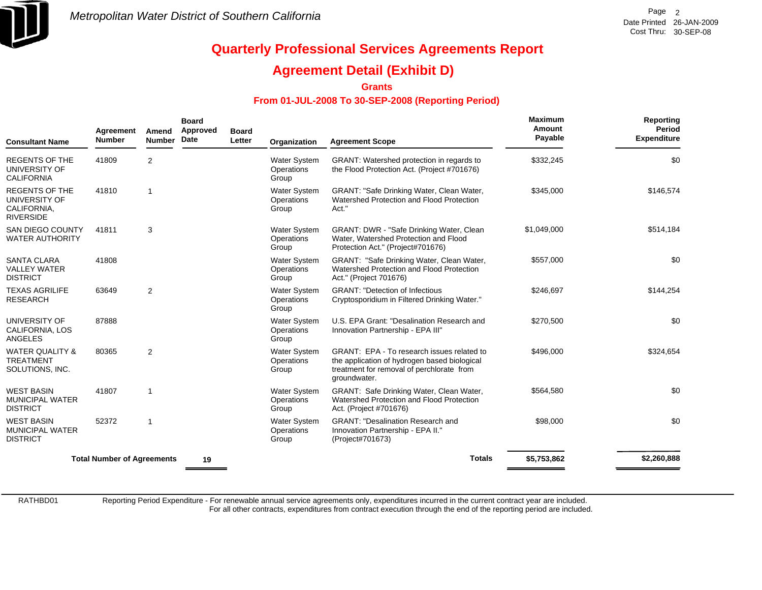

### **Agreement Detail (Exhibit D)**

**Grants**

### **From 01-JUL-2008 To 30-SEP-2008 (Reporting Period)**

| <b>Consultant Name</b>                                                    | Agreement<br><b>Number</b>        | Amend<br><b>Number</b> | <b>Board</b><br>Approved<br>Date | <b>Board</b><br>Letter | Organization                               | <b>Agreement Scope</b>                                                                                                                                  | <b>Maximum</b><br>Amount<br>Payable | Reporting<br>Period<br><b>Expenditure</b> |
|---------------------------------------------------------------------------|-----------------------------------|------------------------|----------------------------------|------------------------|--------------------------------------------|---------------------------------------------------------------------------------------------------------------------------------------------------------|-------------------------------------|-------------------------------------------|
| <b>REGENTS OF THE</b><br>UNIVERSITY OF<br><b>CALIFORNIA</b>               | 41809                             | 2                      |                                  |                        | <b>Water System</b><br>Operations<br>Group | GRANT: Watershed protection in regards to<br>the Flood Protection Act. (Project #701676)                                                                | \$332,245                           | \$0                                       |
| <b>REGENTS OF THE</b><br>UNIVERSITY OF<br>CALIFORNIA.<br><b>RIVERSIDE</b> | 41810                             | 1                      |                                  |                        | Water System<br>Operations<br>Group        | GRANT: "Safe Drinking Water, Clean Water,<br>Watershed Protection and Flood Protection<br>Act."                                                         | \$345,000                           | \$146,574                                 |
| <b>SAN DIEGO COUNTY</b><br><b>WATER AUTHORITY</b>                         | 41811                             | 3                      |                                  |                        | Water System<br>Operations<br>Group        | GRANT: DWR - "Safe Drinking Water, Clean<br>Water, Watershed Protection and Flood<br>Protection Act." (Project#701676)                                  | \$1,049,000                         | \$514,184                                 |
| <b>SANTA CLARA</b><br><b>VALLEY WATER</b><br><b>DISTRICT</b>              | 41808                             |                        |                                  |                        | <b>Water System</b><br>Operations<br>Group | GRANT: "Safe Drinking Water, Clean Water,<br>Watershed Protection and Flood Protection<br>Act." (Project 701676)                                        | \$557,000                           | \$0                                       |
| <b>TEXAS AGRILIFE</b><br><b>RESEARCH</b>                                  | 63649                             | $\overline{2}$         |                                  |                        | <b>Water System</b><br>Operations<br>Group | <b>GRANT: "Detection of Infectious</b><br>Cryptosporidium in Filtered Drinking Water."                                                                  | \$246,697                           | \$144,254                                 |
| UNIVERSITY OF<br>CALIFORNIA, LOS<br><b>ANGELES</b>                        | 87888                             |                        |                                  |                        | <b>Water System</b><br>Operations<br>Group | U.S. EPA Grant: "Desalination Research and<br>Innovation Partnership - EPA III"                                                                         | \$270,500                           | \$0                                       |
| <b>WATER QUALITY &amp;</b><br><b>TREATMENT</b><br>SOLUTIONS, INC.         | 80365                             | $\overline{2}$         |                                  |                        | Water System<br>Operations<br>Group        | GRANT: EPA - To research issues related to<br>the application of hydrogen based biological<br>treatment for removal of perchlorate from<br>groundwater. | \$496,000                           | \$324,654                                 |
| <b>WEST BASIN</b><br>MUNICIPAL WATER<br><b>DISTRICT</b>                   | 41807                             | $\overline{1}$         |                                  |                        | <b>Water System</b><br>Operations<br>Group | GRANT: Safe Drinking Water, Clean Water,<br>Watershed Protection and Flood Protection<br>Act. (Project #701676)                                         | \$564,580                           | \$0                                       |
| <b>WEST BASIN</b><br><b>MUNICIPAL WATER</b><br><b>DISTRICT</b>            | 52372                             | $\mathbf{1}$           |                                  |                        | <b>Water System</b><br>Operations<br>Group | <b>GRANT: "Desalination Research and</b><br>Innovation Partnership - EPA II."<br>(Project#701673)                                                       | \$98,000                            | \$0                                       |
|                                                                           | <b>Total Number of Agreements</b> |                        | 19                               |                        |                                            | <b>Totals</b>                                                                                                                                           | \$5,753,862                         | \$2,260,888                               |

RATHBD01

Reporting Period Expenditure - For renewable annual service agreements only, expenditures incurred in the current contract year are included.

For all other contracts, expenditures from contract execution through the end of the reporting period are included.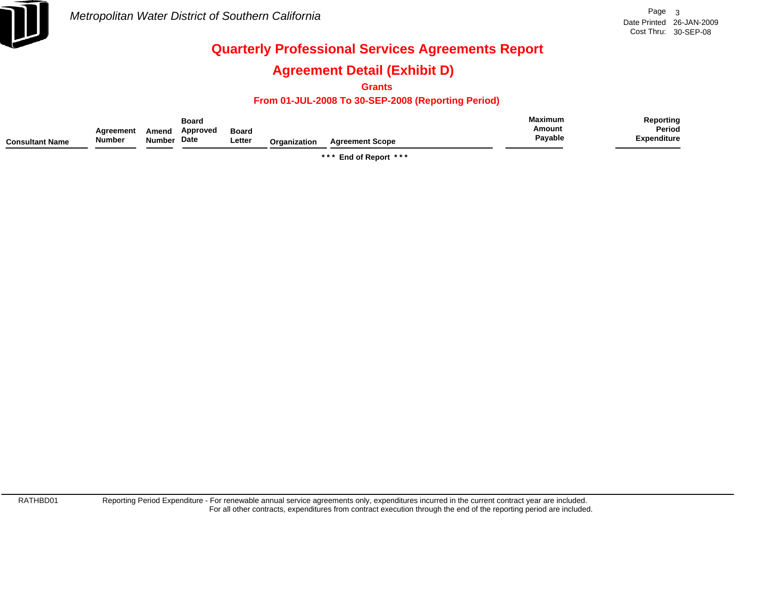

## **Agreement Detail (Exhibit D)**

**Grants**

### **From 01-JUL-2008 To 30-SEP-2008 (Reporting Period)**

|                        |                            |                        | Board            |                        |              |                        | <b>Maximum</b>    | Reporting             |
|------------------------|----------------------------|------------------------|------------------|------------------------|--------------|------------------------|-------------------|-----------------------|
| <b>Consultant Name</b> | Agreement<br><b>Number</b> | Amend<br><b>Number</b> | Approved<br>Date | <b>Board</b><br>Letter | Organization | <b>Agreement Scope</b> | Amount<br>Payable | Period<br>Expenditure |

**\* \* \* End of Report \* \* \***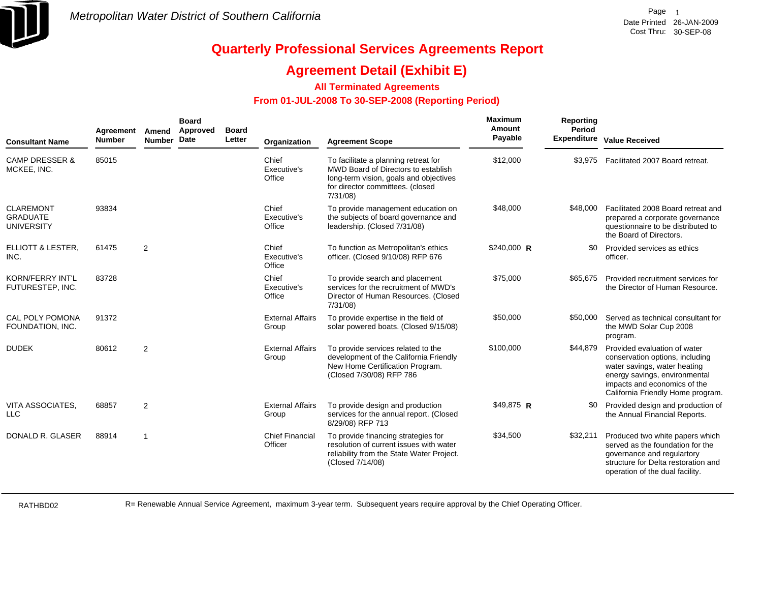

### **Agreement Detail (Exhibit E)**

### **All Terminated Agreements**

### **From 01-JUL-2008 To 30-SEP-2008 (Reporting Period)**

| <b>Consultant Name</b>                                   | Agreement<br><b>Number</b> | Amend<br><b>Number</b> | <b>Board</b><br>Approved<br>Date | <b>Board</b><br>Letter | Organization                      | <b>Agreement Scope</b>                                                                                                                                               | Maximum<br>Amount<br>Payable | Reporting<br>Period<br><b>Expenditure</b> | <b>Value Received</b>                                                                                                                                                                                 |
|----------------------------------------------------------|----------------------------|------------------------|----------------------------------|------------------------|-----------------------------------|----------------------------------------------------------------------------------------------------------------------------------------------------------------------|------------------------------|-------------------------------------------|-------------------------------------------------------------------------------------------------------------------------------------------------------------------------------------------------------|
| <b>CAMP DRESSER &amp;</b><br>MCKEE, INC.                 | 85015                      |                        |                                  |                        | Chief<br>Executive's<br>Office    | To facilitate a planning retreat for<br>MWD Board of Directors to establish<br>long-term vision, goals and objectives<br>for director committees. (closed<br>7/31/08 | \$12,000                     | \$3.975                                   | Facilitated 2007 Board retreat.                                                                                                                                                                       |
| <b>CLAREMONT</b><br><b>GRADUATE</b><br><b>UNIVERSITY</b> | 93834                      |                        |                                  |                        | Chief<br>Executive's<br>Office    | To provide management education on<br>the subjects of board governance and<br>leadership. (Closed 7/31/08)                                                           | \$48,000                     | \$48,000                                  | Facilitated 2008 Board retreat and<br>prepared a corporate governance<br>questionnaire to be distributed to<br>the Board of Directors.                                                                |
| ELLIOTT & LESTER,<br>INC.                                | 61475                      | 2                      |                                  |                        | Chief<br>Executive's<br>Office    | To function as Metropolitan's ethics<br>officer. (Closed 9/10/08) RFP 676                                                                                            | $$240,000$ R                 | \$0                                       | Provided services as ethics<br>officer.                                                                                                                                                               |
| <b>KORN/FERRY INT'L</b><br>FUTURESTEP, INC.              | 83728                      |                        |                                  |                        | Chief<br>Executive's<br>Office    | To provide search and placement<br>services for the recruitment of MWD's<br>Director of Human Resources. (Closed<br>7/31/08                                          | \$75,000                     | \$65,675                                  | Provided recruitment services for<br>the Director of Human Resource.                                                                                                                                  |
| <b>CAL POLY POMONA</b><br>FOUNDATION, INC.               | 91372                      |                        |                                  |                        | <b>External Affairs</b><br>Group  | To provide expertise in the field of<br>solar powered boats. (Closed 9/15/08)                                                                                        | \$50,000                     | \$50,000                                  | Served as technical consultant for<br>the MWD Solar Cup 2008<br>program.                                                                                                                              |
| <b>DUDEK</b>                                             | 80612                      | 2                      |                                  |                        | <b>External Affairs</b><br>Group  | To provide services related to the<br>development of the California Friendly<br>New Home Certification Program.<br>(Closed 7/30/08) RFP 786                          | \$100,000                    | \$44.879                                  | Provided evaluation of water<br>conservation options, including<br>water savings, water heating<br>energy savings, environmental<br>impacts and economics of the<br>California Friendly Home program. |
| VITA ASSOCIATES,<br><b>LLC</b>                           | 68857                      | $\overline{2}$         |                                  |                        | <b>External Affairs</b><br>Group  | To provide design and production<br>services for the annual report. (Closed<br>8/29/08) RFP 713                                                                      | \$49,875 R                   | \$0                                       | Provided design and production of<br>the Annual Financial Reports.                                                                                                                                    |
| DONALD R. GLASER                                         | 88914                      | $\overline{1}$         |                                  |                        | <b>Chief Financial</b><br>Officer | To provide financing strategies for<br>resolution of current issues with water<br>reliability from the State Water Project.<br>(Closed 7/14/08)                      | \$34,500                     | \$32,211                                  | Produced two white papers which<br>served as the foundation for the<br>governance and regulartory<br>structure for Delta restoration and<br>operation of the dual facility.                           |

RATHBD02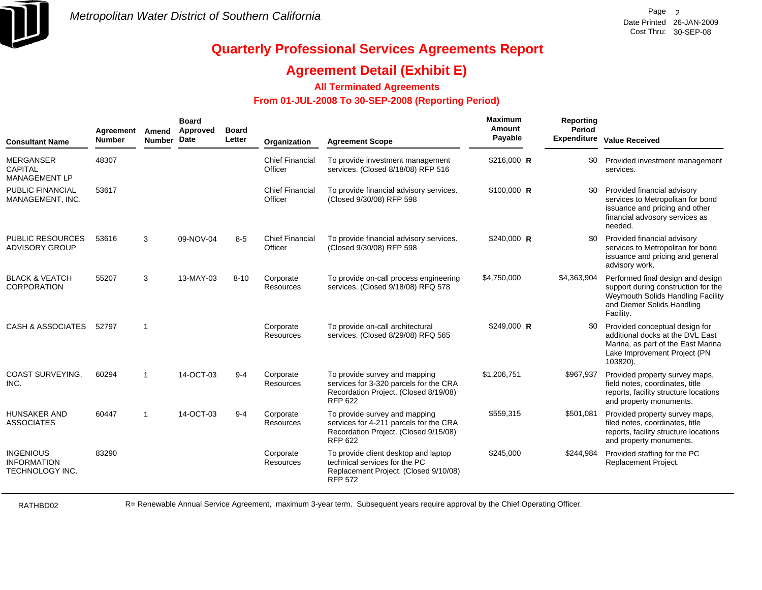

### **Agreement Detail (Exhibit E)**

### **All Terminated Agreements**

#### **From 01-JUL-2008 To 30-SEP-2008 (Reporting Period)**

| <b>Consultant Name</b>                                     | Agreement<br><b>Number</b> | Amend<br><b>Number</b> | <b>Board</b><br>Approved<br>Date | <b>Board</b><br>Letter | Organization                      | <b>Agreement Scope</b>                                                                                                             | Maximum<br>Amount<br>Payable | Reporting<br>Period<br><b>Expenditure</b> | <b>Value Received</b>                                                                                                                                    |
|------------------------------------------------------------|----------------------------|------------------------|----------------------------------|------------------------|-----------------------------------|------------------------------------------------------------------------------------------------------------------------------------|------------------------------|-------------------------------------------|----------------------------------------------------------------------------------------------------------------------------------------------------------|
| <b>MERGANSER</b><br><b>CAPITAL</b><br><b>MANAGEMENT LP</b> | 48307                      |                        |                                  |                        | <b>Chief Financial</b><br>Officer | To provide investment management<br>services. (Closed 8/18/08) RFP 516                                                             | \$216,000 R                  | \$0                                       | Provided investment management<br>services.                                                                                                              |
| PUBLIC FINANCIAL<br>MANAGEMENT, INC.                       | 53617                      |                        |                                  |                        | <b>Chief Financial</b><br>Officer | To provide financial advisory services.<br>(Closed 9/30/08) RFP 598                                                                | $$100,000$ R                 | \$0                                       | Provided financial advisory<br>services to Metropolitan for bond<br>issuance and pricing and other<br>financial advosory services as<br>needed.          |
| PUBLIC RESOURCES<br><b>ADVISORY GROUP</b>                  | 53616                      | 3                      | 09-NOV-04                        | $8 - 5$                | <b>Chief Financial</b><br>Officer | To provide financial advisory services.<br>(Closed 9/30/08) RFP 598                                                                | \$240,000 R                  | \$0                                       | Provided financial advisory<br>services to Metropolitan for bond<br>issuance and pricing and general<br>advisory work.                                   |
| <b>BLACK &amp; VEATCH</b><br><b>CORPORATION</b>            | 55207                      | 3                      | 13-MAY-03                        | $8 - 10$               | Corporate<br><b>Resources</b>     | To provide on-call process engineering<br>services. (Closed 9/18/08) RFQ 578                                                       | \$4,750,000                  | \$4,363,904                               | Performed final design and design<br>support during construction for the<br>Weymouth Solids Handling Facility<br>and Diemer Solids Handling<br>Facility. |
| <b>CASH &amp; ASSOCIATES</b>                               | 52797                      | $\overline{1}$         |                                  |                        | Corporate<br><b>Resources</b>     | To provide on-call architectural<br>services. (Closed 8/29/08) RFQ 565                                                             | $$249,000$ R                 | \$0                                       | Provided conceptual design for<br>additional docks at the DVL East<br>Marina, as part of the East Marina<br>Lake Improvement Project (PN<br>103820).     |
| <b>COAST SURVEYING,</b><br>INC.                            | 60294                      | $\overline{1}$         | 14-OCT-03                        | $9 - 4$                | Corporate<br><b>Resources</b>     | To provide survey and mapping<br>services for 3-320 parcels for the CRA<br>Recordation Project. (Closed 8/19/08)<br><b>RFP 622</b> | \$1,206,751                  | \$967,937                                 | Provided property survey maps,<br>field notes, coordinates, title<br>reports, facility structure locations<br>and property monuments.                    |
| HUNSAKER AND<br><b>ASSOCIATES</b>                          | 60447                      | $\overline{1}$         | 14-OCT-03                        | $9 - 4$                | Corporate<br>Resources            | To provide survey and mapping<br>services for 4-211 parcels for the CRA<br>Recordation Project. (Closed 9/15/08)<br><b>RFP 622</b> | \$559,315                    | \$501,081                                 | Provided property survey maps,<br>filed notes, coordinates, title<br>reports, facility structure locations<br>and property monuments.                    |
| <b>INGENIOUS</b><br><b>INFORMATION</b><br>TECHNOLOGY INC.  | 83290                      |                        |                                  |                        | Corporate<br>Resources            | To provide client desktop and laptop<br>technical services for the PC<br>Replacement Project. (Closed 9/10/08)<br><b>RFP 572</b>   | \$245,000                    | \$244,984                                 | Provided staffing for the PC<br>Replacement Project.                                                                                                     |

RATHBD02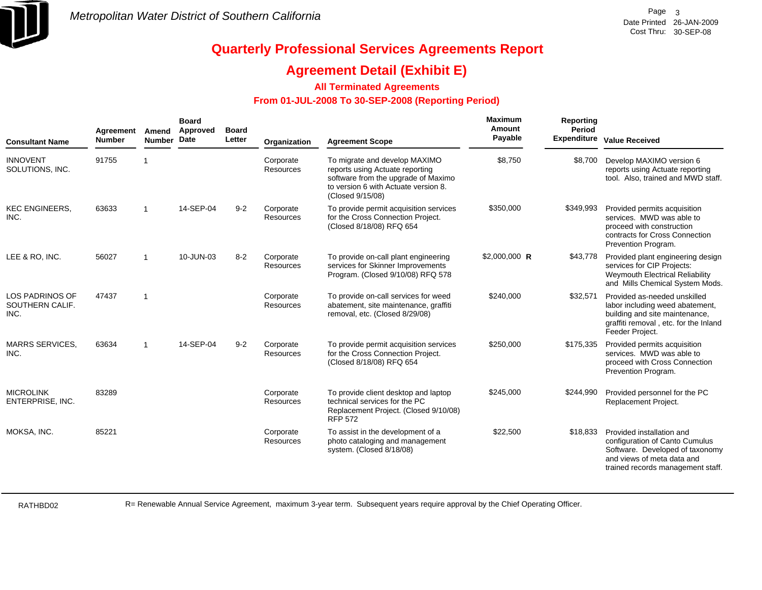

### **Agreement Detail (Exhibit E)**

### **All Terminated Agreements**

### **From 01-JUL-2008 To 30-SEP-2008 (Reporting Period)**

| <b>Consultant Name</b>                            | Agreement<br><b>Number</b> | Amend<br><b>Number</b>  | <b>Board</b><br>Approved<br><b>Date</b> | <b>Board</b><br>Letter | Organization           | <b>Agreement Scope</b>                                                                                                                                              | Maximum<br><b>Amount</b><br>Payable | <b>Reporting</b><br>Period<br><b>Expenditure</b> | <b>Value Received</b>                                                                                                                                             |
|---------------------------------------------------|----------------------------|-------------------------|-----------------------------------------|------------------------|------------------------|---------------------------------------------------------------------------------------------------------------------------------------------------------------------|-------------------------------------|--------------------------------------------------|-------------------------------------------------------------------------------------------------------------------------------------------------------------------|
| <b>INNOVENT</b><br>SOLUTIONS, INC.                | 91755                      |                         |                                         |                        | Corporate<br>Resources | To migrate and develop MAXIMO<br>reports using Actuate reporting<br>software from the upgrade of Maximo<br>to version 6 with Actuate version 8.<br>(Closed 9/15/08) | \$8,750                             | \$8,700                                          | Develop MAXIMO version 6<br>reports using Actuate reporting<br>tool. Also, trained and MWD staff.                                                                 |
| <b>KEC ENGINEERS,</b><br>INC.                     | 63633                      |                         | 14-SEP-04                               | $9 - 2$                | Corporate<br>Resources | To provide permit acquisition services<br>for the Cross Connection Project.<br>(Closed 8/18/08) RFQ 654                                                             | \$350,000                           | \$349,993                                        | Provided permits acquisition<br>services. MWD was able to<br>proceed with construction<br>contracts for Cross Connection<br>Prevention Program.                   |
| LEE & RO, INC.                                    | 56027                      |                         | 10-JUN-03                               | $8 - 2$                | Corporate<br>Resources | To provide on-call plant engineering<br>services for Skinner Improvements<br>Program. (Closed 9/10/08) RFQ 578                                                      | \$2,000,000 R                       | \$43,778                                         | Provided plant engineering design<br>services for CIP Projects:<br>Weymouth Electrical Reliability<br>and Mills Chemical System Mods.                             |
| <b>LOS PADRINOS OF</b><br>SOUTHERN CALIF.<br>INC. | 47437                      | $\overline{\mathbf{1}}$ |                                         |                        | Corporate<br>Resources | To provide on-call services for weed<br>abatement, site maintenance, graffiti<br>removal, etc. (Closed 8/29/08)                                                     | \$240,000                           | \$32,571                                         | Provided as-needed unskilled<br>labor including weed abatement,<br>building and site maintenance,<br>graffiti removal, etc. for the Inland<br>Feeder Project.     |
| <b>MARRS SERVICES,</b><br>INC.                    | 63634                      | -1                      | 14-SEP-04                               | $9 - 2$                | Corporate<br>Resources | To provide permit acquisition services<br>for the Cross Connection Project.<br>(Closed 8/18/08) RFQ 654                                                             | \$250,000                           | \$175,335                                        | Provided permits acquisition<br>services. MWD was able to<br>proceed with Cross Connection<br>Prevention Program.                                                 |
| <b>MICROLINK</b><br><b>ENTERPRISE, INC.</b>       | 83289                      |                         |                                         |                        | Corporate<br>Resources | To provide client desktop and laptop<br>technical services for the PC<br>Replacement Project. (Closed 9/10/08)<br><b>RFP 572</b>                                    | \$245,000                           | \$244,990                                        | Provided personnel for the PC<br>Replacement Project.                                                                                                             |
| MOKSA, INC.                                       | 85221                      |                         |                                         |                        | Corporate<br>Resources | To assist in the development of a<br>photo cataloging and management<br>system. (Closed 8/18/08)                                                                    | \$22,500                            | \$18,833                                         | Provided installation and<br>configuration of Canto Cumulus<br>Software. Developed of taxonomy<br>and views of meta data and<br>trained records management staff. |

RATHBD02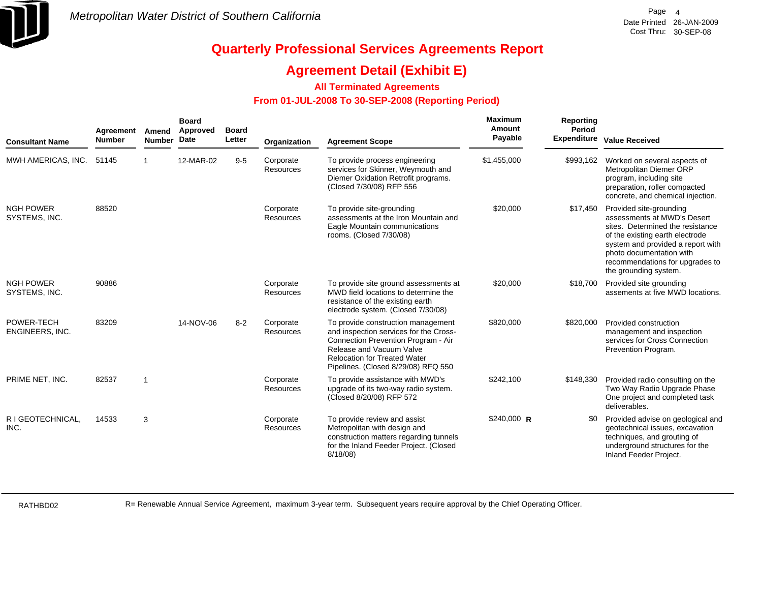

### **Agreement Detail (Exhibit E)**

### **All Terminated Agreements**

### **From 01-JUL-2008 To 30-SEP-2008 (Reporting Period)**

| <b>Consultant Name</b>            | Agreement<br><b>Number</b> | Amend<br><b>Number</b> | <b>Board</b><br>Approved<br><b>Date</b> | <b>Board</b><br>Letter | Organization                  | <b>Agreement Scope</b>                                                                                                                                                                                                        | Maximum<br>Amount<br>Payable | Reporting<br>Period<br><b>Expenditure</b> | <b>Value Received</b>                                                                                                                                                                                                                                      |
|-----------------------------------|----------------------------|------------------------|-----------------------------------------|------------------------|-------------------------------|-------------------------------------------------------------------------------------------------------------------------------------------------------------------------------------------------------------------------------|------------------------------|-------------------------------------------|------------------------------------------------------------------------------------------------------------------------------------------------------------------------------------------------------------------------------------------------------------|
| MWH AMERICAS, INC.                | 51145                      |                        | 12-MAR-02                               | $9 - 5$                | Corporate<br><b>Resources</b> | To provide process engineering<br>services for Skinner, Weymouth and<br>Diemer Oxidation Retrofit programs.<br>(Closed 7/30/08) RFP 556                                                                                       | \$1,455,000                  | \$993,162                                 | Worked on several aspects of<br>Metropolitan Diemer ORP<br>program, including site<br>preparation, roller compacted<br>concrete, and chemical injection.                                                                                                   |
| <b>NGH POWER</b><br>SYSTEMS, INC. | 88520                      |                        |                                         |                        | Corporate<br><b>Resources</b> | To provide site-grounding<br>assessments at the Iron Mountain and<br>Eagle Mountain communications<br>rooms. (Closed 7/30/08)                                                                                                 | \$20,000                     | \$17,450                                  | Provided site-grounding<br>assessments at MWD's Desert<br>sites. Determined the resistance<br>of the existing earth electrode<br>system and provided a report with<br>photo documentation with<br>recommendations for upgrades to<br>the grounding system. |
| <b>NGH POWER</b><br>SYSTEMS, INC. | 90886                      |                        |                                         |                        | Corporate<br>Resources        | To provide site ground assessments at<br>MWD field locations to determine the<br>resistance of the existing earth<br>electrode system. (Closed 7/30/08)                                                                       | \$20,000                     | \$18,700                                  | Provided site grounding<br>assements at five MWD locations.                                                                                                                                                                                                |
| POWER-TECH<br>ENGINEERS, INC.     | 83209                      |                        | 14-NOV-06                               | $8 - 2$                | Corporate<br>Resources        | To provide construction management<br>and inspection services for the Cross-<br>Connection Prevention Program - Air<br>Release and Vacuum Valve<br><b>Relocation for Treated Water</b><br>Pipelines. (Closed 8/29/08) RFQ 550 | \$820,000                    | \$820,000                                 | Provided construction<br>management and inspection<br>services for Cross Connection<br>Prevention Program.                                                                                                                                                 |
| PRIME NET. INC.                   | 82537                      | $\overline{1}$         |                                         |                        | Corporate<br><b>Resources</b> | To provide assistance with MWD's<br>upgrade of its two-way radio system.<br>(Closed 8/20/08) RFP 572                                                                                                                          | \$242,100                    | \$148,330                                 | Provided radio consulting on the<br>Two Way Radio Upgrade Phase<br>One project and completed task<br>deliverables.                                                                                                                                         |
| R I GEOTECHNICAL,<br>INC.         | 14533                      | 3                      |                                         |                        | Corporate<br><b>Resources</b> | To provide review and assist<br>Metropolitan with design and<br>construction matters regarding tunnels<br>for the Inland Feeder Project. (Closed<br>8/18/08                                                                   | \$240,000 R                  |                                           | Provided advise on geological and<br>geotechnical issues, excavation<br>techniques, and grouting of<br>underground structures for the<br>Inland Feeder Project.                                                                                            |

RATHBD02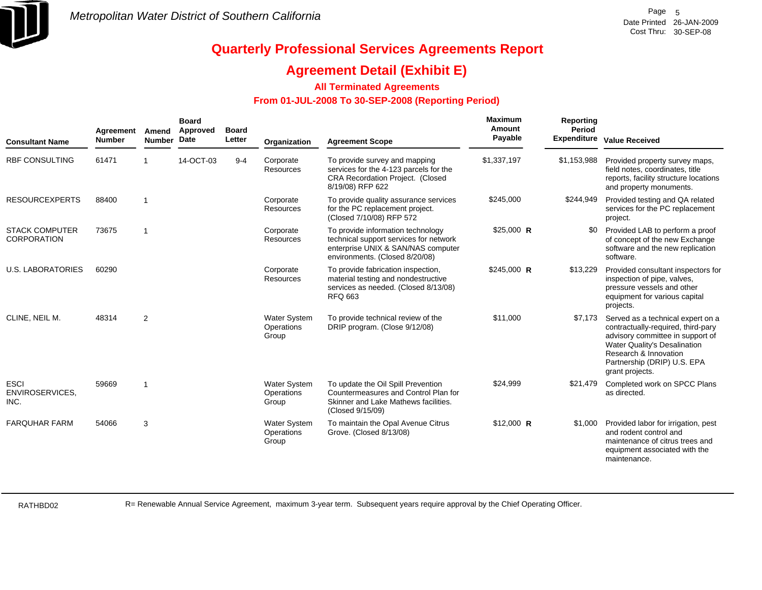

### **Agreement Detail (Exhibit E)**

### **All Terminated Agreements**

### **From 01-JUL-2008 To 30-SEP-2008 (Reporting Period)**

| <b>Consultant Name</b>                      | Agreement<br><b>Number</b> | Amend<br><b>Number</b> | <b>Board</b><br>Approved<br>Date | <b>Board</b><br>Letter | Organization                               | <b>Agreement Scope</b>                                                                                                                              | Maximum<br>Amount<br>Payable | Reporting<br>Period | Expenditure Value Received                                                                                                                                                                                             |
|---------------------------------------------|----------------------------|------------------------|----------------------------------|------------------------|--------------------------------------------|-----------------------------------------------------------------------------------------------------------------------------------------------------|------------------------------|---------------------|------------------------------------------------------------------------------------------------------------------------------------------------------------------------------------------------------------------------|
| <b>RBF CONSULTING</b>                       | 61471                      | 1                      | 14-OCT-03                        | $9 - 4$                | Corporate<br><b>Resources</b>              | To provide survey and mapping<br>services for the 4-123 parcels for the<br>CRA Recordation Project. (Closed<br>8/19/08) RFP 622                     | \$1,337,197                  | \$1,153,988         | Provided property survey maps,<br>field notes, coordinates, title<br>reports, facility structure locations<br>and property monuments.                                                                                  |
| <b>RESOURCEXPERTS</b>                       | 88400                      | $\mathbf{1}$           |                                  |                        | Corporate<br><b>Resources</b>              | To provide quality assurance services<br>for the PC replacement project.<br>(Closed 7/10/08) RFP 572                                                | \$245,000                    | \$244,949           | Provided testing and QA related<br>services for the PC replacement<br>project.                                                                                                                                         |
| <b>STACK COMPUTER</b><br><b>CORPORATION</b> | 73675                      | $\overline{1}$         |                                  |                        | Corporate<br><b>Resources</b>              | To provide information technology<br>technical support services for network<br>enterprise UNIX & SAN/NAS computer<br>environments. (Closed 8/20/08) | $$25,000$ R                  | \$0                 | Provided LAB to perform a proof<br>of concept of the new Exchange<br>software and the new replication<br>software.                                                                                                     |
| <b>U.S. LABORATORIES</b>                    | 60290                      |                        |                                  |                        | Corporate<br><b>Resources</b>              | To provide fabrication inspection,<br>material testing and nondestructive<br>services as needed. (Closed 8/13/08)<br><b>RFQ 663</b>                 | $$245,000$ R                 | \$13,229            | Provided consultant inspectors for<br>inspection of pipe, valves,<br>pressure vessels and other<br>equipment for various capital<br>projects.                                                                          |
| CLINE, NEIL M.                              | 48314                      | 2                      |                                  |                        | <b>Water System</b><br>Operations<br>Group | To provide technical review of the<br>DRIP program. (Close 9/12/08)                                                                                 | \$11,000                     | \$7,173             | Served as a technical expert on a<br>contractually-required, third-pary<br>advisory committee in support of<br>Water Quality's Desalination<br>Research & Innovation<br>Partnership (DRIP) U.S. EPA<br>grant projects. |
| <b>ESCI</b><br>ENVIROSERVICES,<br>INC.      | 59669                      | $\mathbf{1}$           |                                  |                        | Water System<br>Operations<br>Group        | To update the Oil Spill Prevention<br>Countermeasures and Control Plan for<br>Skinner and Lake Mathews facilities.<br>(Closed 9/15/09)              | \$24,999                     | \$21,479            | Completed work on SPCC Plans<br>as directed.                                                                                                                                                                           |
| <b>FARQUHAR FARM</b>                        | 54066                      | 3                      |                                  |                        | <b>Water System</b><br>Operations<br>Group | To maintain the Opal Avenue Citrus<br>Grove. (Closed 8/13/08)                                                                                       | $$12,000$ R                  | \$1,000             | Provided labor for irrigation, pest<br>and rodent control and<br>maintenance of citrus trees and<br>equipment associated with the<br>maintenance.                                                                      |

RATHBD02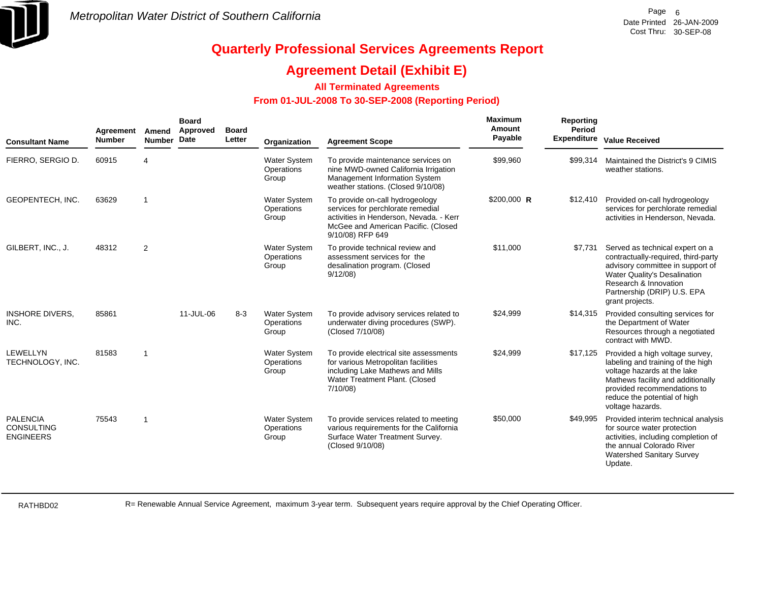

### **Agreement Detail (Exhibit E)**

### **All Terminated Agreements**

### **From 01-JUL-2008 To 30-SEP-2008 (Reporting Period)**

| <b>Consultant Name</b>                                   | Agreement<br><b>Number</b> | <b>Amend</b><br><b>Number</b> | <b>Board</b><br>Approved<br>Date | <b>Board</b><br>Letter | Organization                               | <b>Agreement Scope</b>                                                                                                                                                     | Maximum<br><b>Amount</b><br>Payable | Reporting<br>Period<br><b>Expenditure</b> | <b>Value Received</b>                                                                                                                                                                                                       |
|----------------------------------------------------------|----------------------------|-------------------------------|----------------------------------|------------------------|--------------------------------------------|----------------------------------------------------------------------------------------------------------------------------------------------------------------------------|-------------------------------------|-------------------------------------------|-----------------------------------------------------------------------------------------------------------------------------------------------------------------------------------------------------------------------------|
| FIERRO, SERGIO D.                                        | 60915                      | 4                             |                                  |                        | <b>Water System</b><br>Operations<br>Group | To provide maintenance services on<br>nine MWD-owned California Irrigation<br>Management Information System<br>weather stations. (Closed 9/10/08)                          | \$99,960                            | \$99.314                                  | Maintained the District's 9 CIMIS<br>weather stations.                                                                                                                                                                      |
| GEOPENTECH, INC.                                         | 63629                      | $\overline{\phantom{a}}$      |                                  |                        | <b>Water System</b><br>Operations<br>Group | To provide on-call hydrogeology<br>services for perchlorate remedial<br>activities in Henderson, Nevada. - Kerr<br>McGee and American Pacific. (Closed<br>9/10/08) RFP 649 | \$200,000 R                         | \$12.410                                  | Provided on-call hydrogeology<br>services for perchlorate remedial<br>activities in Henderson, Nevada.                                                                                                                      |
| GILBERT, INC., J.                                        | 48312                      | 2                             |                                  |                        | <b>Water System</b><br>Operations<br>Group | To provide technical review and<br>assessment services for the<br>desalination program. (Closed<br>9/12/08                                                                 | \$11,000                            | \$7,731                                   | Served as technical expert on a<br>contractually-required, third-party<br>advisory committee in support of<br>Water Quality's Desalination<br>Research & Innovation<br>Partnership (DRIP) U.S. EPA<br>grant projects.       |
| <b>INSHORE DIVERS,</b><br>INC.                           | 85861                      |                               | 11-JUL-06                        | $8 - 3$                | <b>Water System</b><br>Operations<br>Group | To provide advisory services related to<br>underwater diving procedures (SWP).<br>(Closed 7/10/08)                                                                         | \$24,999                            | \$14.315                                  | Provided consulting services for<br>the Department of Water<br>Resources through a negotiated<br>contract with MWD.                                                                                                         |
| LEWELLYN<br>TECHNOLOGY, INC.                             | 81583                      |                               |                                  |                        | <b>Water System</b><br>Operations<br>Group | To provide electrical site assessments<br>for various Metropolitan facilities<br>including Lake Mathews and Mills<br>Water Treatment Plant. (Closed<br>7/10/08             | \$24,999                            | \$17,125                                  | Provided a high voltage survey,<br>labeling and training of the high<br>voltage hazards at the lake<br>Mathews facility and additionally<br>provided recommendations to<br>reduce the potential of high<br>voltage hazards. |
| <b>PALENCIA</b><br><b>CONSULTING</b><br><b>ENGINEERS</b> | 75543                      | $\overline{\phantom{a}}$      |                                  |                        | <b>Water System</b><br>Operations<br>Group | To provide services related to meeting<br>various requirements for the California<br>Surface Water Treatment Survey.<br>(Closed 9/10/08)                                   | \$50,000                            | \$49,995                                  | Provided interim technical analysis<br>for source water protection<br>activities, including completion of<br>the annual Colorado River<br><b>Watershed Sanitary Survey</b><br>Update.                                       |

RATHBD02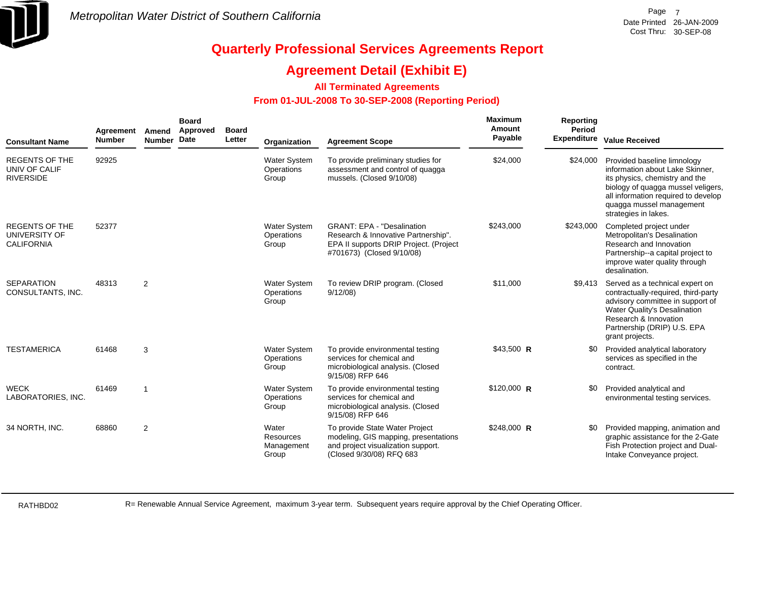

### **Agreement Detail (Exhibit E)**

### **All Terminated Agreements**

### **From 01-JUL-2008 To 30-SEP-2008 (Reporting Period)**

| <b>Consultant Name</b>                                      | Agreement<br><b>Number</b> | Amend<br><b>Number</b>   | <b>Board</b><br><b>Approved</b><br>Date | <b>Board</b><br>Letter | Organization                                     | <b>Agreement Scope</b>                                                                                                                          | <b>Maximum</b><br>Amount<br>Payable | <b>Reporting</b><br>Period | Expenditure Value Received                                                                                                                                                                                                        |
|-------------------------------------------------------------|----------------------------|--------------------------|-----------------------------------------|------------------------|--------------------------------------------------|-------------------------------------------------------------------------------------------------------------------------------------------------|-------------------------------------|----------------------------|-----------------------------------------------------------------------------------------------------------------------------------------------------------------------------------------------------------------------------------|
| <b>REGENTS OF THE</b><br>UNIV OF CALIF<br><b>RIVERSIDE</b>  | 92925                      |                          |                                         |                        | <b>Water System</b><br>Operations<br>Group       | To provide preliminary studies for<br>assessment and control of quagga<br>mussels. (Closed 9/10/08)                                             | \$24,000                            | \$24,000                   | Provided baseline limnology<br>information about Lake Skinner,<br>its physics, chemistry and the<br>biology of quagga mussel veligers,<br>all information required to develop<br>quagga mussel management<br>strategies in lakes. |
| <b>REGENTS OF THE</b><br>UNIVERSITY OF<br><b>CALIFORNIA</b> | 52377                      |                          |                                         |                        | <b>Water System</b><br>Operations<br>Group       | <b>GRANT: EPA - "Desalination</b><br>Research & Innovative Partnership".<br>EPA II supports DRIP Project. (Project<br>#701673) (Closed 9/10/08) | \$243,000                           | \$243,000                  | Completed project under<br>Metropolitan's Desalination<br>Research and Innovation<br>Partnership--a capital project to<br>improve water quality through<br>desalination.                                                          |
| <b>SEPARATION</b><br>CONSULTANTS, INC.                      | 48313                      | 2                        |                                         |                        | <b>Water System</b><br>Operations<br>Group       | To review DRIP program. (Closed<br>9/12/08                                                                                                      | \$11,000                            |                            | \$9,413 Served as a technical expert on<br>contractually-required, third-party<br>advisory committee in support of<br>Water Quality's Desalination<br>Research & Innovation<br>Partnership (DRIP) U.S. EPA<br>grant projects.     |
| <b>TESTAMERICA</b>                                          | 61468                      | 3                        |                                         |                        | <b>Water System</b><br>Operations<br>Group       | To provide environmental testing<br>services for chemical and<br>microbiological analysis. (Closed<br>9/15/08) RFP 646                          | \$43,500 R                          |                            | \$0 Provided analytical laboratory<br>services as specified in the<br>contract.                                                                                                                                                   |
| <b>WECK</b><br>LABORATORIES, INC.                           | 61469                      | $\overline{\phantom{a}}$ |                                         |                        | <b>Water System</b><br>Operations<br>Group       | To provide environmental testing<br>services for chemical and<br>microbiological analysis. (Closed<br>9/15/08) RFP 646                          | $$120,000$ R                        | \$0                        | Provided analytical and<br>environmental testing services.                                                                                                                                                                        |
| 34 NORTH, INC.                                              | 68860                      | 2                        |                                         |                        | Water<br><b>Resources</b><br>Management<br>Group | To provide State Water Project<br>modeling, GIS mapping, presentations<br>and project visualization support.<br>(Closed 9/30/08) RFQ 683        | \$248,000 R                         | \$0                        | Provided mapping, animation and<br>graphic assistance for the 2-Gate<br>Fish Protection project and Dual-<br>Intake Conveyance project.                                                                                           |

RATHBD02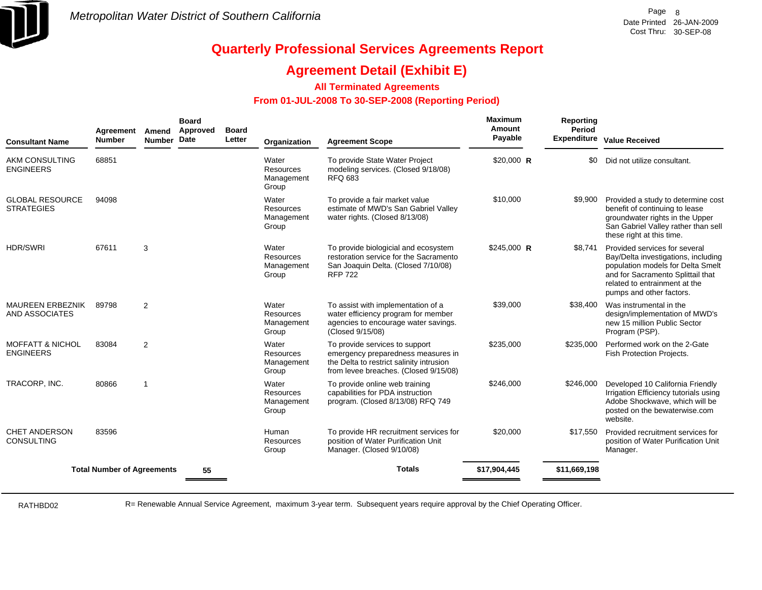

### **Agreement Detail (Exhibit E)**

### **All Terminated Agreements**

### **From 01-JUL-2008 To 30-SEP-2008 (Reporting Period)**

| <b>Consultant Name</b>                          | Agreement<br><b>Number</b>        | Amend<br><b>Number</b> | <b>Board</b><br>Approved<br>Date | <b>Board</b><br>Letter | Organization                                     | <b>Agreement Scope</b>                                                                                                                                    | <b>Maximum</b><br>Amount<br>Payable | <b>Reporting</b><br>Period<br><b>Expenditure</b> | <b>Value Received</b>                                                                                                                                                                                       |
|-------------------------------------------------|-----------------------------------|------------------------|----------------------------------|------------------------|--------------------------------------------------|-----------------------------------------------------------------------------------------------------------------------------------------------------------|-------------------------------------|--------------------------------------------------|-------------------------------------------------------------------------------------------------------------------------------------------------------------------------------------------------------------|
| AKM CONSULTING<br><b>ENGINEERS</b>              | 68851                             |                        |                                  |                        | Water<br><b>Resources</b><br>Management<br>Group | To provide State Water Project<br>modeling services. (Closed 9/18/08)<br><b>RFQ 683</b>                                                                   | $$20,000$ R                         | \$0                                              | Did not utilize consultant.                                                                                                                                                                                 |
| <b>GLOBAL RESOURCE</b><br><b>STRATEGIES</b>     | 94098                             |                        |                                  |                        | Water<br>Resources<br>Management<br>Group        | To provide a fair market value<br>estimate of MWD's San Gabriel Valley<br>water rights. (Closed 8/13/08)                                                  | \$10,000                            | \$9,900                                          | Provided a study to determine cost<br>benefit of continuing to lease<br>groundwater rights in the Upper<br>San Gabriel Valley rather than sell<br>these right at this time.                                 |
| <b>HDR/SWRI</b>                                 | 67611                             | 3                      |                                  |                        | Water<br>Resources<br>Management<br>Group        | To provide biologicial and ecosystem<br>restoration service for the Sacramento<br>San Joaquin Delta. (Closed 7/10/08)<br><b>RFP 722</b>                   | $$245,000$ R                        | \$8.741                                          | Provided services for several<br>Bay/Delta investigations, including<br>population models for Delta Smelt<br>and for Sacramento Splittail that<br>related to entrainment at the<br>pumps and other factors. |
| <b>MAUREEN ERBEZNIK</b><br>AND ASSOCIATES       | 89798                             | 2                      |                                  |                        | Water<br>Resources<br>Management<br>Group        | To assist with implementation of a<br>water efficiency program for member<br>agencies to encourage water savings.<br>(Closed 9/15/08)                     | \$39,000                            | \$38.400                                         | Was instrumental in the<br>design/implementation of MWD's<br>new 15 million Public Sector<br>Program (PSP).                                                                                                 |
| <b>MOFFATT &amp; NICHOL</b><br><b>ENGINEERS</b> | 83084                             | $\overline{2}$         |                                  |                        | Water<br><b>Resources</b><br>Management<br>Group | To provide services to support<br>emergency preparedness measures in<br>the Delta to restrict salinity intrusion<br>from levee breaches. (Closed 9/15/08) | \$235,000                           | \$235,000                                        | Performed work on the 2-Gate<br>Fish Protection Projects.                                                                                                                                                   |
| TRACORP, INC.                                   | 80866                             | -1                     |                                  |                        | Water<br><b>Resources</b><br>Management<br>Group | To provide online web training<br>capabilities for PDA instruction<br>program. (Closed 8/13/08) RFQ 749                                                   | \$246,000                           | \$246,000                                        | Developed 10 California Friendly<br>Irrigation Efficiency tutorials using<br>Adobe Shockwave, which will be<br>posted on the bewaterwise.com<br>website.                                                    |
| <b>CHET ANDERSON</b><br><b>CONSULTING</b>       | 83596                             |                        |                                  |                        | Human<br><b>Resources</b><br>Group               | To provide HR recruitment services for<br>position of Water Purification Unit<br>Manager. (Closed 9/10/08)                                                | \$20,000                            | \$17.550                                         | Provided recruitment services for<br>position of Water Purification Unit<br>Manager.                                                                                                                        |
|                                                 | <b>Total Number of Agreements</b> |                        | 55                               |                        |                                                  | <b>Totals</b>                                                                                                                                             | \$17,904,445                        | \$11,669,198                                     |                                                                                                                                                                                                             |

RATHBD02